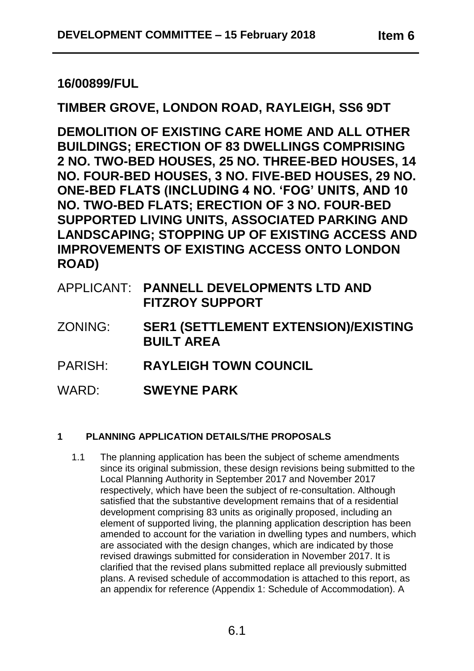# **16/00899/FUL**

# **TIMBER GROVE, LONDON ROAD, RAYLEIGH, SS6 9DT**

**DEMOLITION OF EXISTING CARE HOME AND ALL OTHER BUILDINGS; ERECTION OF 83 DWELLINGS COMPRISING 2 NO. TWO-BED HOUSES, 25 NO. THREE-BED HOUSES, 14 NO. FOUR-BED HOUSES, 3 NO. FIVE-BED HOUSES, 29 NO. ONE-BED FLATS (INCLUDING 4 NO. 'FOG' UNITS, AND 10 NO. TWO-BED FLATS; ERECTION OF 3 NO. FOUR-BED SUPPORTED LIVING UNITS, ASSOCIATED PARKING AND LANDSCAPING; STOPPING UP OF EXISTING ACCESS AND IMPROVEMENTS OF EXISTING ACCESS ONTO LONDON ROAD)**

- APPLICANT: **PANNELL DEVELOPMENTS LTD AND FITZROY SUPPORT**
- ZONING: **SER1 (SETTLEMENT EXTENSION)/EXISTING BUILT AREA**
- PARISH: **RAYLEIGH TOWN COUNCIL**
- WARD: **SWEYNE PARK**

# **1 PLANNING APPLICATION DETAILS/THE PROPOSALS**

1.1 The planning application has been the subject of scheme amendments since its original submission, these design revisions being submitted to the Local Planning Authority in September 2017 and November 2017 respectively, which have been the subject of re-consultation. Although satisfied that the substantive development remains that of a residential development comprising 83 units as originally proposed, including an element of supported living, the planning application description has been amended to account for the variation in dwelling types and numbers, which are associated with the design changes, which are indicated by those revised drawings submitted for consideration in November 2017. It is clarified that the revised plans submitted replace all previously submitted plans. A revised schedule of accommodation is attached to this report, as an appendix for reference (Appendix 1: Schedule of Accommodation). A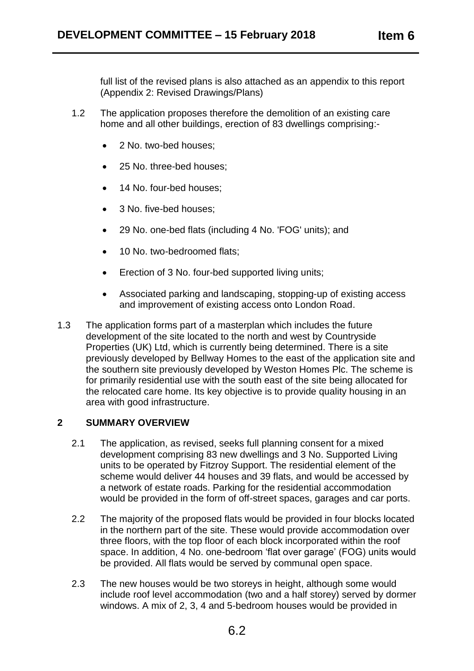- 1.2 The application proposes therefore the demolition of an existing care home and all other buildings, erection of 83 dwellings comprising:-
	- 2 No. two-bed houses:
	- 25 No. three-bed houses;
	- 14 No. four-bed houses;
	- 3 No. five-bed houses:
	- 29 No. one-bed flats (including 4 No. 'FOG' units); and
	- 10 No. two-bedroomed flats:
	- Erection of 3 No. four-bed supported living units;
	- Associated parking and landscaping, stopping-up of existing access and improvement of existing access onto London Road.
- 1.3 The application forms part of a masterplan which includes the future development of the site located to the north and west by Countryside Properties (UK) Ltd, which is currently being determined. There is a site previously developed by Bellway Homes to the east of the application site and the southern site previously developed by Weston Homes Plc. The scheme is for primarily residential use with the south east of the site being allocated for the relocated care home. Its key objective is to provide quality housing in an area with good infrastructure.

## **2 SUMMARY OVERVIEW**

- 2.1 The application, as revised, seeks full planning consent for a mixed development comprising 83 new dwellings and 3 No. Supported Living units to be operated by Fitzroy Support. The residential element of the scheme would deliver 44 houses and 39 flats, and would be accessed by a network of estate roads. Parking for the residential accommodation would be provided in the form of off-street spaces, garages and car ports.
- 2.2 The majority of the proposed flats would be provided in four blocks located in the northern part of the site. These would provide accommodation over three floors, with the top floor of each block incorporated within the roof space. In addition, 4 No. one-bedroom 'flat over garage' (FOG) units would be provided. All flats would be served by communal open space.
- 2.3 The new houses would be two storeys in height, although some would include roof level accommodation (two and a half storey) served by dormer windows. A mix of 2, 3, 4 and 5-bedroom houses would be provided in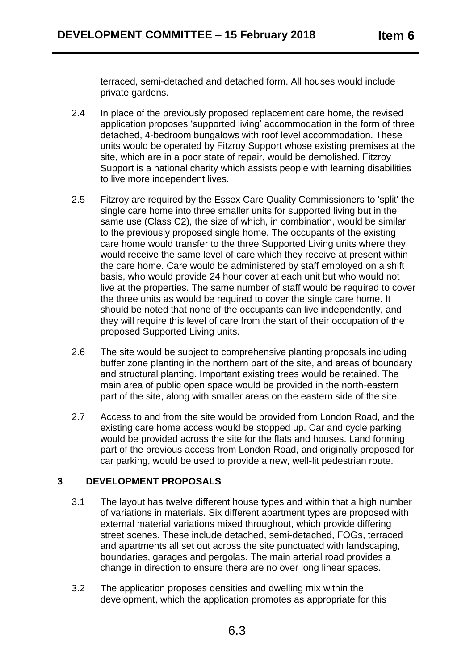terraced, semi-detached and detached form. All houses would include private gardens.

- 2.4 In place of the previously proposed replacement care home, the revised application proposes 'supported living' accommodation in the form of three detached, 4-bedroom bungalows with roof level accommodation. These units would be operated by Fitzroy Support whose existing premises at the site, which are in a poor state of repair, would be demolished. Fitzroy Support is a national charity which assists people with learning disabilities to live more independent lives.
- 2.5 Fitzroy are required by the Essex Care Quality Commissioners to 'split' the single care home into three smaller units for supported living but in the same use (Class C2), the size of which, in combination, would be similar to the previously proposed single home. The occupants of the existing care home would transfer to the three Supported Living units where they would receive the same level of care which they receive at present within the care home. Care would be administered by staff employed on a shift basis, who would provide 24 hour cover at each unit but who would not live at the properties. The same number of staff would be required to cover the three units as would be required to cover the single care home. It should be noted that none of the occupants can live independently, and they will require this level of care from the start of their occupation of the proposed Supported Living units.
- 2.6 The site would be subject to comprehensive planting proposals including buffer zone planting in the northern part of the site, and areas of boundary and structural planting. Important existing trees would be retained. The main area of public open space would be provided in the north-eastern part of the site, along with smaller areas on the eastern side of the site.
- 2.7 Access to and from the site would be provided from London Road, and the existing care home access would be stopped up. Car and cycle parking would be provided across the site for the flats and houses. Land forming part of the previous access from London Road, and originally proposed for car parking, would be used to provide a new, well-lit pedestrian route.

# **3 DEVELOPMENT PROPOSALS**

- 3.1 The layout has twelve different house types and within that a high number of variations in materials. Six different apartment types are proposed with external material variations mixed throughout, which provide differing street scenes. These include detached, semi-detached, FOGs, terraced and apartments all set out across the site punctuated with landscaping, boundaries, garages and pergolas. The main arterial road provides a change in direction to ensure there are no over long linear spaces.
- 3.2 The application proposes densities and dwelling mix within the development, which the application promotes as appropriate for this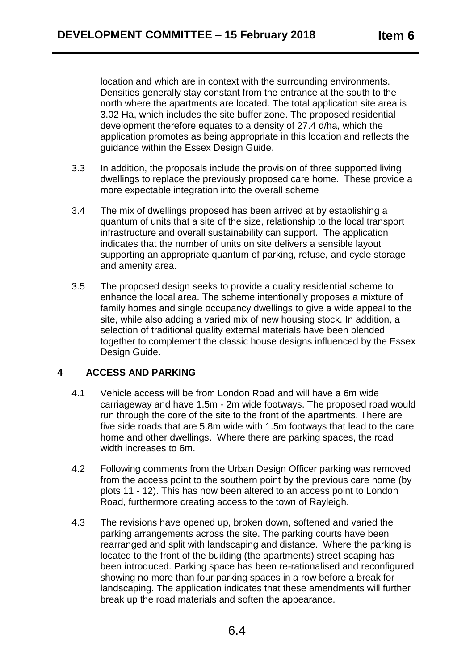location and which are in context with the surrounding environments. Densities generally stay constant from the entrance at the south to the north where the apartments are located. The total application site area is 3.02 Ha, which includes the site buffer zone. The proposed residential development therefore equates to a density of 27.4 d/ha, which the application promotes as being appropriate in this location and reflects the guidance within the Essex Design Guide.

- 3.3 In addition, the proposals include the provision of three supported living dwellings to replace the previously proposed care home. These provide a more expectable integration into the overall scheme
- 3.4 The mix of dwellings proposed has been arrived at by establishing a quantum of units that a site of the size, relationship to the local transport infrastructure and overall sustainability can support. The application indicates that the number of units on site delivers a sensible layout supporting an appropriate quantum of parking, refuse, and cycle storage and amenity area.
- 3.5 The proposed design seeks to provide a quality residential scheme to enhance the local area. The scheme intentionally proposes a mixture of family homes and single occupancy dwellings to give a wide appeal to the site, while also adding a varied mix of new housing stock. In addition, a selection of traditional quality external materials have been blended together to complement the classic house designs influenced by the Essex Design Guide.

# **4 ACCESS AND PARKING**

- 4.1 Vehicle access will be from London Road and will have a 6m wide carriageway and have 1.5m - 2m wide footways. The proposed road would run through the core of the site to the front of the apartments. There are five side roads that are 5.8m wide with 1.5m footways that lead to the care home and other dwellings. Where there are parking spaces, the road width increases to 6m.
- 4.2 Following comments from the Urban Design Officer parking was removed from the access point to the southern point by the previous care home (by plots 11 - 12). This has now been altered to an access point to London Road, furthermore creating access to the town of Rayleigh.
- 4.3 The revisions have opened up, broken down, softened and varied the parking arrangements across the site. The parking courts have been rearranged and split with landscaping and distance. Where the parking is located to the front of the building (the apartments) street scaping has been introduced. Parking space has been re-rationalised and reconfigured showing no more than four parking spaces in a row before a break for landscaping. The application indicates that these amendments will further break up the road materials and soften the appearance.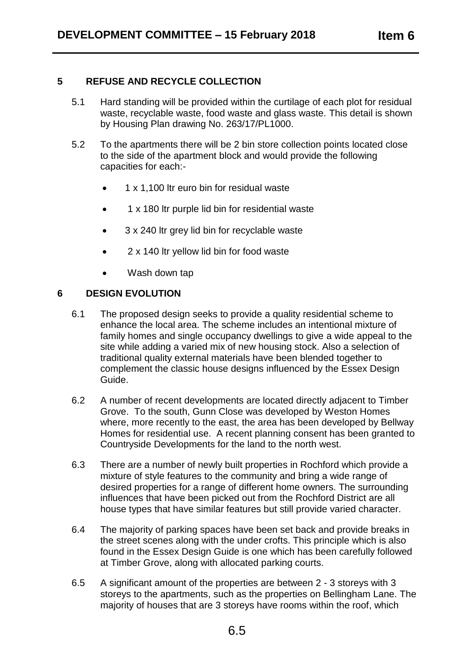## **5 REFUSE AND RECYCLE COLLECTION**

- 5.1 Hard standing will be provided within the curtilage of each plot for residual waste, recyclable waste, food waste and glass waste. This detail is shown by Housing Plan drawing No. 263/17/PL1000.
- 5.2 To the apartments there will be 2 bin store collection points located close to the side of the apartment block and would provide the following capacities for each:-
	- 1 x 1,100 ltr euro bin for residual waste
	- 1 x 180 ltr purple lid bin for residential waste
	- 3 x 240 ltr grey lid bin for recyclable waste
	- 2 x 140 ltr yellow lid bin for food waste
	- Wash down tap

## **6 DESIGN EVOLUTION**

- 6.1 The proposed design seeks to provide a quality residential scheme to enhance the local area. The scheme includes an intentional mixture of family homes and single occupancy dwellings to give a wide appeal to the site while adding a varied mix of new housing stock. Also a selection of traditional quality external materials have been blended together to complement the classic house designs influenced by the Essex Design Guide.
- 6.2 A number of recent developments are located directly adjacent to Timber Grove. To the south, Gunn Close was developed by Weston Homes where, more recently to the east, the area has been developed by Bellway Homes for residential use. A recent planning consent has been granted to Countryside Developments for the land to the north west.
- 6.3 There are a number of newly built properties in Rochford which provide a mixture of style features to the community and bring a wide range of desired properties for a range of different home owners. The surrounding influences that have been picked out from the Rochford District are all house types that have similar features but still provide varied character.
- 6.4 The majority of parking spaces have been set back and provide breaks in the street scenes along with the under crofts. This principle which is also found in the Essex Design Guide is one which has been carefully followed at Timber Grove, along with allocated parking courts.
- 6.5 A significant amount of the properties are between 2 3 storeys with 3 storeys to the apartments, such as the properties on Bellingham Lane. The majority of houses that are 3 storeys have rooms within the roof, which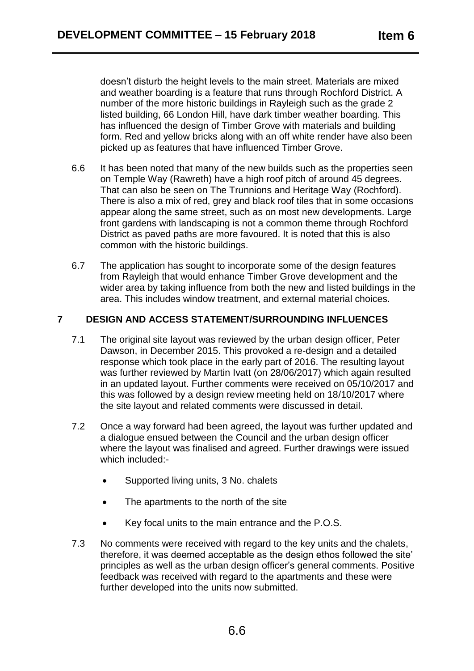doesn't disturb the height levels to the main street. Materials are mixed and weather boarding is a feature that runs through Rochford District. A number of the more historic buildings in Rayleigh such as the grade 2 listed building, 66 London Hill, have dark timber weather boarding. This has influenced the design of Timber Grove with materials and building form. Red and yellow bricks along with an off white render have also been picked up as features that have influenced Timber Grove.

- 6.6 It has been noted that many of the new builds such as the properties seen on Temple Way (Rawreth) have a high roof pitch of around 45 degrees. That can also be seen on The Trunnions and Heritage Way (Rochford). There is also a mix of red, grey and black roof tiles that in some occasions appear along the same street, such as on most new developments. Large front gardens with landscaping is not a common theme through Rochford District as paved paths are more favoured. It is noted that this is also common with the historic buildings.
- 6.7 The application has sought to incorporate some of the design features from Rayleigh that would enhance Timber Grove development and the wider area by taking influence from both the new and listed buildings in the area. This includes window treatment, and external material choices.

# **7 DESIGN AND ACCESS STATEMENT/SURROUNDING INFLUENCES**

- 7.1 The original site layout was reviewed by the urban design officer, Peter Dawson, in December 2015. This provoked a re-design and a detailed response which took place in the early part of 2016. The resulting layout was further reviewed by Martin Ivatt (on 28/06/2017) which again resulted in an updated layout. Further comments were received on 05/10/2017 and this was followed by a design review meeting held on 18/10/2017 where the site layout and related comments were discussed in detail.
- 7.2 Once a way forward had been agreed, the layout was further updated and a dialogue ensued between the Council and the urban design officer where the layout was finalised and agreed. Further drawings were issued which included:-
	- Supported living units, 3 No. chalets
	- The apartments to the north of the site
	- Key focal units to the main entrance and the P.O.S.
- 7.3 No comments were received with regard to the key units and the chalets, therefore, it was deemed acceptable as the design ethos followed the site' principles as well as the urban design officer's general comments. Positive feedback was received with regard to the apartments and these were further developed into the units now submitted.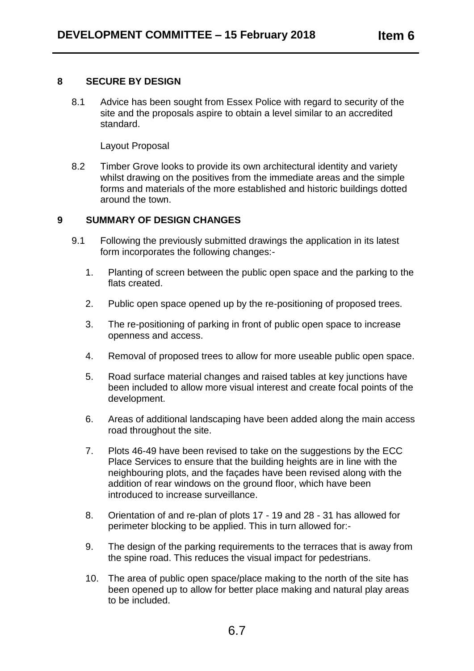## **8 SECURE BY DESIGN**

8.1 Advice has been sought from Essex Police with regard to security of the site and the proposals aspire to obtain a level similar to an accredited standard.

Layout Proposal

8.2 Timber Grove looks to provide its own architectural identity and variety whilst drawing on the positives from the immediate areas and the simple forms and materials of the more established and historic buildings dotted around the town.

# **9 SUMMARY OF DESIGN CHANGES**

- 9.1 Following the previously submitted drawings the application in its latest form incorporates the following changes:-
	- 1. Planting of screen between the public open space and the parking to the flats created.
	- 2. Public open space opened up by the re-positioning of proposed trees.
	- 3. The re-positioning of parking in front of public open space to increase openness and access.
	- 4. Removal of proposed trees to allow for more useable public open space.
	- 5. Road surface material changes and raised tables at key junctions have been included to allow more visual interest and create focal points of the development.
	- 6. Areas of additional landscaping have been added along the main access road throughout the site.
	- 7. Plots 46-49 have been revised to take on the suggestions by the ECC Place Services to ensure that the building heights are in line with the neighbouring plots, and the façades have been revised along with the addition of rear windows on the ground floor, which have been introduced to increase surveillance.
	- 8. Orientation of and re-plan of plots 17 19 and 28 31 has allowed for perimeter blocking to be applied. This in turn allowed for:-
	- 9. The design of the parking requirements to the terraces that is away from the spine road. This reduces the visual impact for pedestrians.
	- 10. The area of public open space/place making to the north of the site has been opened up to allow for better place making and natural play areas to be included.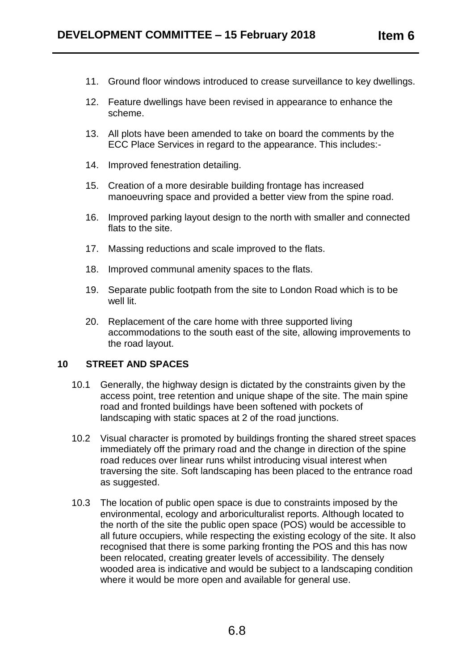- 11. Ground floor windows introduced to crease surveillance to key dwellings.
- 12. Feature dwellings have been revised in appearance to enhance the scheme.
- 13. All plots have been amended to take on board the comments by the ECC Place Services in regard to the appearance. This includes:-
- 14. Improved fenestration detailing.
- 15. Creation of a more desirable building frontage has increased manoeuvring space and provided a better view from the spine road.
- 16. Improved parking layout design to the north with smaller and connected flats to the site.
- 17. Massing reductions and scale improved to the flats.
- 18. Improved communal amenity spaces to the flats.
- 19. Separate public footpath from the site to London Road which is to be well lit.
- 20. Replacement of the care home with three supported living accommodations to the south east of the site, allowing improvements to the road layout.

## **10 STREET AND SPACES**

- 10.1 Generally, the highway design is dictated by the constraints given by the access point, tree retention and unique shape of the site. The main spine road and fronted buildings have been softened with pockets of landscaping with static spaces at 2 of the road junctions.
- 10.2 Visual character is promoted by buildings fronting the shared street spaces immediately off the primary road and the change in direction of the spine road reduces over linear runs whilst introducing visual interest when traversing the site. Soft landscaping has been placed to the entrance road as suggested.
- 10.3 The location of public open space is due to constraints imposed by the environmental, ecology and arboriculturalist reports. Although located to the north of the site the public open space (POS) would be accessible to all future occupiers, while respecting the existing ecology of the site. It also recognised that there is some parking fronting the POS and this has now been relocated, creating greater levels of accessibility. The densely wooded area is indicative and would be subject to a landscaping condition where it would be more open and available for general use.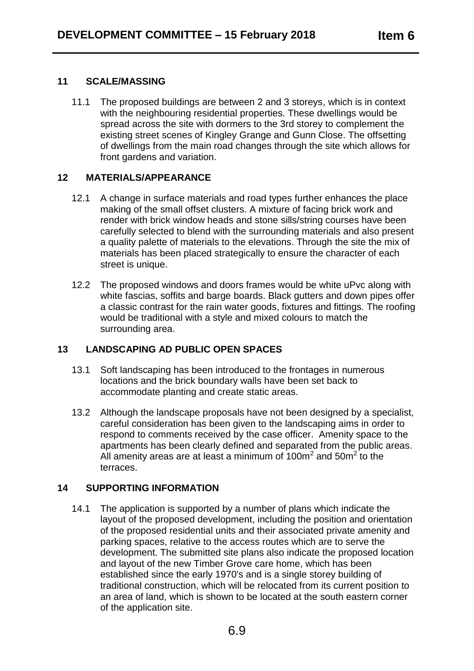## **11 SCALE/MASSING**

11.1 The proposed buildings are between 2 and 3 storeys, which is in context with the neighbouring residential properties. These dwellings would be spread across the site with dormers to the 3rd storey to complement the existing street scenes of Kingley Grange and Gunn Close. The offsetting of dwellings from the main road changes through the site which allows for front gardens and variation.

# **12 MATERIALS/APPEARANCE**

- 12.1 A change in surface materials and road types further enhances the place making of the small offset clusters. A mixture of facing brick work and render with brick window heads and stone sills/string courses have been carefully selected to blend with the surrounding materials and also present a quality palette of materials to the elevations. Through the site the mix of materials has been placed strategically to ensure the character of each street is unique.
- 12.2 The proposed windows and doors frames would be white uPvc along with white fascias, soffits and barge boards. Black gutters and down pipes offer a classic contrast for the rain water goods, fixtures and fittings. The roofing would be traditional with a style and mixed colours to match the surrounding area.

# **13 LANDSCAPING AD PUBLIC OPEN SPACES**

- 13.1 Soft landscaping has been introduced to the frontages in numerous locations and the brick boundary walls have been set back to accommodate planting and create static areas.
- 13.2 Although the landscape proposals have not been designed by a specialist, careful consideration has been given to the landscaping aims in order to respond to comments received by the case officer. Amenity space to the apartments has been clearly defined and separated from the public areas. All amenity areas are at least a minimum of  $100m^2$  and  $50m^2$  to the terraces.

# **14 SUPPORTING INFORMATION**

14.1 The application is supported by a number of plans which indicate the layout of the proposed development, including the position and orientation of the proposed residential units and their associated private amenity and parking spaces, relative to the access routes which are to serve the development. The submitted site plans also indicate the proposed location and layout of the new Timber Grove care home, which has been established since the early 1970's and is a single storey building of traditional construction, which will be relocated from its current position to an area of land, which is shown to be located at the south eastern corner of the application site.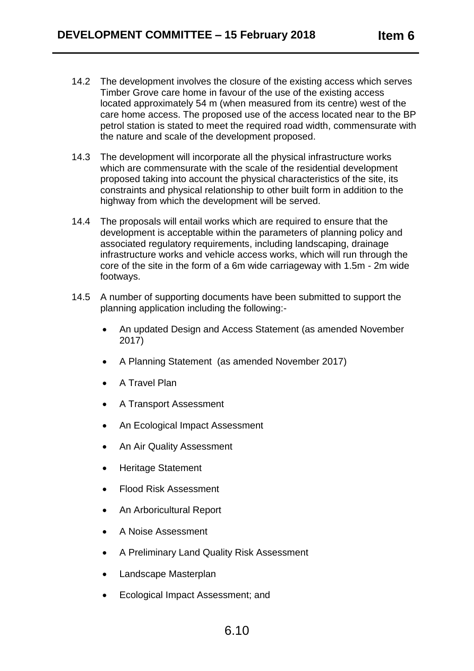- 14.2 The development involves the closure of the existing access which serves Timber Grove care home in favour of the use of the existing access located approximately 54 m (when measured from its centre) west of the care home access. The proposed use of the access located near to the BP petrol station is stated to meet the required road width, commensurate with the nature and scale of the development proposed.
- 14.3 The development will incorporate all the physical infrastructure works which are commensurate with the scale of the residential development proposed taking into account the physical characteristics of the site, its constraints and physical relationship to other built form in addition to the highway from which the development will be served.
- 14.4 The proposals will entail works which are required to ensure that the development is acceptable within the parameters of planning policy and associated regulatory requirements, including landscaping, drainage infrastructure works and vehicle access works, which will run through the core of the site in the form of a 6m wide carriageway with 1.5m - 2m wide footways.
- 14.5 A number of supporting documents have been submitted to support the planning application including the following:-
	- An updated Design and Access Statement (as amended November 2017)
	- A Planning Statement (as amended November 2017)
	- A Travel Plan
	- A Transport Assessment
	- An Ecological Impact Assessment
	- An Air Quality Assessment
	- Heritage Statement
	- Flood Risk Assessment
	- An Arboricultural Report
	- A Noise Assessment
	- A Preliminary Land Quality Risk Assessment
	- Landscape Masterplan
	- Ecological Impact Assessment; and

# 6.10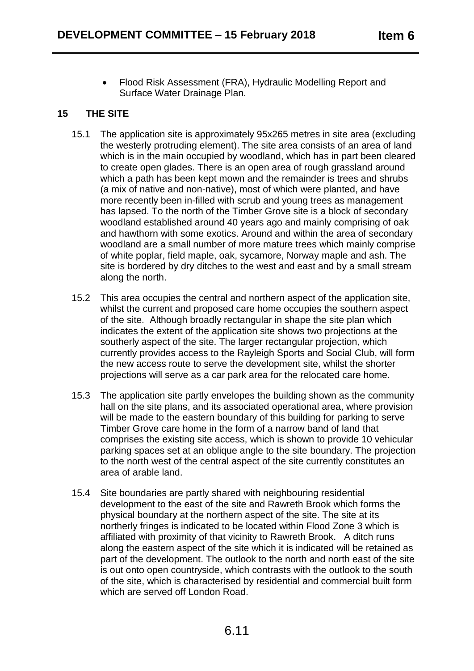Flood Risk Assessment (FRA), Hydraulic Modelling Report and Surface Water Drainage Plan.

# **15 THE SITE**

- 15.1 The application site is approximately 95x265 metres in site area (excluding the westerly protruding element). The site area consists of an area of land which is in the main occupied by woodland, which has in part been cleared to create open glades. There is an open area of rough grassland around which a path has been kept mown and the remainder is trees and shrubs (a mix of native and non-native), most of which were planted, and have more recently been in-filled with scrub and young trees as management has lapsed. To the north of the Timber Grove site is a block of secondary woodland established around 40 years ago and mainly comprising of oak and hawthorn with some exotics. Around and within the area of secondary woodland are a small number of more mature trees which mainly comprise of white poplar, field maple, oak, sycamore, Norway maple and ash. The site is bordered by dry ditches to the west and east and by a small stream along the north.
- 15.2 This area occupies the central and northern aspect of the application site, whilst the current and proposed care home occupies the southern aspect of the site. Although broadly rectangular in shape the site plan which indicates the extent of the application site shows two projections at the southerly aspect of the site. The larger rectangular projection, which currently provides access to the Rayleigh Sports and Social Club, will form the new access route to serve the development site, whilst the shorter projections will serve as a car park area for the relocated care home.
- 15.3 The application site partly envelopes the building shown as the community hall on the site plans, and its associated operational area, where provision will be made to the eastern boundary of this building for parking to serve Timber Grove care home in the form of a narrow band of land that comprises the existing site access, which is shown to provide 10 vehicular parking spaces set at an oblique angle to the site boundary. The projection to the north west of the central aspect of the site currently constitutes an area of arable land.
- 15.4 Site boundaries are partly shared with neighbouring residential development to the east of the site and Rawreth Brook which forms the physical boundary at the northern aspect of the site. The site at its northerly fringes is indicated to be located within Flood Zone 3 which is affiliated with proximity of that vicinity to Rawreth Brook. A ditch runs along the eastern aspect of the site which it is indicated will be retained as part of the development. The outlook to the north and north east of the site is out onto open countryside, which contrasts with the outlook to the south of the site, which is characterised by residential and commercial built form which are served off London Road.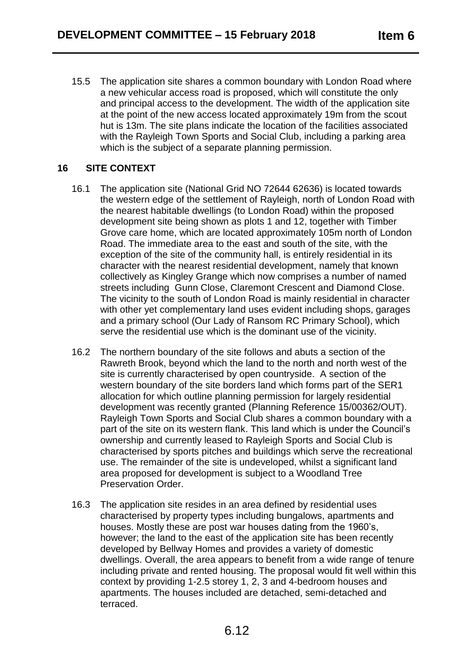15.5 The application site shares a common boundary with London Road where a new vehicular access road is proposed, which will constitute the only and principal access to the development. The width of the application site at the point of the new access located approximately 19m from the scout hut is 13m. The site plans indicate the location of the facilities associated with the Rayleigh Town Sports and Social Club, including a parking area which is the subject of a separate planning permission.

# **16 SITE CONTEXT**

- 16.1 The application site (National Grid NO 72644 62636) is located towards the western edge of the settlement of Rayleigh, north of London Road with the nearest habitable dwellings (to London Road) within the proposed development site being shown as plots 1 and 12, together with Timber Grove care home, which are located approximately 105m north of London Road. The immediate area to the east and south of the site, with the exception of the site of the community hall, is entirely residential in its character with the nearest residential development, namely that known collectively as Kingley Grange which now comprises a number of named streets including Gunn Close, Claremont Crescent and Diamond Close. The vicinity to the south of London Road is mainly residential in character with other yet complementary land uses evident including shops, garages and a primary school (Our Lady of Ransom RC Primary School), which serve the residential use which is the dominant use of the vicinity.
- 16.2 The northern boundary of the site follows and abuts a section of the Rawreth Brook, beyond which the land to the north and north west of the site is currently characterised by open countryside. A section of the western boundary of the site borders land which forms part of the SER1 allocation for which outline planning permission for largely residential development was recently granted (Planning Reference 15/00362/OUT). Rayleigh Town Sports and Social Club shares a common boundary with a part of the site on its western flank. This land which is under the Council's ownership and currently leased to Rayleigh Sports and Social Club is characterised by sports pitches and buildings which serve the recreational use. The remainder of the site is undeveloped, whilst a significant land area proposed for development is subject to a Woodland Tree Preservation Order.
- 16.3 The application site resides in an area defined by residential uses characterised by property types including bungalows, apartments and houses. Mostly these are post war houses dating from the 1960's, however; the land to the east of the application site has been recently developed by Bellway Homes and provides a variety of domestic dwellings. Overall, the area appears to benefit from a wide range of tenure including private and rented housing. The proposal would fit well within this context by providing 1-2.5 storey 1, 2, 3 and 4-bedroom houses and apartments. The houses included are detached, semi-detached and terraced.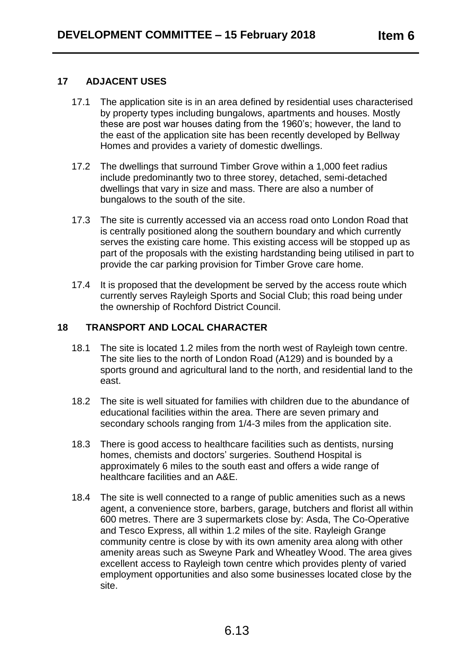## **17 ADJACENT USES**

- 17.1 The application site is in an area defined by residential uses characterised by property types including bungalows, apartments and houses. Mostly these are post war houses dating from the 1960's; however, the land to the east of the application site has been recently developed by Bellway Homes and provides a variety of domestic dwellings.
- 17.2 The dwellings that surround Timber Grove within a 1,000 feet radius include predominantly two to three storey, detached, semi-detached dwellings that vary in size and mass. There are also a number of bungalows to the south of the site.
- 17.3 The site is currently accessed via an access road onto London Road that is centrally positioned along the southern boundary and which currently serves the existing care home. This existing access will be stopped up as part of the proposals with the existing hardstanding being utilised in part to provide the car parking provision for Timber Grove care home.
- 17.4 It is proposed that the development be served by the access route which currently serves Rayleigh Sports and Social Club; this road being under the ownership of Rochford District Council.

# **18 TRANSPORT AND LOCAL CHARACTER**

- 18.1 The site is located 1.2 miles from the north west of Rayleigh town centre. The site lies to the north of London Road (A129) and is bounded by a sports ground and agricultural land to the north, and residential land to the east.
- 18.2 The site is well situated for families with children due to the abundance of educational facilities within the area. There are seven primary and secondary schools ranging from 1/4-3 miles from the application site.
- 18.3 There is good access to healthcare facilities such as dentists, nursing homes, chemists and doctors' surgeries. Southend Hospital is approximately 6 miles to the south east and offers a wide range of healthcare facilities and an A&E.
- 18.4 The site is well connected to a range of public amenities such as a news agent, a convenience store, barbers, garage, butchers and florist all within 600 metres. There are 3 supermarkets close by: Asda, The Co-Operative and Tesco Express, all within 1.2 miles of the site. Rayleigh Grange community centre is close by with its own amenity area along with other amenity areas such as Sweyne Park and Wheatley Wood. The area gives excellent access to Rayleigh town centre which provides plenty of varied employment opportunities and also some businesses located close by the site.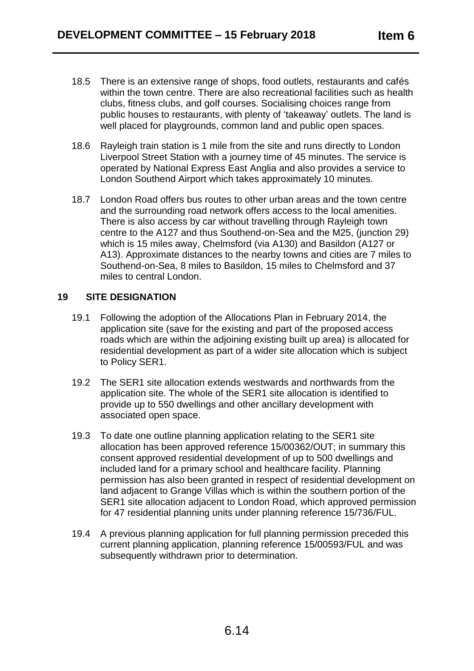- 18.5 There is an extensive range of shops, food outlets, restaurants and cafés within the town centre. There are also recreational facilities such as health clubs, fitness clubs, and golf courses. Socialising choices range from public houses to restaurants, with plenty of 'takeaway' outlets. The land is well placed for playgrounds, common land and public open spaces.
- 18.6 Rayleigh train station is 1 mile from the site and runs directly to London Liverpool Street Station with a journey time of 45 minutes. The service is operated by National Express East Anglia and also provides a service to London Southend Airport which takes approximately 10 minutes.
- 18.7 London Road offers bus routes to other urban areas and the town centre and the surrounding road network offers access to the local amenities. There is also access by car without travelling through Rayleigh town centre to the A127 and thus Southend-on-Sea and the M25, (junction 29) which is 15 miles away, Chelmsford (via A130) and Basildon (A127 or A13). Approximate distances to the nearby towns and cities are 7 miles to Southend-on-Sea, 8 miles to Basildon, 15 miles to Chelmsford and 37 miles to central London.

## **19 SITE DESIGNATION**

- 19.1 Following the adoption of the Allocations Plan in February 2014, the application site (save for the existing and part of the proposed access roads which are within the adjoining existing built up area) is allocated for residential development as part of a wider site allocation which is subject to Policy SER1.
- 19.2 The SER1 site allocation extends westwards and northwards from the application site. The whole of the SER1 site allocation is identified to provide up to 550 dwellings and other ancillary development with associated open space.
- 19.3 To date one outline planning application relating to the SER1 site allocation has been approved reference 15/00362/OUT; in summary this consent approved residential development of up to 500 dwellings and included land for a primary school and healthcare facility. Planning permission has also been granted in respect of residential development on land adjacent to Grange Villas which is within the southern portion of the SER1 site allocation adjacent to London Road, which approved permission for 47 residential planning units under planning reference 15/736/FUL.
- 19.4 A previous planning application for full planning permission preceded this current planning application, planning reference 15/00593/FUL and was subsequently withdrawn prior to determination.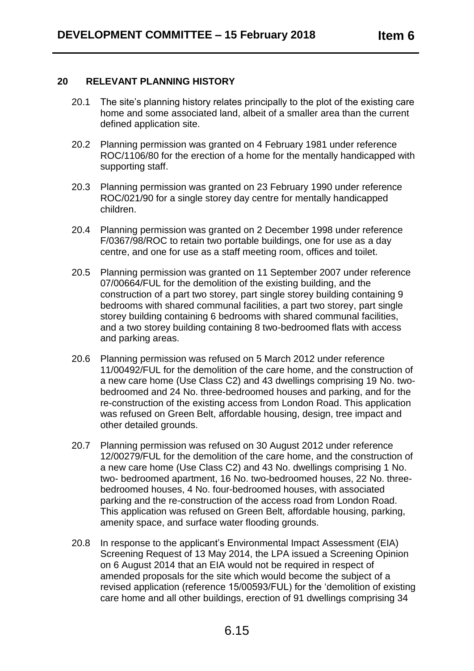#### **20 RELEVANT PLANNING HISTORY**

- 20.1 The site's planning history relates principally to the plot of the existing care home and some associated land, albeit of a smaller area than the current defined application site.
- 20.2 Planning permission was granted on 4 February 1981 under reference ROC/1106/80 for the erection of a home for the mentally handicapped with supporting staff.
- 20.3 Planning permission was granted on 23 February 1990 under reference ROC/021/90 for a single storey day centre for mentally handicapped children.
- 20.4 Planning permission was granted on 2 December 1998 under reference F/0367/98/ROC to retain two portable buildings, one for use as a day centre, and one for use as a staff meeting room, offices and toilet.
- 20.5 Planning permission was granted on 11 September 2007 under reference 07/00664/FUL for the demolition of the existing building, and the construction of a part two storey, part single storey building containing 9 bedrooms with shared communal facilities, a part two storey, part single storey building containing 6 bedrooms with shared communal facilities, and a two storey building containing 8 two-bedroomed flats with access and parking areas.
- 20.6 Planning permission was refused on 5 March 2012 under reference 11/00492/FUL for the demolition of the care home, and the construction of a new care home (Use Class C2) and 43 dwellings comprising 19 No. twobedroomed and 24 No. three-bedroomed houses and parking, and for the re-construction of the existing access from London Road. This application was refused on Green Belt, affordable housing, design, tree impact and other detailed grounds.
- 20.7 Planning permission was refused on 30 August 2012 under reference 12/00279/FUL for the demolition of the care home, and the construction of a new care home (Use Class C2) and 43 No. dwellings comprising 1 No. two- bedroomed apartment, 16 No. two-bedroomed houses, 22 No. threebedroomed houses, 4 No. four-bedroomed houses, with associated parking and the re-construction of the access road from London Road. This application was refused on Green Belt, affordable housing, parking, amenity space, and surface water flooding grounds.
- 20.8 In response to the applicant's Environmental Impact Assessment (EIA) Screening Request of 13 May 2014, the LPA issued a Screening Opinion on 6 August 2014 that an EIA would not be required in respect of amended proposals for the site which would become the subject of a revised application (reference 15/00593/FUL) for the 'demolition of existing care home and all other buildings, erection of 91 dwellings comprising 34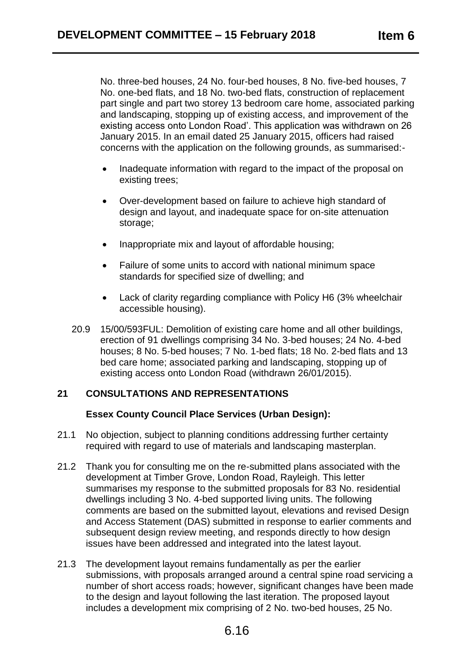No. three-bed houses, 24 No. four-bed houses, 8 No. five-bed houses, 7 No. one-bed flats, and 18 No. two-bed flats, construction of replacement part single and part two storey 13 bedroom care home, associated parking and landscaping, stopping up of existing access, and improvement of the existing access onto London Road'. This application was withdrawn on 26 January 2015. In an email dated 25 January 2015, officers had raised concerns with the application on the following grounds, as summarised:-

- Inadequate information with regard to the impact of the proposal on existing trees;
- Over-development based on failure to achieve high standard of design and layout, and inadequate space for on-site attenuation storage:
- Inappropriate mix and layout of affordable housing;
- Failure of some units to accord with national minimum space standards for specified size of dwelling; and
- Lack of clarity regarding compliance with Policy H6 (3% wheelchair accessible housing).
- 20.9 15/00/593FUL: Demolition of existing care home and all other buildings, erection of 91 dwellings comprising 34 No. 3-bed houses; 24 No. 4-bed houses; 8 No. 5-bed houses; 7 No. 1-bed flats; 18 No. 2-bed flats and 13 bed care home; associated parking and landscaping, stopping up of existing access onto London Road (withdrawn 26/01/2015).

# **21 CONSULTATIONS AND REPRESENTATIONS**

## **Essex County Council Place Services (Urban Design):**

- 21.1 No objection, subject to planning conditions addressing further certainty required with regard to use of materials and landscaping masterplan.
- 21.2 Thank you for consulting me on the re-submitted plans associated with the development at Timber Grove, London Road, Rayleigh. This letter summarises my response to the submitted proposals for 83 No. residential dwellings including 3 No. 4-bed supported living units. The following comments are based on the submitted layout, elevations and revised Design and Access Statement (DAS) submitted in response to earlier comments and subsequent design review meeting, and responds directly to how design issues have been addressed and integrated into the latest layout.
- 21.3 The development layout remains fundamentally as per the earlier submissions, with proposals arranged around a central spine road servicing a number of short access roads; however, significant changes have been made to the design and layout following the last iteration. The proposed layout includes a development mix comprising of 2 No. two-bed houses, 25 No.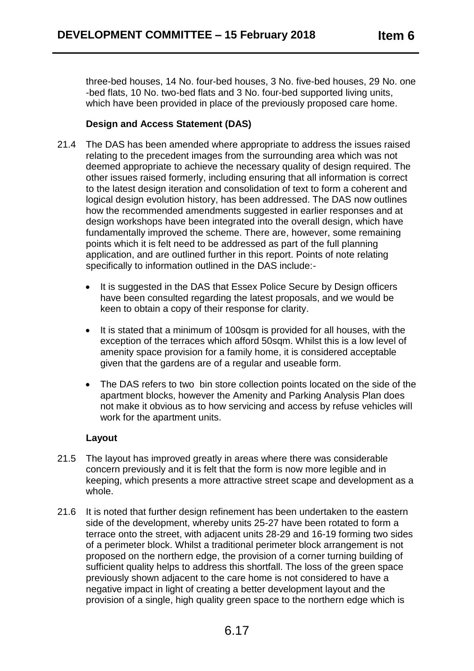three-bed houses, 14 No. four-bed houses, 3 No. five-bed houses, 29 No. one -bed flats, 10 No. two-bed flats and 3 No. four-bed supported living units, which have been provided in place of the previously proposed care home.

# **Design and Access Statement (DAS)**

- 21.4 The DAS has been amended where appropriate to address the issues raised relating to the precedent images from the surrounding area which was not deemed appropriate to achieve the necessary quality of design required. The other issues raised formerly, including ensuring that all information is correct to the latest design iteration and consolidation of text to form a coherent and logical design evolution history, has been addressed. The DAS now outlines how the recommended amendments suggested in earlier responses and at design workshops have been integrated into the overall design, which have fundamentally improved the scheme. There are, however, some remaining points which it is felt need to be addressed as part of the full planning application, and are outlined further in this report. Points of note relating specifically to information outlined in the DAS include:-
	- It is suggested in the DAS that Essex Police Secure by Design officers have been consulted regarding the latest proposals, and we would be keen to obtain a copy of their response for clarity.
	- It is stated that a minimum of 100sqm is provided for all houses, with the exception of the terraces which afford 50sqm. Whilst this is a low level of amenity space provision for a family home, it is considered acceptable given that the gardens are of a regular and useable form.
	- The DAS refers to two bin store collection points located on the side of the apartment blocks, however the Amenity and Parking Analysis Plan does not make it obvious as to how servicing and access by refuse vehicles will work for the apartment units.

## **Layout**

- 21.5 The layout has improved greatly in areas where there was considerable concern previously and it is felt that the form is now more legible and in keeping, which presents a more attractive street scape and development as a whole.
- 21.6 It is noted that further design refinement has been undertaken to the eastern side of the development, whereby units 25-27 have been rotated to form a terrace onto the street, with adjacent units 28-29 and 16-19 forming two sides of a perimeter block. Whilst a traditional perimeter block arrangement is not proposed on the northern edge, the provision of a corner turning building of sufficient quality helps to address this shortfall. The loss of the green space previously shown adjacent to the care home is not considered to have a negative impact in light of creating a better development layout and the provision of a single, high quality green space to the northern edge which is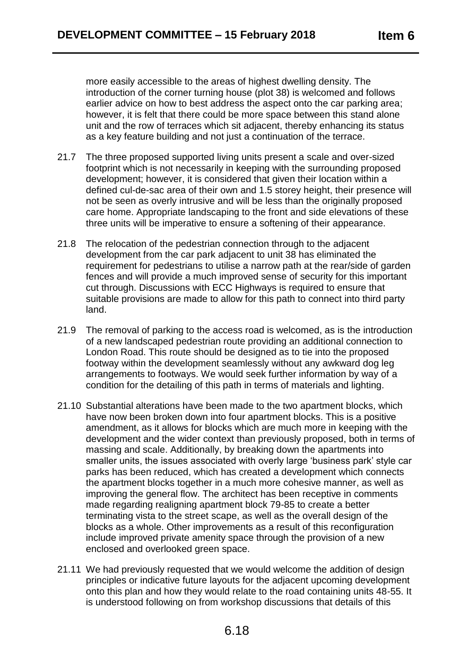more easily accessible to the areas of highest dwelling density. The introduction of the corner turning house (plot 38) is welcomed and follows earlier advice on how to best address the aspect onto the car parking area; however, it is felt that there could be more space between this stand alone unit and the row of terraces which sit adjacent, thereby enhancing its status as a key feature building and not just a continuation of the terrace.

- 21.7 The three proposed supported living units present a scale and over-sized footprint which is not necessarily in keeping with the surrounding proposed development; however, it is considered that given their location within a defined cul-de-sac area of their own and 1.5 storey height, their presence will not be seen as overly intrusive and will be less than the originally proposed care home. Appropriate landscaping to the front and side elevations of these three units will be imperative to ensure a softening of their appearance.
- 21.8 The relocation of the pedestrian connection through to the adjacent development from the car park adjacent to unit 38 has eliminated the requirement for pedestrians to utilise a narrow path at the rear/side of garden fences and will provide a much improved sense of security for this important cut through. Discussions with ECC Highways is required to ensure that suitable provisions are made to allow for this path to connect into third party land.
- 21.9 The removal of parking to the access road is welcomed, as is the introduction of a new landscaped pedestrian route providing an additional connection to London Road. This route should be designed as to tie into the proposed footway within the development seamlessly without any awkward dog leg arrangements to footways. We would seek further information by way of a condition for the detailing of this path in terms of materials and lighting.
- 21.10 Substantial alterations have been made to the two apartment blocks, which have now been broken down into four apartment blocks. This is a positive amendment, as it allows for blocks which are much more in keeping with the development and the wider context than previously proposed, both in terms of massing and scale. Additionally, by breaking down the apartments into smaller units, the issues associated with overly large 'business park' style car parks has been reduced, which has created a development which connects the apartment blocks together in a much more cohesive manner, as well as improving the general flow. The architect has been receptive in comments made regarding realigning apartment block 79-85 to create a better terminating vista to the street scape, as well as the overall design of the blocks as a whole. Other improvements as a result of this reconfiguration include improved private amenity space through the provision of a new enclosed and overlooked green space.
- 21.11 We had previously requested that we would welcome the addition of design principles or indicative future layouts for the adjacent upcoming development onto this plan and how they would relate to the road containing units 48-55. It is understood following on from workshop discussions that details of this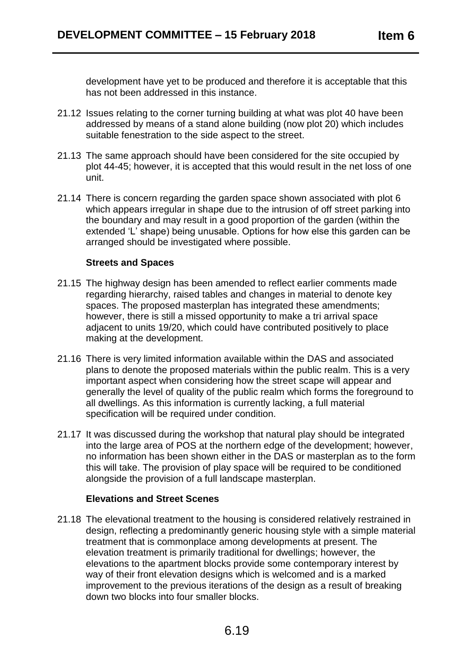development have yet to be produced and therefore it is acceptable that this has not been addressed in this instance.

- 21.12 Issues relating to the corner turning building at what was plot 40 have been addressed by means of a stand alone building (now plot 20) which includes suitable fenestration to the side aspect to the street.
- 21.13 The same approach should have been considered for the site occupied by plot 44-45; however, it is accepted that this would result in the net loss of one unit.
- 21.14 There is concern regarding the garden space shown associated with plot 6 which appears irregular in shape due to the intrusion of off street parking into the boundary and may result in a good proportion of the garden (within the extended 'L' shape) being unusable. Options for how else this garden can be arranged should be investigated where possible.

## **Streets and Spaces**

- 21.15 The highway design has been amended to reflect earlier comments made regarding hierarchy, raised tables and changes in material to denote key spaces. The proposed masterplan has integrated these amendments; however, there is still a missed opportunity to make a tri arrival space adjacent to units 19/20, which could have contributed positively to place making at the development.
- 21.16 There is very limited information available within the DAS and associated plans to denote the proposed materials within the public realm. This is a very important aspect when considering how the street scape will appear and generally the level of quality of the public realm which forms the foreground to all dwellings. As this information is currently lacking, a full material specification will be required under condition.
- 21.17 It was discussed during the workshop that natural play should be integrated into the large area of POS at the northern edge of the development; however, no information has been shown either in the DAS or masterplan as to the form this will take. The provision of play space will be required to be conditioned alongside the provision of a full landscape masterplan.

## **Elevations and Street Scenes**

21.18 The elevational treatment to the housing is considered relatively restrained in design, reflecting a predominantly generic housing style with a simple material treatment that is commonplace among developments at present. The elevation treatment is primarily traditional for dwellings; however, the elevations to the apartment blocks provide some contemporary interest by way of their front elevation designs which is welcomed and is a marked improvement to the previous iterations of the design as a result of breaking down two blocks into four smaller blocks.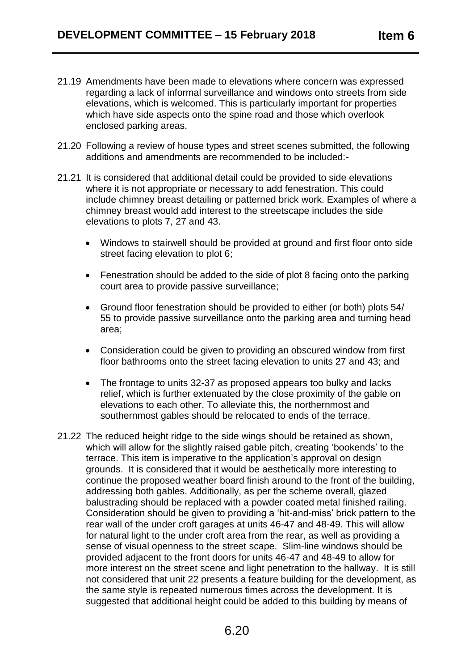- 21.19 Amendments have been made to elevations where concern was expressed regarding a lack of informal surveillance and windows onto streets from side elevations, which is welcomed. This is particularly important for properties which have side aspects onto the spine road and those which overlook enclosed parking areas.
- 21.20 Following a review of house types and street scenes submitted, the following additions and amendments are recommended to be included:-
- 21.21 It is considered that additional detail could be provided to side elevations where it is not appropriate or necessary to add fenestration. This could include chimney breast detailing or patterned brick work. Examples of where a chimney breast would add interest to the streetscape includes the side elevations to plots 7, 27 and 43.
	- Windows to stairwell should be provided at ground and first floor onto side street facing elevation to plot 6;
	- Fenestration should be added to the side of plot 8 facing onto the parking court area to provide passive surveillance;
	- Ground floor fenestration should be provided to either (or both) plots 54/ 55 to provide passive surveillance onto the parking area and turning head area;
	- Consideration could be given to providing an obscured window from first floor bathrooms onto the street facing elevation to units 27 and 43; and
	- The frontage to units 32-37 as proposed appears too bulky and lacks relief, which is further extenuated by the close proximity of the gable on elevations to each other. To alleviate this, the northernmost and southernmost gables should be relocated to ends of the terrace.
- 21.22 The reduced height ridge to the side wings should be retained as shown, which will allow for the slightly raised gable pitch, creating 'bookends' to the terrace. This item is imperative to the application's approval on design grounds. It is considered that it would be aesthetically more interesting to continue the proposed weather board finish around to the front of the building, addressing both gables. Additionally, as per the scheme overall, glazed balustrading should be replaced with a powder coated metal finished railing. Consideration should be given to providing a 'hit-and-miss' brick pattern to the rear wall of the under croft garages at units 46-47 and 48-49. This will allow for natural light to the under croft area from the rear, as well as providing a sense of visual openness to the street scape. Slim-line windows should be provided adjacent to the front doors for units 46-47 and 48-49 to allow for more interest on the street scene and light penetration to the hallway. It is still not considered that unit 22 presents a feature building for the development, as the same style is repeated numerous times across the development. It is suggested that additional height could be added to this building by means of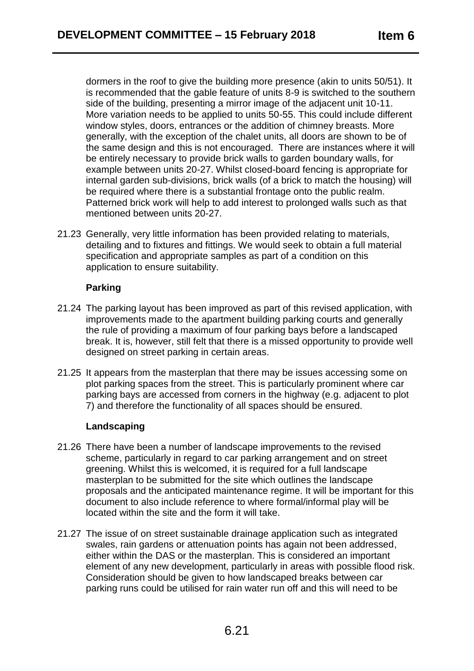dormers in the roof to give the building more presence (akin to units 50/51). It is recommended that the gable feature of units 8-9 is switched to the southern side of the building, presenting a mirror image of the adjacent unit 10-11. More variation needs to be applied to units 50-55. This could include different window styles, doors, entrances or the addition of chimney breasts. More generally, with the exception of the chalet units, all doors are shown to be of the same design and this is not encouraged. There are instances where it will be entirely necessary to provide brick walls to garden boundary walls, for example between units 20-27. Whilst closed-board fencing is appropriate for internal garden sub-divisions, brick walls (of a brick to match the housing) will be required where there is a substantial frontage onto the public realm. Patterned brick work will help to add interest to prolonged walls such as that mentioned between units 20-27.

21.23 Generally, very little information has been provided relating to materials, detailing and to fixtures and fittings. We would seek to obtain a full material specification and appropriate samples as part of a condition on this application to ensure suitability.

# **Parking**

- 21.24 The parking layout has been improved as part of this revised application, with improvements made to the apartment building parking courts and generally the rule of providing a maximum of four parking bays before a landscaped break. It is, however, still felt that there is a missed opportunity to provide well designed on street parking in certain areas.
- 21.25 It appears from the masterplan that there may be issues accessing some on plot parking spaces from the street. This is particularly prominent where car parking bays are accessed from corners in the highway (e.g. adjacent to plot 7) and therefore the functionality of all spaces should be ensured.

# **Landscaping**

- 21.26 There have been a number of landscape improvements to the revised scheme, particularly in regard to car parking arrangement and on street greening. Whilst this is welcomed, it is required for a full landscape masterplan to be submitted for the site which outlines the landscape proposals and the anticipated maintenance regime. It will be important for this document to also include reference to where formal/informal play will be located within the site and the form it will take.
- 21.27 The issue of on street sustainable drainage application such as integrated swales, rain gardens or attenuation points has again not been addressed, either within the DAS or the masterplan. This is considered an important element of any new development, particularly in areas with possible flood risk. Consideration should be given to how landscaped breaks between car parking runs could be utilised for rain water run off and this will need to be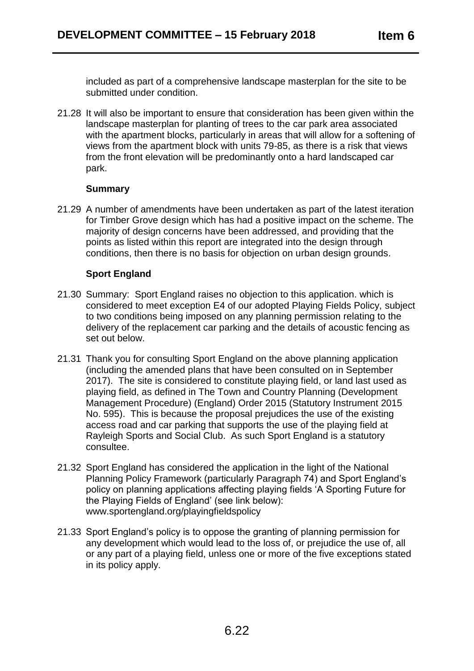included as part of a comprehensive landscape masterplan for the site to be submitted under condition.

21.28 It will also be important to ensure that consideration has been given within the landscape masterplan for planting of trees to the car park area associated with the apartment blocks, particularly in areas that will allow for a softening of views from the apartment block with units 79-85, as there is a risk that views from the front elevation will be predominantly onto a hard landscaped car park.

## **Summary**

21.29 A number of amendments have been undertaken as part of the latest iteration for Timber Grove design which has had a positive impact on the scheme. The majority of design concerns have been addressed, and providing that the points as listed within this report are integrated into the design through conditions, then there is no basis for objection on urban design grounds.

# **Sport England**

- 21.30 Summary: Sport England raises no objection to this application. which is considered to meet exception E4 of our adopted Playing Fields Policy, subject to two conditions being imposed on any planning permission relating to the delivery of the replacement car parking and the details of acoustic fencing as set out below.
- 21.31 Thank you for consulting Sport England on the above planning application (including the amended plans that have been consulted on in September 2017). The site is considered to constitute playing field, or land last used as playing field, as defined in The Town and Country Planning (Development Management Procedure) (England) Order 2015 (Statutory Instrument 2015 No. 595). This is because the proposal prejudices the use of the existing access road and car parking that supports the use of the playing field at Rayleigh Sports and Social Club. As such Sport England is a statutory consultee.
- 21.32 Sport England has considered the application in the light of the National Planning Policy Framework (particularly Paragraph 74) and Sport England's policy on planning applications affecting playing fields 'A Sporting Future for the Playing Fields of England' (see link below): www.sportengland.org/playingfieldspolicy
- 21.33 Sport England's policy is to oppose the granting of planning permission for any development which would lead to the loss of, or prejudice the use of, all or any part of a playing field, unless one or more of the five exceptions stated in its policy apply.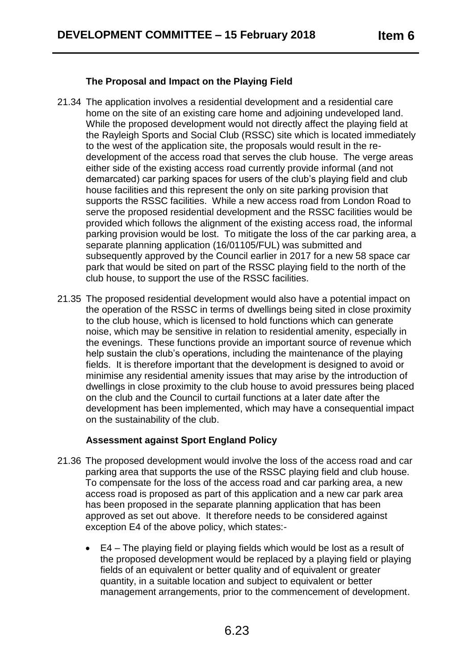## **The Proposal and Impact on the Playing Field**

- 21.34 The application involves a residential development and a residential care home on the site of an existing care home and adjoining undeveloped land. While the proposed development would not directly affect the playing field at the Rayleigh Sports and Social Club (RSSC) site which is located immediately to the west of the application site, the proposals would result in the redevelopment of the access road that serves the club house. The verge areas either side of the existing access road currently provide informal (and not demarcated) car parking spaces for users of the club's playing field and club house facilities and this represent the only on site parking provision that supports the RSSC facilities. While a new access road from London Road to serve the proposed residential development and the RSSC facilities would be provided which follows the alignment of the existing access road, the informal parking provision would be lost. To mitigate the loss of the car parking area, a separate planning application (16/01105/FUL) was submitted and subsequently approved by the Council earlier in 2017 for a new 58 space car park that would be sited on part of the RSSC playing field to the north of the club house, to support the use of the RSSC facilities.
- 21.35 The proposed residential development would also have a potential impact on the operation of the RSSC in terms of dwellings being sited in close proximity to the club house, which is licensed to hold functions which can generate noise, which may be sensitive in relation to residential amenity, especially in the evenings. These functions provide an important source of revenue which help sustain the club's operations, including the maintenance of the playing fields. It is therefore important that the development is designed to avoid or minimise any residential amenity issues that may arise by the introduction of dwellings in close proximity to the club house to avoid pressures being placed on the club and the Council to curtail functions at a later date after the development has been implemented, which may have a consequential impact on the sustainability of the club.

## **Assessment against Sport England Policy**

- 21.36 The proposed development would involve the loss of the access road and car parking area that supports the use of the RSSC playing field and club house. To compensate for the loss of the access road and car parking area, a new access road is proposed as part of this application and a new car park area has been proposed in the separate planning application that has been approved as set out above. It therefore needs to be considered against exception E4 of the above policy, which states:-
	- E4 The playing field or playing fields which would be lost as a result of the proposed development would be replaced by a playing field or playing fields of an equivalent or better quality and of equivalent or greater quantity, in a suitable location and subject to equivalent or better management arrangements, prior to the commencement of development.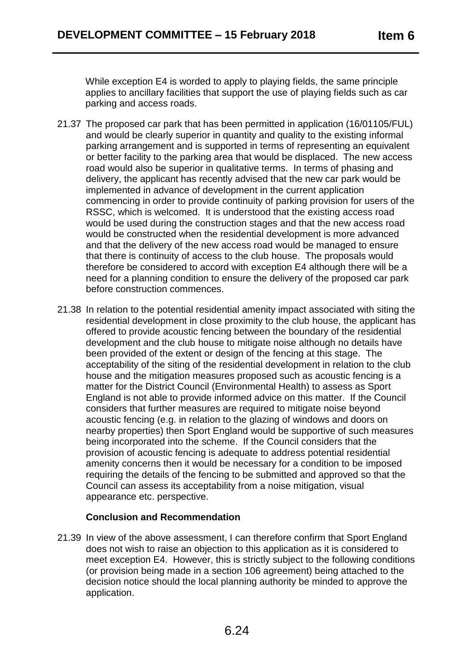While exception E4 is worded to apply to playing fields, the same principle applies to ancillary facilities that support the use of playing fields such as car parking and access roads.

- 21.37 The proposed car park that has been permitted in application (16/01105/FUL) and would be clearly superior in quantity and quality to the existing informal parking arrangement and is supported in terms of representing an equivalent or better facility to the parking area that would be displaced. The new access road would also be superior in qualitative terms. In terms of phasing and delivery, the applicant has recently advised that the new car park would be implemented in advance of development in the current application commencing in order to provide continuity of parking provision for users of the RSSC, which is welcomed. It is understood that the existing access road would be used during the construction stages and that the new access road would be constructed when the residential development is more advanced and that the delivery of the new access road would be managed to ensure that there is continuity of access to the club house. The proposals would therefore be considered to accord with exception E4 although there will be a need for a planning condition to ensure the delivery of the proposed car park before construction commences.
- 21.38 In relation to the potential residential amenity impact associated with siting the residential development in close proximity to the club house, the applicant has offered to provide acoustic fencing between the boundary of the residential development and the club house to mitigate noise although no details have been provided of the extent or design of the fencing at this stage. The acceptability of the siting of the residential development in relation to the club house and the mitigation measures proposed such as acoustic fencing is a matter for the District Council (Environmental Health) to assess as Sport England is not able to provide informed advice on this matter. If the Council considers that further measures are required to mitigate noise beyond acoustic fencing (e.g. in relation to the glazing of windows and doors on nearby properties) then Sport England would be supportive of such measures being incorporated into the scheme. If the Council considers that the provision of acoustic fencing is adequate to address potential residential amenity concerns then it would be necessary for a condition to be imposed requiring the details of the fencing to be submitted and approved so that the Council can assess its acceptability from a noise mitigation, visual appearance etc. perspective.

# **Conclusion and Recommendation**

21.39 In view of the above assessment, I can therefore confirm that Sport England does not wish to raise an objection to this application as it is considered to meet exception E4. However, this is strictly subject to the following conditions (or provision being made in a section 106 agreement) being attached to the decision notice should the local planning authority be minded to approve the application.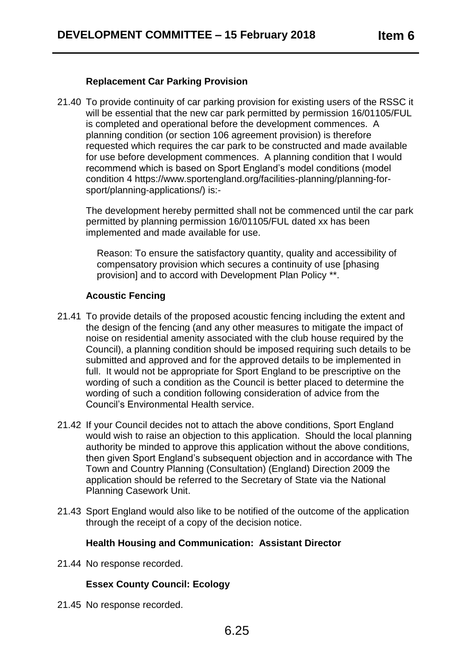## **Replacement Car Parking Provision**

21.40 To provide continuity of car parking provision for existing users of the RSSC it will be essential that the new car park permitted by permission 16/01105/FUL is completed and operational before the development commences. A planning condition (or section 106 agreement provision) is therefore requested which requires the car park to be constructed and made available for use before development commences. A planning condition that I would recommend which is based on Sport England's model conditions (model condition 4 https://www.sportengland.org/facilities-planning/planning-forsport/planning-applications/) is:-

The development hereby permitted shall not be commenced until the car park permitted by planning permission 16/01105/FUL dated xx has been implemented and made available for use.

Reason: To ensure the satisfactory quantity, quality and accessibility of compensatory provision which secures a continuity of use [phasing provision] and to accord with Development Plan Policy \*\*.

# **Acoustic Fencing**

- 21.41 To provide details of the proposed acoustic fencing including the extent and the design of the fencing (and any other measures to mitigate the impact of noise on residential amenity associated with the club house required by the Council), a planning condition should be imposed requiring such details to be submitted and approved and for the approved details to be implemented in full. It would not be appropriate for Sport England to be prescriptive on the wording of such a condition as the Council is better placed to determine the wording of such a condition following consideration of advice from the Council's Environmental Health service.
- 21.42 If your Council decides not to attach the above conditions, Sport England would wish to raise an objection to this application. Should the local planning authority be minded to approve this application without the above conditions, then given Sport England's subsequent objection and in accordance with The Town and Country Planning (Consultation) (England) Direction 2009 the application should be referred to the Secretary of State via the National Planning Casework Unit.
- 21.43 Sport England would also like to be notified of the outcome of the application through the receipt of a copy of the decision notice.

## **Health Housing and Communication: Assistant Director**

21.44 No response recorded.

# **Essex County Council: Ecology**

21.45 No response recorded.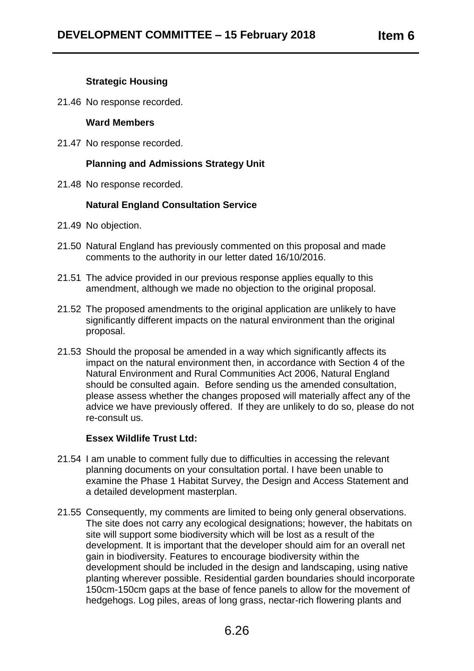# **Strategic Housing**

21.46 No response recorded.

#### **Ward Members**

21.47 No response recorded.

# **Planning and Admissions Strategy Unit**

21.48 No response recorded.

## **Natural England Consultation Service**

- 21.49 No objection.
- 21.50 Natural England has previously commented on this proposal and made comments to the authority in our letter dated 16/10/2016.
- 21.51 The advice provided in our previous response applies equally to this amendment, although we made no objection to the original proposal.
- 21.52 The proposed amendments to the original application are unlikely to have significantly different impacts on the natural environment than the original proposal.
- 21.53 Should the proposal be amended in a way which significantly affects its impact on the natural environment then, in accordance with Section 4 of the Natural Environment and Rural Communities Act 2006, Natural England should be consulted again. Before sending us the amended consultation, please assess whether the changes proposed will materially affect any of the advice we have previously offered. If they are unlikely to do so, please do not re-consult us.

## **Essex Wildlife Trust Ltd:**

- 21.54 I am unable to comment fully due to difficulties in accessing the relevant planning documents on your consultation portal. I have been unable to examine the Phase 1 Habitat Survey, the Design and Access Statement and a detailed development masterplan.
- 21.55 Consequently, my comments are limited to being only general observations. The site does not carry any ecological designations; however, the habitats on site will support some biodiversity which will be lost as a result of the development. It is important that the developer should aim for an overall net gain in biodiversity. Features to encourage biodiversity within the development should be included in the design and landscaping, using native planting wherever possible. Residential garden boundaries should incorporate 150cm-150cm gaps at the base of fence panels to allow for the movement of hedgehogs. Log piles, areas of long grass, nectar-rich flowering plants and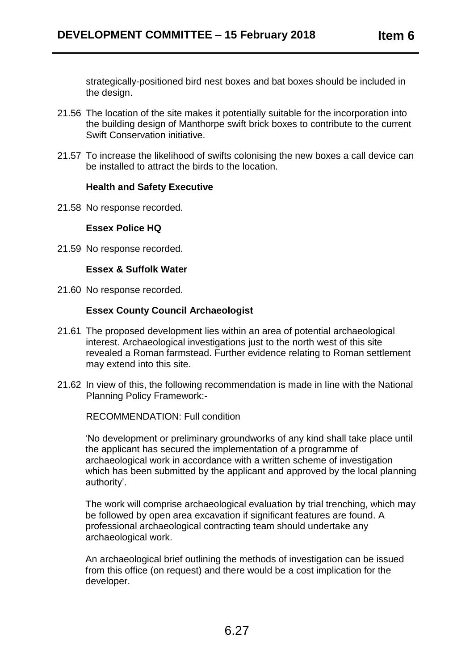strategically-positioned bird nest boxes and bat boxes should be included in the design.

- 21.56 The location of the site makes it potentially suitable for the incorporation into the building design of Manthorpe swift brick boxes to contribute to the current Swift Conservation initiative.
- 21.57 To increase the likelihood of swifts colonising the new boxes a call device can be installed to attract the birds to the location.

#### **Health and Safety Executive**

21.58 No response recorded.

#### **Essex Police HQ**

21.59 No response recorded.

## **Essex & Suffolk Water**

21.60 No response recorded.

## **Essex County Council Archaeologist**

- 21.61 The proposed development lies within an area of potential archaeological interest. Archaeological investigations just to the north west of this site revealed a Roman farmstead. Further evidence relating to Roman settlement may extend into this site.
- 21.62 In view of this, the following recommendation is made in line with the National Planning Policy Framework:-

RECOMMENDATION: Full condition

'No development or preliminary groundworks of any kind shall take place until the applicant has secured the implementation of a programme of archaeological work in accordance with a written scheme of investigation which has been submitted by the applicant and approved by the local planning authority'.

The work will comprise archaeological evaluation by trial trenching, which may be followed by open area excavation if significant features are found. A professional archaeological contracting team should undertake any archaeological work.

An archaeological brief outlining the methods of investigation can be issued from this office (on request) and there would be a cost implication for the developer.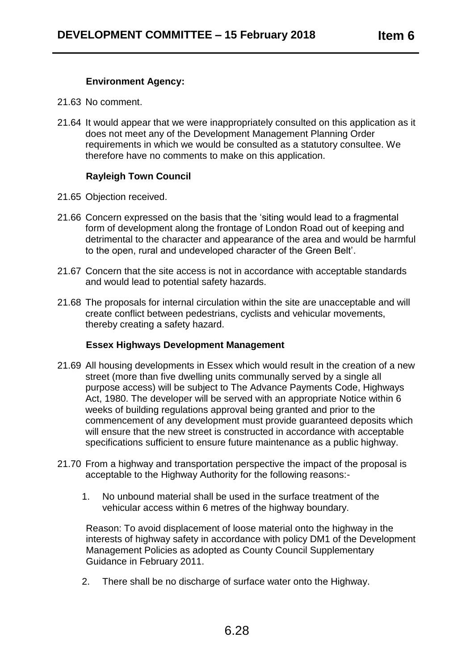# **Environment Agency:**

- 21.63 No comment.
- 21.64 It would appear that we were inappropriately consulted on this application as it does not meet any of the Development Management Planning Order requirements in which we would be consulted as a statutory consultee. We therefore have no comments to make on this application.

# **Rayleigh Town Council**

- 21.65 Objection received.
- 21.66 Concern expressed on the basis that the 'siting would lead to a fragmental form of development along the frontage of London Road out of keeping and detrimental to the character and appearance of the area and would be harmful to the open, rural and undeveloped character of the Green Belt'.
- 21.67 Concern that the site access is not in accordance with acceptable standards and would lead to potential safety hazards.
- 21.68 The proposals for internal circulation within the site are unacceptable and will create conflict between pedestrians, cyclists and vehicular movements, thereby creating a safety hazard.

# **Essex Highways Development Management**

- 21.69 All housing developments in Essex which would result in the creation of a new street (more than five dwelling units communally served by a single all purpose access) will be subject to The Advance Payments Code, Highways Act, 1980. The developer will be served with an appropriate Notice within 6 weeks of building regulations approval being granted and prior to the commencement of any development must provide guaranteed deposits which will ensure that the new street is constructed in accordance with acceptable specifications sufficient to ensure future maintenance as a public highway.
- 21.70 From a highway and transportation perspective the impact of the proposal is acceptable to the Highway Authority for the following reasons:-
	- 1. No unbound material shall be used in the surface treatment of the vehicular access within 6 metres of the highway boundary.

Reason: To avoid displacement of loose material onto the highway in the interests of highway safety in accordance with policy DM1 of the Development Management Policies as adopted as County Council Supplementary Guidance in February 2011.

2. There shall be no discharge of surface water onto the Highway.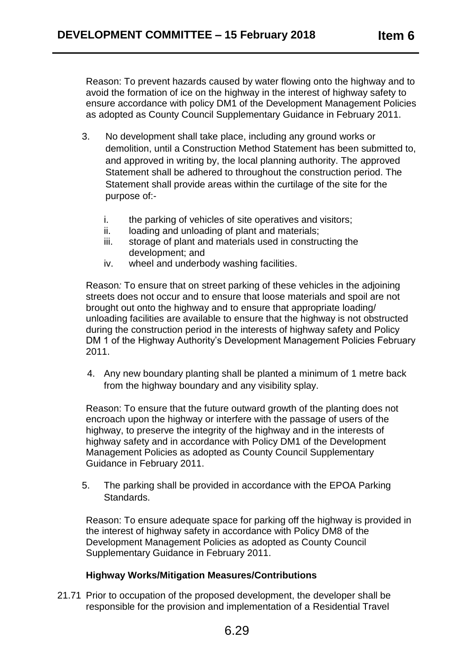Reason: To prevent hazards caused by water flowing onto the highway and to avoid the formation of ice on the highway in the interest of highway safety to ensure accordance with policy DM1 of the Development Management Policies as adopted as County Council Supplementary Guidance in February 2011.

- 3. No development shall take place, including any ground works or demolition, until a Construction Method Statement has been submitted to, and approved in writing by, the local planning authority. The approved Statement shall be adhered to throughout the construction period. The Statement shall provide areas within the curtilage of the site for the purpose of:
	- i. the parking of vehicles of site operatives and visitors;
	- ii. loading and unloading of plant and materials;
	- iii. storage of plant and materials used in constructing the development; and
	- iv. wheel and underbody washing facilities.

Reason*:* To ensure that on street parking of these vehicles in the adjoining streets does not occur and to ensure that loose materials and spoil are not brought out onto the highway and to ensure that appropriate loading/ unloading facilities are available to ensure that the highway is not obstructed during the construction period in the interests of highway safety and Policy DM 1 of the Highway Authority's Development Management Policies February 2011.

4. Any new boundary planting shall be planted a minimum of 1 metre back from the highway boundary and any visibility splay.

Reason: To ensure that the future outward growth of the planting does not encroach upon the highway or interfere with the passage of users of the highway, to preserve the integrity of the highway and in the interests of highway safety and in accordance with Policy DM1 of the Development Management Policies as adopted as County Council Supplementary Guidance in February 2011.

5. The parking shall be provided in accordance with the EPOA Parking Standards.

Reason: To ensure adequate space for parking off the highway is provided in the interest of highway safety in accordance with Policy DM8 of the Development Management Policies as adopted as County Council Supplementary Guidance in February 2011.

# **Highway Works/Mitigation Measures/Contributions**

21.71 Prior to occupation of the proposed development, the developer shall be responsible for the provision and implementation of a Residential Travel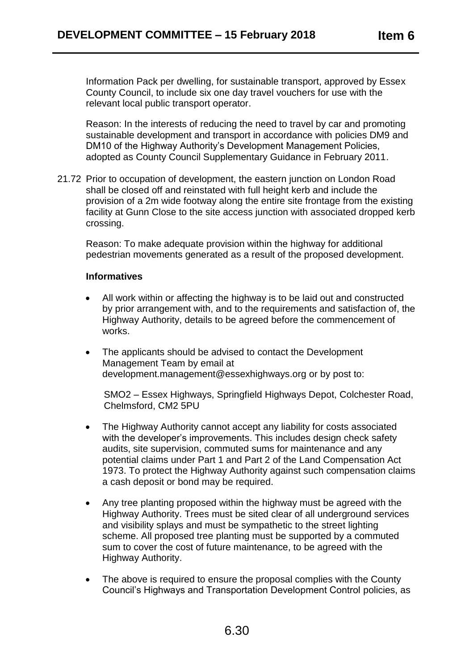Information Pack per dwelling, for sustainable transport, approved by Essex County Council, to include six one day travel vouchers for use with the relevant local public transport operator.

Reason: In the interests of reducing the need to travel by car and promoting sustainable development and transport in accordance with policies DM9 and DM10 of the Highway Authority's Development Management Policies, adopted as County Council Supplementary Guidance in February 2011.

21.72 Prior to occupation of development, the eastern junction on London Road shall be closed off and reinstated with full height kerb and include the provision of a 2m wide footway along the entire site frontage from the existing facility at Gunn Close to the site access junction with associated dropped kerb crossing.

Reason: To make adequate provision within the highway for additional pedestrian movements generated as a result of the proposed development.

#### **Informatives**

- All work within or affecting the highway is to be laid out and constructed by prior arrangement with, and to the requirements and satisfaction of, the Highway Authority, details to be agreed before the commencement of works.
- The applicants should be advised to contact the Development Management Team by email at [development.management@essexhighways.org](mailto:development.management@essexhighways.org) or by post to:

SMO2 – Essex Highways, Springfield Highways Depot, Colchester Road, Chelmsford, CM2 5PU

- The Highway Authority cannot accept any liability for costs associated with the developer's improvements. This includes design check safety audits, site supervision, commuted sums for maintenance and any potential claims under Part 1 and Part 2 of the Land Compensation Act 1973. To protect the Highway Authority against such compensation claims a cash deposit or bond may be required.
- Any tree planting proposed within the highway must be agreed with the Highway Authority. Trees must be sited clear of all underground services and visibility splays and must be sympathetic to the street lighting scheme. All proposed tree planting must be supported by a commuted sum to cover the cost of future maintenance, to be agreed with the Highway Authority.
- The above is required to ensure the proposal complies with the County Council's Highways and Transportation Development Control policies, as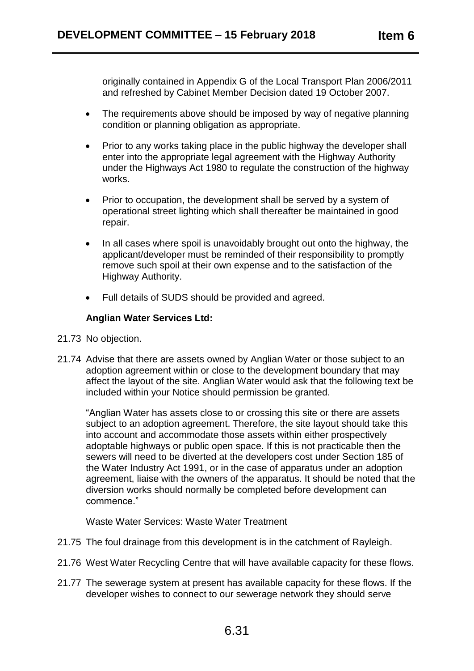originally contained in Appendix G of the Local Transport Plan 2006/2011 and refreshed by Cabinet Member Decision dated 19 October 2007.

- The requirements above should be imposed by way of negative planning condition or planning obligation as appropriate.
- Prior to any works taking place in the public highway the developer shall enter into the appropriate legal agreement with the Highway Authority under the Highways Act 1980 to regulate the construction of the highway works.
- Prior to occupation, the development shall be served by a system of operational street lighting which shall thereafter be maintained in good repair.
- In all cases where spoil is unavoidably brought out onto the highway, the applicant/developer must be reminded of their responsibility to promptly remove such spoil at their own expense and to the satisfaction of the Highway Authority.
- Full details of SUDS should be provided and agreed.

# **Anglian Water Services Ltd:**

- 21.73 No objection.
- 21.74 Advise that there are assets owned by Anglian Water or those subject to an adoption agreement within or close to the development boundary that may affect the layout of the site. Anglian Water would ask that the following text be included within your Notice should permission be granted.

"Anglian Water has assets close to or crossing this site or there are assets subject to an adoption agreement. Therefore, the site layout should take this into account and accommodate those assets within either prospectively adoptable highways or public open space. If this is not practicable then the sewers will need to be diverted at the developers cost under Section 185 of the Water Industry Act 1991, or in the case of apparatus under an adoption agreement, liaise with the owners of the apparatus. It should be noted that the diversion works should normally be completed before development can commence."

Waste Water Services: Waste Water Treatment

- 21.75 The foul drainage from this development is in the catchment of Rayleigh.
- 21.76 West Water Recycling Centre that will have available capacity for these flows.
- 21.77 The sewerage system at present has available capacity for these flows. If the developer wishes to connect to our sewerage network they should serve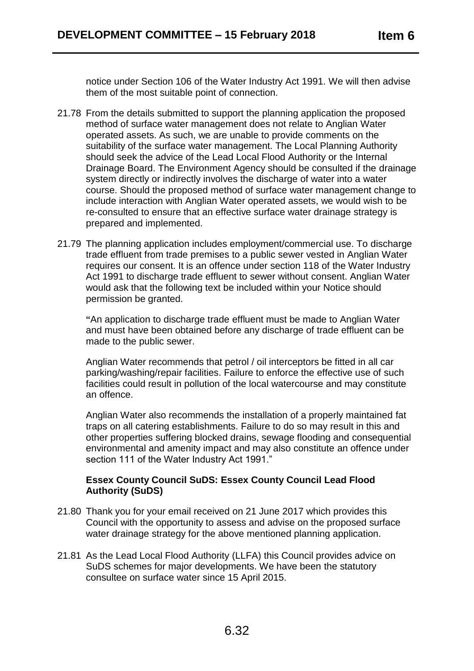notice under Section 106 of the Water Industry Act 1991. We will then advise them of the most suitable point of connection.

- 21.78 From the details submitted to support the planning application the proposed method of surface water management does not relate to Anglian Water operated assets. As such, we are unable to provide comments on the suitability of the surface water management. The Local Planning Authority should seek the advice of the Lead Local Flood Authority or the Internal Drainage Board. The Environment Agency should be consulted if the drainage system directly or indirectly involves the discharge of water into a water course. Should the proposed method of surface water management change to include interaction with Anglian Water operated assets, we would wish to be re-consulted to ensure that an effective surface water drainage strategy is prepared and implemented.
- 21.79 The planning application includes employment/commercial use. To discharge trade effluent from trade premises to a public sewer vested in Anglian Water requires our consent. It is an offence under section 118 of the Water Industry Act 1991 to discharge trade effluent to sewer without consent. Anglian Water would ask that the following text be included within your Notice should permission be granted.

**"**An application to discharge trade effluent must be made to Anglian Water and must have been obtained before any discharge of trade effluent can be made to the public sewer.

Anglian Water recommends that petrol / oil interceptors be fitted in all car parking/washing/repair facilities. Failure to enforce the effective use of such facilities could result in pollution of the local watercourse and may constitute an offence.

Anglian Water also recommends the installation of a properly maintained fat traps on all catering establishments. Failure to do so may result in this and other properties suffering blocked drains, sewage flooding and consequential environmental and amenity impact and may also constitute an offence under section 111 of the Water Industry Act 1991."

# **Essex County Council SuDS: Essex County Council Lead Flood Authority (SuDS)**

- 21.80 Thank you for your email received on 21 June 2017 which provides this Council with the opportunity to assess and advise on the proposed surface water drainage strategy for the above mentioned planning application.
- 21.81 As the Lead Local Flood Authority (LLFA) this Council provides advice on SuDS schemes for major developments. We have been the statutory consultee on surface water since 15 April 2015.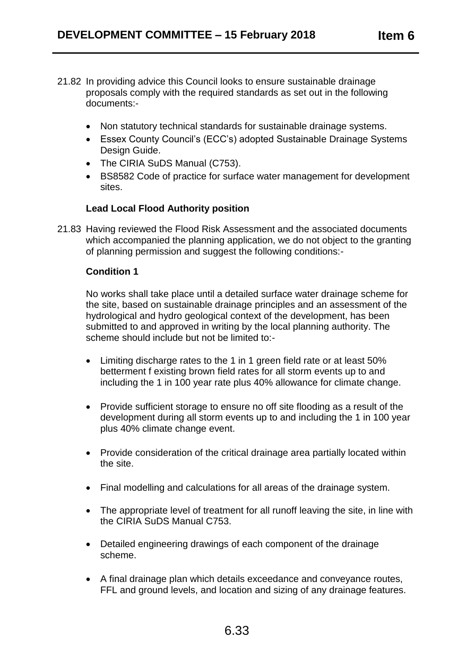- 21.82 In providing advice this Council looks to ensure sustainable drainage proposals comply with the required standards as set out in the following documents:-
	- Non statutory technical standards for sustainable drainage systems.
	- Essex County Council's (ECC's) adopted Sustainable Drainage Systems Design Guide.
	- The CIRIA SuDS Manual (C753).
	- BS8582 Code of practice for surface water management for development sites.

# **Lead Local Flood Authority position**

21.83 Having reviewed the Flood Risk Assessment and the associated documents which accompanied the planning application, we do not object to the granting of planning permission and suggest the following conditions:-

## **Condition 1**

No works shall take place until a detailed surface water drainage scheme for the site, based on sustainable drainage principles and an assessment of the hydrological and hydro geological context of the development, has been submitted to and approved in writing by the local planning authority. The scheme should include but not be limited to:-

- Limiting discharge rates to the 1 in 1 green field rate or at least 50% betterment f existing brown field rates for all storm events up to and including the 1 in 100 year rate plus 40% allowance for climate change.
- Provide sufficient storage to ensure no off site flooding as a result of the development during all storm events up to and including the 1 in 100 year plus 40% climate change event.
- Provide consideration of the critical drainage area partially located within the site.
- Final modelling and calculations for all areas of the drainage system.
- The appropriate level of treatment for all runoff leaving the site, in line with the CIRIA SuDS Manual C753.
- Detailed engineering drawings of each component of the drainage scheme.
- A final drainage plan which details exceedance and conveyance routes, FFL and ground levels, and location and sizing of any drainage features.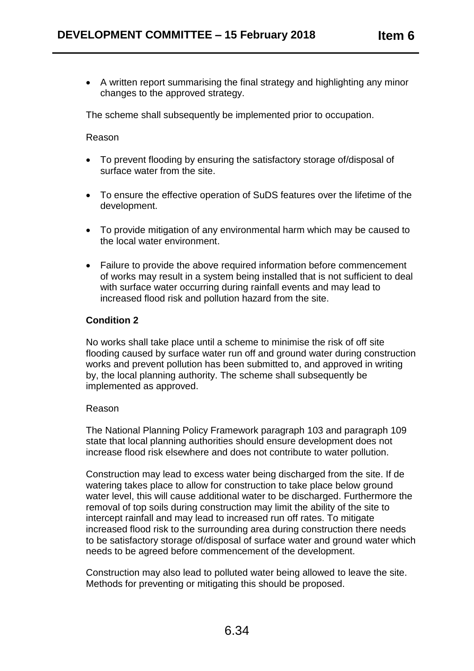A written report summarising the final strategy and highlighting any minor changes to the approved strategy.

The scheme shall subsequently be implemented prior to occupation.

Reason

- To prevent flooding by ensuring the satisfactory storage of/disposal of surface water from the site.
- To ensure the effective operation of SuDS features over the lifetime of the development.
- To provide mitigation of any environmental harm which may be caused to the local water environment.
- Failure to provide the above required information before commencement of works may result in a system being installed that is not sufficient to deal with surface water occurring during rainfall events and may lead to increased flood risk and pollution hazard from the site.

# **Condition 2**

No works shall take place until a scheme to minimise the risk of off site flooding caused by surface water run off and ground water during construction works and prevent pollution has been submitted to, and approved in writing by, the local planning authority. The scheme shall subsequently be implemented as approved.

## Reason

The National Planning Policy Framework paragraph 103 and paragraph 109 state that local planning authorities should ensure development does not increase flood risk elsewhere and does not contribute to water pollution.

Construction may lead to excess water being discharged from the site. If de watering takes place to allow for construction to take place below ground water level, this will cause additional water to be discharged. Furthermore the removal of top soils during construction may limit the ability of the site to intercept rainfall and may lead to increased run off rates. To mitigate increased flood risk to the surrounding area during construction there needs to be satisfactory storage of/disposal of surface water and ground water which needs to be agreed before commencement of the development.

Construction may also lead to polluted water being allowed to leave the site. Methods for preventing or mitigating this should be proposed.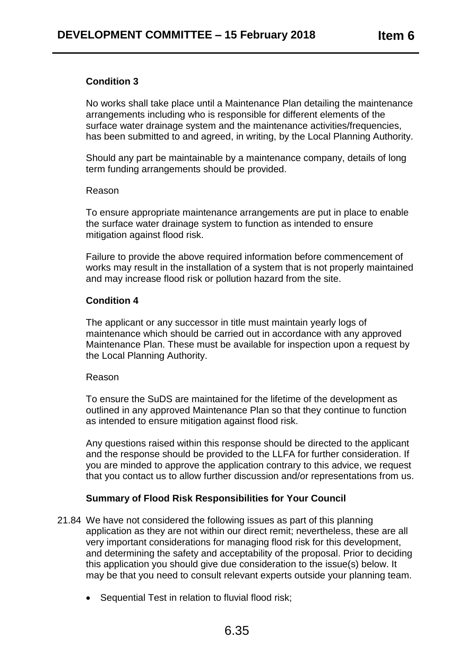# **Condition 3**

No works shall take place until a Maintenance Plan detailing the maintenance arrangements including who is responsible for different elements of the surface water drainage system and the maintenance activities/frequencies, has been submitted to and agreed, in writing, by the Local Planning Authority.

Should any part be maintainable by a maintenance company, details of long term funding arrangements should be provided.

#### Reason

To ensure appropriate maintenance arrangements are put in place to enable the surface water drainage system to function as intended to ensure mitigation against flood risk.

Failure to provide the above required information before commencement of works may result in the installation of a system that is not properly maintained and may increase flood risk or pollution hazard from the site.

## **Condition 4**

The applicant or any successor in title must maintain yearly logs of maintenance which should be carried out in accordance with any approved Maintenance Plan. These must be available for inspection upon a request by the Local Planning Authority.

#### Reason

To ensure the SuDS are maintained for the lifetime of the development as outlined in any approved Maintenance Plan so that they continue to function as intended to ensure mitigation against flood risk.

Any questions raised within this response should be directed to the applicant and the response should be provided to the LLFA for further consideration. If you are minded to approve the application contrary to this advice, we request that you contact us to allow further discussion and/or representations from us.

## **Summary of Flood Risk Responsibilities for Your Council**

- 21.84 We have not considered the following issues as part of this planning application as they are not within our direct remit; nevertheless, these are all very important considerations for managing flood risk for this development, and determining the safety and acceptability of the proposal. Prior to deciding this application you should give due consideration to the issue(s) below. It may be that you need to consult relevant experts outside your planning team.
	- Sequential Test in relation to fluvial flood risk;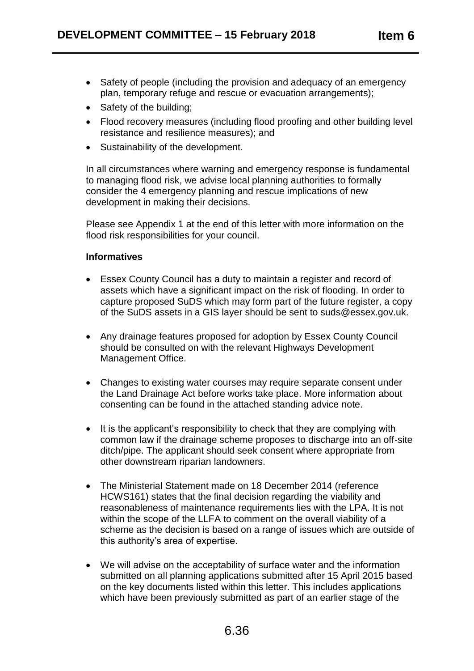- Safety of people (including the provision and adequacy of an emergency plan, temporary refuge and rescue or evacuation arrangements);
- Safety of the building;
- Flood recovery measures (including flood proofing and other building level resistance and resilience measures); and
- Sustainability of the development.

In all circumstances where warning and emergency response is fundamental to managing flood risk, we advise local planning authorities to formally consider the 4 emergency planning and rescue implications of new development in making their decisions.

Please see Appendix 1 at the end of this letter with more information on the flood risk responsibilities for your council.

## **Informatives**

- Essex County Council has a duty to maintain a register and record of assets which have a significant impact on the risk of flooding. In order to capture proposed SuDS which may form part of the future register, a copy of the SuDS assets in a GIS layer should be sent to suds@essex.gov.uk.
- Any drainage features proposed for adoption by Essex County Council should be consulted on with the relevant Highways Development Management Office.
- Changes to existing water courses may require separate consent under the Land Drainage Act before works take place. More information about consenting can be found in the attached standing advice note.
- It is the applicant's responsibility to check that they are complying with common law if the drainage scheme proposes to discharge into an off-site ditch/pipe. The applicant should seek consent where appropriate from other downstream riparian landowners.
- The Ministerial Statement made on 18 December 2014 (reference HCWS161) states that the final decision regarding the viability and reasonableness of maintenance requirements lies with the LPA. It is not within the scope of the LLFA to comment on the overall viability of a scheme as the decision is based on a range of issues which are outside of this authority's area of expertise.
- We will advise on the acceptability of surface water and the information submitted on all planning applications submitted after 15 April 2015 based on the key documents listed within this letter. This includes applications which have been previously submitted as part of an earlier stage of the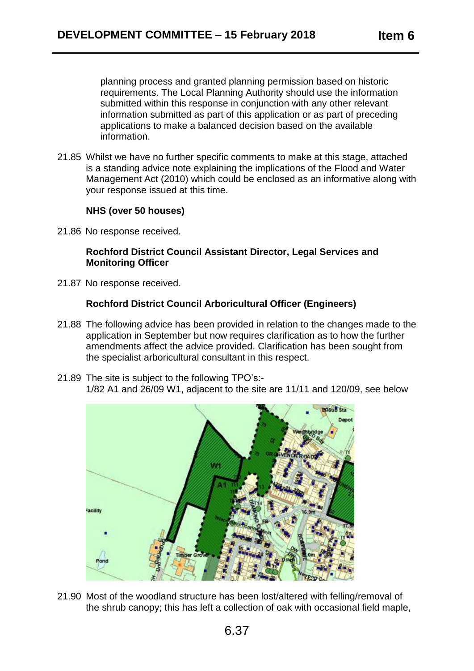planning process and granted planning permission based on historic requirements. The Local Planning Authority should use the information submitted within this response in conjunction with any other relevant information submitted as part of this application or as part of preceding applications to make a balanced decision based on the available information.

21.85 Whilst we have no further specific comments to make at this stage, attached is a standing advice note explaining the implications of the Flood and Water Management Act (2010) which could be enclosed as an informative along with your response issued at this time.

## **NHS (over 50 houses)**

21.86 No response received.

### **Rochford District Council Assistant Director, Legal Services and Monitoring Officer**

21.87 No response received.

## **Rochford District Council Arboricultural Officer (Engineers)**

- 21.88 The following advice has been provided in relation to the changes made to the application in September but now requires clarification as to how the further amendments affect the advice provided. Clarification has been sought from the specialist arboricultural consultant in this respect.
- 21.89 The site is subject to the following TPO's:- 1/82 A1 and 26/09 W1, adjacent to the site are 11/11 and 120/09, see below



21.90 Most of the woodland structure has been lost/altered with felling/removal of the shrub canopy; this has left a collection of oak with occasional field maple,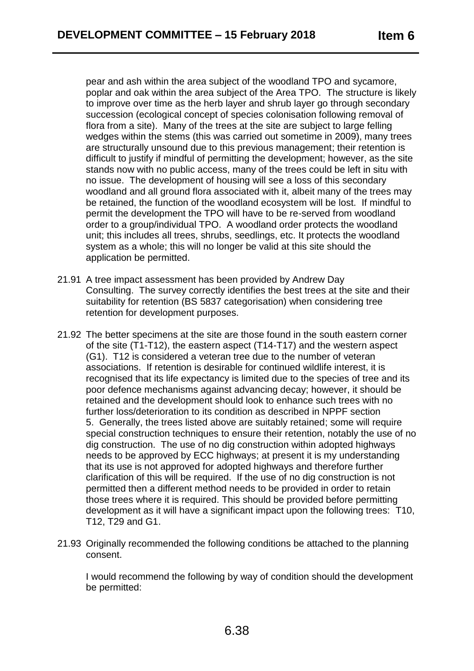pear and ash within the area subject of the woodland TPO and sycamore, poplar and oak within the area subject of the Area TPO. The structure is likely to improve over time as the herb layer and shrub layer go through secondary succession (ecological concept of species colonisation following removal of flora from a site). Many of the trees at the site are subject to large felling wedges within the stems (this was carried out sometime in 2009), many trees are structurally unsound due to this previous management; their retention is difficult to justify if mindful of permitting the development; however, as the site stands now with no public access, many of the trees could be left in situ with no issue. The development of housing will see a loss of this secondary woodland and all ground flora associated with it, albeit many of the trees may be retained, the function of the woodland ecosystem will be lost. If mindful to permit the development the TPO will have to be re-served from woodland order to a group/individual TPO. A woodland order protects the woodland unit; this includes all trees, shrubs, seedlings, etc. It protects the woodland system as a whole; this will no longer be valid at this site should the application be permitted.

- 21.91 A tree impact assessment has been provided by Andrew Day Consulting. The survey correctly identifies the best trees at the site and their suitability for retention (BS 5837 categorisation) when considering tree retention for development purposes.
- 21.92 The better specimens at the site are those found in the south eastern corner of the site (T1-T12), the eastern aspect (T14-T17) and the western aspect (G1). T12 is considered a veteran tree due to the number of veteran associations. If retention is desirable for continued wildlife interest, it is recognised that its life expectancy is limited due to the species of tree and its poor defence mechanisms against advancing decay; however, it should be retained and the development should look to enhance such trees with no further loss/deterioration to its condition as described in NPPF section 5. Generally, the trees listed above are suitably retained; some will require special construction techniques to ensure their retention, notably the use of no dig construction. The use of no dig construction within adopted highways needs to be approved by ECC highways; at present it is my understanding that its use is not approved for adopted highways and therefore further clarification of this will be required. If the use of no dig construction is not permitted then a different method needs to be provided in order to retain those trees where it is required. This should be provided before permitting development as it will have a significant impact upon the following trees: T10, T12, T29 and G1.
- 21.93 Originally recommended the following conditions be attached to the planning consent.

I would recommend the following by way of condition should the development be permitted: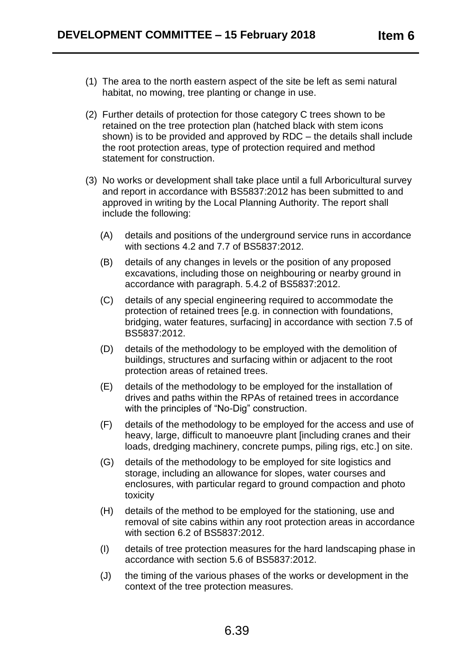- (1) The area to the north eastern aspect of the site be left as semi natural habitat, no mowing, tree planting or change in use.
- (2) Further details of protection for those category C trees shown to be retained on the tree protection plan (hatched black with stem icons shown) is to be provided and approved by RDC – the details shall include the root protection areas, type of protection required and method statement for construction.
- (3) No works or development shall take place until a full Arboricultural survey and report in accordance with BS5837:2012 has been submitted to and approved in writing by the Local Planning Authority. The report shall include the following:
	- (A) details and positions of the underground service runs in accordance with sections 4.2 and 7.7 of BS5837:2012.
	- (B) details of any changes in levels or the position of any proposed excavations, including those on neighbouring or nearby ground in accordance with paragraph. 5.4.2 of BS5837:2012.
	- (C) details of any special engineering required to accommodate the protection of retained trees [e.g. in connection with foundations, bridging, water features, surfacing] in accordance with section 7.5 of BS5837:2012.
	- (D) details of the methodology to be employed with the demolition of buildings, structures and surfacing within or adjacent to the root protection areas of retained trees.
	- (E) details of the methodology to be employed for the installation of drives and paths within the RPAs of retained trees in accordance with the principles of "No-Dig" construction.
	- (F) details of the methodology to be employed for the access and use of heavy, large, difficult to manoeuvre plant [including cranes and their loads, dredging machinery, concrete pumps, piling rigs, etc.] on site.
	- (G) details of the methodology to be employed for site logistics and storage, including an allowance for slopes, water courses and enclosures, with particular regard to ground compaction and photo toxicity
	- (H) details of the method to be employed for the stationing, use and removal of site cabins within any root protection areas in accordance with section 6.2 of BS5837:2012.
	- (I) details of tree protection measures for the hard landscaping phase in accordance with section 5.6 of BS5837:2012.
	- (J) the timing of the various phases of the works or development in the context of the tree protection measures.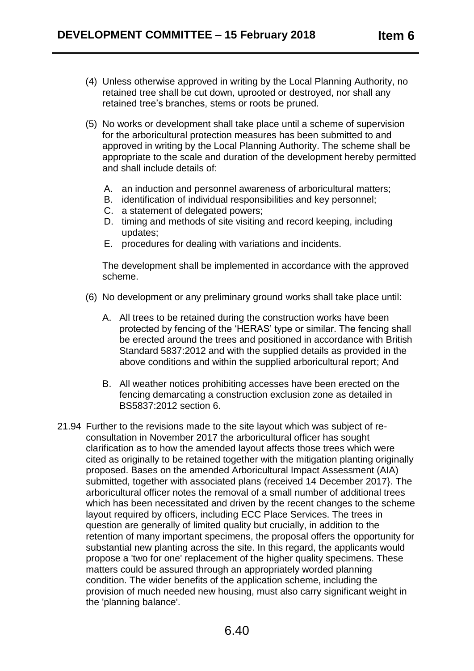- (4) Unless otherwise approved in writing by the Local Planning Authority, no retained tree shall be cut down, uprooted or destroyed, nor shall any retained tree's branches, stems or roots be pruned.
- (5) No works or development shall take place until a scheme of supervision for the arboricultural protection measures has been submitted to and approved in writing by the Local Planning Authority. The scheme shall be appropriate to the scale and duration of the development hereby permitted and shall include details of:
	- A. an induction and personnel awareness of arboricultural matters;
	- B. identification of individual responsibilities and key personnel;
	- C. a statement of delegated powers;
	- D. timing and methods of site visiting and record keeping, including updates;
	- E. procedures for dealing with variations and incidents.

The development shall be implemented in accordance with the approved scheme.

- (6) No development or any preliminary ground works shall take place until:
	- A. All trees to be retained during the construction works have been protected by fencing of the 'HERAS' type or similar. The fencing shall be erected around the trees and positioned in accordance with British Standard 5837:2012 and with the supplied details as provided in the above conditions and within the supplied arboricultural report; And
	- B. All weather notices prohibiting accesses have been erected on the fencing demarcating a construction exclusion zone as detailed in BS5837:2012 section 6.
- 21.94 Further to the revisions made to the site layout which was subject of reconsultation in November 2017 the arboricultural officer has sought clarification as to how the amended layout affects those trees which were cited as originally to be retained together with the mitigation planting originally proposed. Bases on the amended Arboricultural Impact Assessment (AIA) submitted, together with associated plans (received 14 December 2017}. The arboricultural officer notes the removal of a small number of additional trees which has been necessitated and driven by the recent changes to the scheme layout required by officers, including ECC Place Services. The trees in question are generally of limited quality but crucially, in addition to the retention of many important specimens, the proposal offers the opportunity for substantial new planting across the site. In this regard, the applicants would propose a 'two for one' replacement of the higher quality specimens. These matters could be assured through an appropriately worded planning condition. The wider benefits of the application scheme, including the provision of much needed new housing, must also carry significant weight in the 'planning balance'.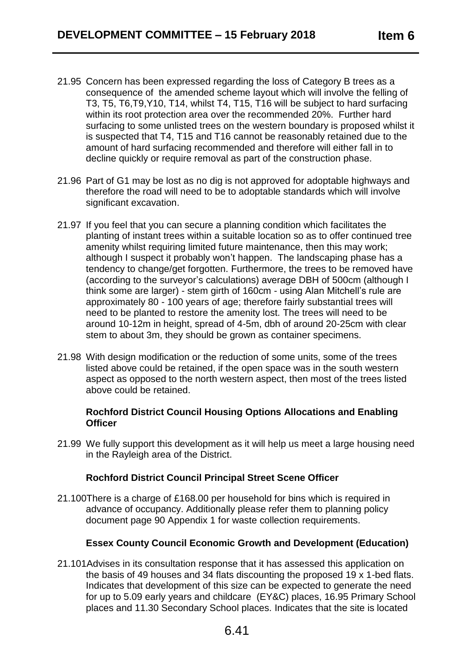- 21.95 Concern has been expressed regarding the loss of Category B trees as a consequence of the amended scheme layout which will involve the felling of T3, T5, T6,T9,Y10, T14, whilst T4, T15, T16 will be subject to hard surfacing within its root protection area over the recommended 20%. Further hard surfacing to some unlisted trees on the western boundary is proposed whilst it is suspected that T4, T15 and T16 cannot be reasonably retained due to the amount of hard surfacing recommended and therefore will either fall in to decline quickly or require removal as part of the construction phase.
- 21.96 Part of G1 may be lost as no dig is not approved for adoptable highways and therefore the road will need to be to adoptable standards which will involve significant excavation.
- 21.97 If you feel that you can secure a planning condition which facilitates the planting of instant trees within a suitable location so as to offer continued tree amenity whilst requiring limited future maintenance, then this may work; although I suspect it probably won't happen. The landscaping phase has a tendency to change/get forgotten. Furthermore, the trees to be removed have (according to the surveyor's calculations) average DBH of 500cm (although I think some are larger) - stem girth of 160cm - using Alan Mitchell's rule are approximately 80 - 100 years of age; therefore fairly substantial trees will need to be planted to restore the amenity lost. The trees will need to be around 10-12m in height, spread of 4-5m, dbh of around 20-25cm with clear stem to about 3m, they should be grown as container specimens.
- 21.98 With design modification or the reduction of some units, some of the trees listed above could be retained, if the open space was in the south western aspect as opposed to the north western aspect, then most of the trees listed above could be retained.

#### **Rochford District Council Housing Options Allocations and Enabling Officer**

21.99 We fully support this development as it will help us meet a large housing need in the Rayleigh area of the District.

# **Rochford District Council Principal Street Scene Officer**

21.100There is a charge of £168.00 per household for bins which is required in advance of occupancy. Additionally please refer them to planning policy document page 90 Appendix 1 for waste collection requirements.

# **Essex County Council Economic Growth and Development (Education)**

21.101Advises in its consultation response that it has assessed this application on the basis of 49 houses and 34 flats discounting the proposed 19 x 1-bed flats. Indicates that development of this size can be expected to generate the need for up to 5.09 early years and childcare (EY&C) places, 16.95 Primary School places and 11.30 Secondary School places. Indicates that the site is located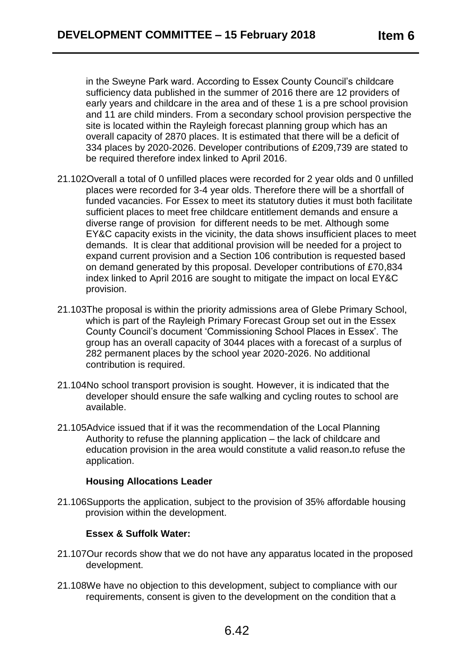in the Sweyne Park ward. According to Essex County Council's childcare sufficiency data published in the summer of 2016 there are 12 providers of early years and childcare in the area and of these 1 is a pre school provision and 11 are child minders. From a secondary school provision perspective the site is located within the Rayleigh forecast planning group which has an overall capacity of 2870 places. It is estimated that there will be a deficit of 334 places by 2020-2026. Developer contributions of £209,739 are stated to be required therefore index linked to April 2016.

- 21.102Overall a total of 0 unfilled places were recorded for 2 year olds and 0 unfilled places were recorded for 3-4 year olds. Therefore there will be a shortfall of funded vacancies. For Essex to meet its statutory duties it must both facilitate sufficient places to meet free childcare entitlement demands and ensure a diverse range of provision for different needs to be met. Although some EY&C capacity exists in the vicinity, the data shows insufficient places to meet demands. It is clear that additional provision will be needed for a project to expand current provision and a Section 106 contribution is requested based on demand generated by this proposal. Developer contributions of £70,834 index linked to April 2016 are sought to mitigate the impact on local EY&C provision.
- 21.103The proposal is within the priority admissions area of Glebe Primary School, which is part of the Rayleigh Primary Forecast Group set out in the Essex County Council's document 'Commissioning School Places in Essex'. The group has an overall capacity of 3044 places with a forecast of a surplus of 282 permanent places by the school year 2020-2026. No additional contribution is required.
- 21.104No school transport provision is sought. However, it is indicated that the developer should ensure the safe walking and cycling routes to school are available.
- 21.105Advice issued that if it was the recommendation of the Local Planning Authority to refuse the planning application – the lack of childcare and education provision in the area would constitute a valid reason**.**to refuse the application.

#### **Housing Allocations Leader**

21.106Supports the application, subject to the provision of 35% affordable housing provision within the development.

# **Essex & Suffolk Water:**

- 21.107Our records show that we do not have any apparatus located in the proposed development.
- 21.108We have no objection to this development, subject to compliance with our requirements, consent is given to the development on the condition that a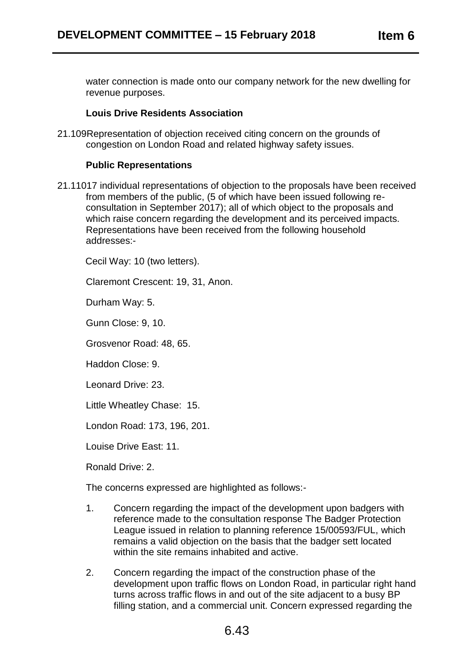water connection is made onto our company network for the new dwelling for revenue purposes.

## **Louis Drive Residents Association**

21.109Representation of objection received citing concern on the grounds of congestion on London Road and related highway safety issues.

## **Public Representations**

21.11017 individual representations of objection to the proposals have been received from members of the public, (5 of which have been issued following reconsultation in September 2017); all of which object to the proposals and which raise concern regarding the development and its perceived impacts. Representations have been received from the following household addresses:-

Cecil Way: 10 (two letters).

Claremont Crescent: 19, 31, Anon.

Durham Way: 5.

Gunn Close: 9, 10.

Grosvenor Road: 48, 65.

Haddon Close: 9.

Leonard Drive: 23.

Little Wheatley Chase: 15.

London Road: 173, 196, 201.

Louise Drive East: 11.

Ronald Drive: 2.

The concerns expressed are highlighted as follows:-

- 1. Concern regarding the impact of the development upon badgers with reference made to the consultation response The Badger Protection League issued in relation to planning reference 15/00593/FUL, which remains a valid objection on the basis that the badger sett located within the site remains inhabited and active.
- 2. Concern regarding the impact of the construction phase of the development upon traffic flows on London Road, in particular right hand turns across traffic flows in and out of the site adjacent to a busy BP filling station, and a commercial unit. Concern expressed regarding the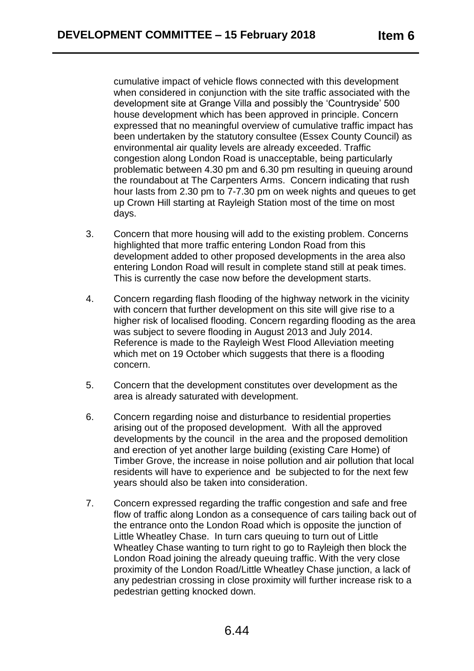cumulative impact of vehicle flows connected with this development when considered in conjunction with the site traffic associated with the development site at Grange Villa and possibly the 'Countryside' 500 house development which has been approved in principle. Concern expressed that no meaningful overview of cumulative traffic impact has been undertaken by the statutory consultee (Essex County Council) as environmental air quality levels are already exceeded. Traffic congestion along London Road is unacceptable, being particularly problematic between 4.30 pm and 6.30 pm resulting in queuing around the roundabout at The Carpenters Arms. Concern indicating that rush hour lasts from 2.30 pm to 7-7.30 pm on week nights and queues to get up Crown Hill starting at Rayleigh Station most of the time on most days.

- 3. Concern that more housing will add to the existing problem. Concerns highlighted that more traffic entering London Road from this development added to other proposed developments in the area also entering London Road will result in complete stand still at peak times. This is currently the case now before the development starts.
- 4. Concern regarding flash flooding of the highway network in the vicinity with concern that further development on this site will give rise to a higher risk of localised flooding. Concern regarding flooding as the area was subject to severe flooding in August 2013 and July 2014. Reference is made to the Rayleigh West Flood Alleviation meeting which met on 19 October which suggests that there is a flooding concern.
- 5. Concern that the development constitutes over development as the area is already saturated with development.
- 6. Concern regarding noise and disturbance to residential properties arising out of the proposed development. With all the approved developments by the council in the area and the proposed demolition and erection of yet another large building (existing Care Home) of Timber Grove, the increase in noise pollution and air pollution that local residents will have to experience and be subjected to for the next few years should also be taken into consideration.
- 7. Concern expressed regarding the traffic congestion and safe and free flow of traffic along London as a consequence of cars tailing back out of the entrance onto the London Road which is opposite the junction of Little Wheatley Chase. In turn cars queuing to turn out of Little Wheatley Chase wanting to turn right to go to Rayleigh then block the London Road joining the already queuing traffic. With the very close proximity of the London Road/Little Wheatley Chase junction, a lack of any pedestrian crossing in close proximity will further increase risk to a pedestrian getting knocked down.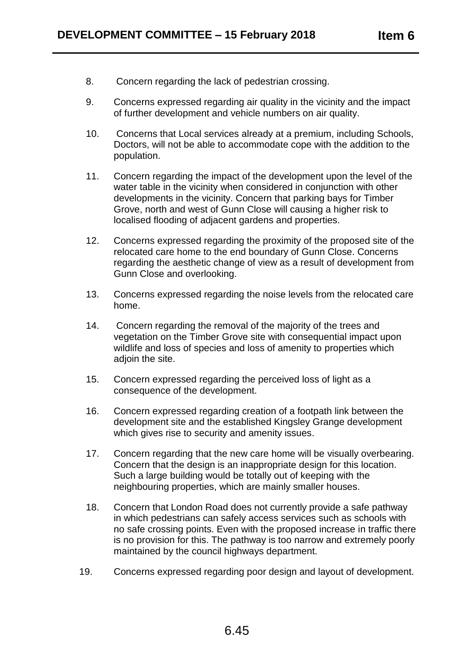- 8. Concern regarding the lack of pedestrian crossing.
- 9. Concerns expressed regarding air quality in the vicinity and the impact of further development and vehicle numbers on air quality.
- 10. Concerns that Local services already at a premium, including Schools, Doctors, will not be able to accommodate cope with the addition to the population.
- 11. Concern regarding the impact of the development upon the level of the water table in the vicinity when considered in conjunction with other developments in the vicinity. Concern that parking bays for Timber Grove, north and west of Gunn Close will causing a higher risk to localised flooding of adjacent gardens and properties.
- 12. Concerns expressed regarding the proximity of the proposed site of the relocated care home to the end boundary of Gunn Close. Concerns regarding the aesthetic change of view as a result of development from Gunn Close and overlooking.
- 13. Concerns expressed regarding the noise levels from the relocated care home.
- 14. Concern regarding the removal of the majority of the trees and vegetation on the Timber Grove site with consequential impact upon wildlife and loss of species and loss of amenity to properties which adjoin the site.
- 15. Concern expressed regarding the perceived loss of light as a consequence of the development.
- 16. Concern expressed regarding creation of a footpath link between the development site and the established Kingsley Grange development which gives rise to security and amenity issues.
- 17. Concern regarding that the new care home will be visually overbearing. Concern that the design is an inappropriate design for this location. Such a large building would be totally out of keeping with the neighbouring properties, which are mainly smaller houses.
- 18. Concern that London Road does not currently provide a safe pathway in which pedestrians can safely access services such as schools with no safe crossing points. Even with the proposed increase in traffic there is no provision for this. The pathway is too narrow and extremely poorly maintained by the council highways department.
- 19. Concerns expressed regarding poor design and layout of development.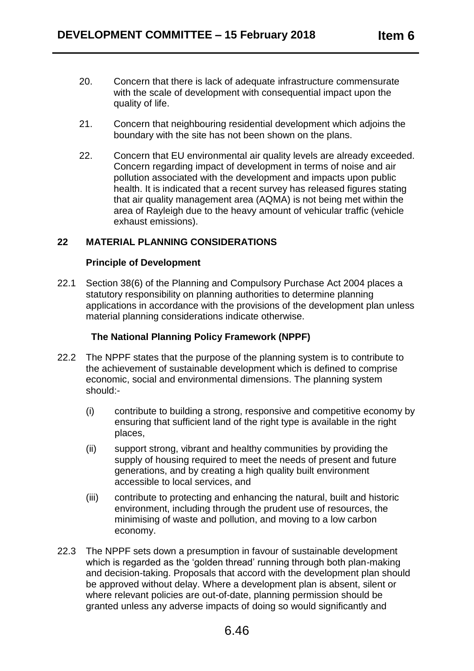- 20. Concern that there is lack of adequate infrastructure commensurate with the scale of development with consequential impact upon the quality of life.
- 21. Concern that neighbouring residential development which adjoins the boundary with the site has not been shown on the plans.
- 22. Concern that EU environmental air quality levels are already exceeded. Concern regarding impact of development in terms of noise and air pollution associated with the development and impacts upon public health. It is indicated that a recent survey has released figures stating that air quality management area (AQMA) is not being met within the area of Rayleigh due to the heavy amount of vehicular traffic (vehicle exhaust emissions).

# **22 MATERIAL PLANNING CONSIDERATIONS**

#### **Principle of Development**

22.1 Section 38(6) of the Planning and Compulsory Purchase Act 2004 places a statutory responsibility on planning authorities to determine planning applications in accordance with the provisions of the development plan unless material planning considerations indicate otherwise.

#### **The National Planning Policy Framework (NPPF)**

- 22.2 The NPPF states that the purpose of the planning system is to contribute to the achievement of sustainable development which is defined to comprise economic, social and environmental dimensions. The planning system should:-
	- (i) contribute to building a strong, responsive and competitive economy by ensuring that sufficient land of the right type is available in the right places,
	- (ii) support strong, vibrant and healthy communities by providing the supply of housing required to meet the needs of present and future generations, and by creating a high quality built environment accessible to local services, and
	- (iii) contribute to protecting and enhancing the natural, built and historic environment, including through the prudent use of resources, the minimising of waste and pollution, and moving to a low carbon economy.
- 22.3 The NPPF sets down a presumption in favour of sustainable development which is regarded as the 'golden thread' running through both plan-making and decision-taking. Proposals that accord with the development plan should be approved without delay. Where a development plan is absent, silent or where relevant policies are out-of-date, planning permission should be granted unless any adverse impacts of doing so would significantly and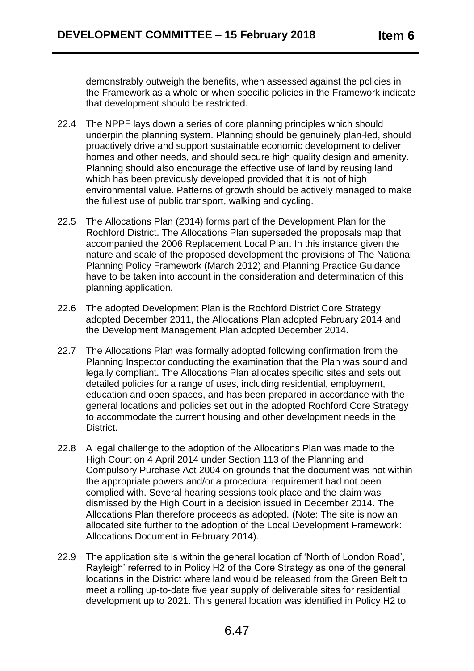demonstrably outweigh the benefits, when assessed against the policies in the Framework as a whole or when specific policies in the Framework indicate that development should be restricted.

- 22.4 The NPPF lays down a series of core planning principles which should underpin the planning system. Planning should be genuinely plan-led, should proactively drive and support sustainable economic development to deliver homes and other needs, and should secure high quality design and amenity. Planning should also encourage the effective use of land by reusing land which has been previously developed provided that it is not of high environmental value. Patterns of growth should be actively managed to make the fullest use of public transport, walking and cycling.
- 22.5 The Allocations Plan (2014) forms part of the Development Plan for the Rochford District. The Allocations Plan superseded the proposals map that accompanied the 2006 Replacement Local Plan. In this instance given the nature and scale of the proposed development the provisions of The National Planning Policy Framework (March 2012) and Planning Practice Guidance have to be taken into account in the consideration and determination of this planning application.
- 22.6 The adopted Development Plan is the Rochford District Core Strategy adopted December 2011, the Allocations Plan adopted February 2014 and the Development Management Plan adopted December 2014.
- 22.7 The Allocations Plan was formally adopted following confirmation from the Planning Inspector conducting the examination that the Plan was sound and legally compliant. The Allocations Plan allocates specific sites and sets out detailed policies for a range of uses, including residential, employment, education and open spaces, and has been prepared in accordance with the general locations and policies set out in the adopted Rochford Core Strategy to accommodate the current housing and other development needs in the District.
- 22.8 A legal challenge to the adoption of the Allocations Plan was made to the High Court on 4 April 2014 under Section 113 of the Planning and Compulsory Purchase Act 2004 on grounds that the document was not within the appropriate powers and/or a procedural requirement had not been complied with. Several hearing sessions took place and the claim was dismissed by the High Court in a decision issued in December 2014. The Allocations Plan therefore proceeds as adopted. (Note: The site is now an allocated site further to the adoption of the Local Development Framework: Allocations Document in February 2014).
- 22.9 The application site is within the general location of 'North of London Road', Rayleigh' referred to in Policy H2 of the Core Strategy as one of the general locations in the District where land would be released from the Green Belt to meet a rolling up-to-date five year supply of deliverable sites for residential development up to 2021. This general location was identified in Policy H2 to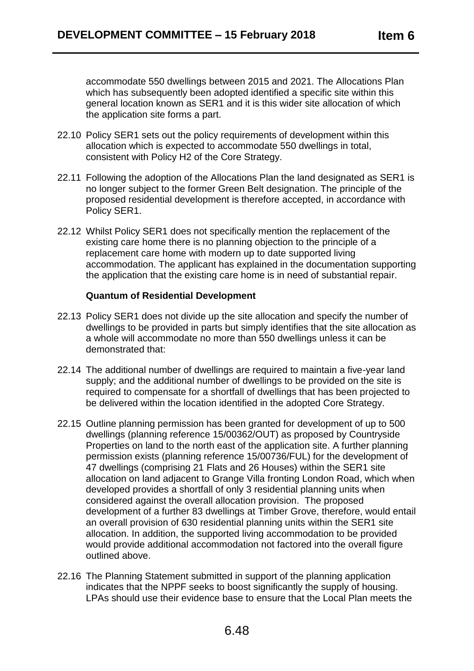accommodate 550 dwellings between 2015 and 2021. The Allocations Plan which has subsequently been adopted identified a specific site within this general location known as SER1 and it is this wider site allocation of which the application site forms a part.

- 22.10 Policy SER1 sets out the policy requirements of development within this allocation which is expected to accommodate 550 dwellings in total, consistent with Policy H2 of the Core Strategy.
- 22.11 Following the adoption of the Allocations Plan the land designated as SER1 is no longer subject to the former Green Belt designation. The principle of the proposed residential development is therefore accepted, in accordance with Policy SER1.
- 22.12 Whilst Policy SER1 does not specifically mention the replacement of the existing care home there is no planning objection to the principle of a replacement care home with modern up to date supported living accommodation. The applicant has explained in the documentation supporting the application that the existing care home is in need of substantial repair.

#### **Quantum of Residential Development**

- 22.13 Policy SER1 does not divide up the site allocation and specify the number of dwellings to be provided in parts but simply identifies that the site allocation as a whole will accommodate no more than 550 dwellings unless it can be demonstrated that:
- 22.14 The additional number of dwellings are required to maintain a five-year land supply; and the additional number of dwellings to be provided on the site is required to compensate for a shortfall of dwellings that has been projected to be delivered within the location identified in the adopted Core Strategy.
- 22.15 Outline planning permission has been granted for development of up to 500 dwellings (planning reference 15/00362/OUT) as proposed by Countryside Properties on land to the north east of the application site. A further planning permission exists (planning reference 15/00736/FUL) for the development of 47 dwellings (comprising 21 Flats and 26 Houses) within the SER1 site allocation on land adjacent to Grange Villa fronting London Road, which when developed provides a shortfall of only 3 residential planning units when considered against the overall allocation provision. The proposed development of a further 83 dwellings at Timber Grove, therefore, would entail an overall provision of 630 residential planning units within the SER1 site allocation. In addition, the supported living accommodation to be provided would provide additional accommodation not factored into the overall figure outlined above.
- 22.16 The Planning Statement submitted in support of the planning application indicates that the NPPF seeks to boost significantly the supply of housing. LPAs should use their evidence base to ensure that the Local Plan meets the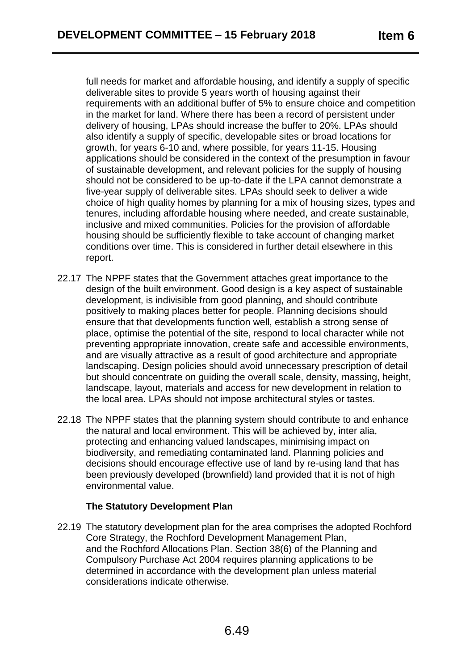full needs for market and affordable housing, and identify a supply of specific deliverable sites to provide 5 years worth of housing against their requirements with an additional buffer of 5% to ensure choice and competition in the market for land. Where there has been a record of persistent under delivery of housing, LPAs should increase the buffer to 20%. LPAs should also identify a supply of specific, developable sites or broad locations for growth, for years 6-10 and, where possible, for years 11-15. Housing applications should be considered in the context of the presumption in favour of sustainable development, and relevant policies for the supply of housing should not be considered to be up-to-date if the LPA cannot demonstrate a five-year supply of deliverable sites. LPAs should seek to deliver a wide choice of high quality homes by planning for a mix of housing sizes, types and tenures, including affordable housing where needed, and create sustainable, inclusive and mixed communities. Policies for the provision of affordable housing should be sufficiently flexible to take account of changing market conditions over time. This is considered in further detail elsewhere in this report.

- 22.17 The NPPF states that the Government attaches great importance to the design of the built environment. Good design is a key aspect of sustainable development, is indivisible from good planning, and should contribute positively to making places better for people. Planning decisions should ensure that that developments function well, establish a strong sense of place, optimise the potential of the site, respond to local character while not preventing appropriate innovation, create safe and accessible environments, and are visually attractive as a result of good architecture and appropriate landscaping. Design policies should avoid unnecessary prescription of detail but should concentrate on guiding the overall scale, density, massing, height, landscape, layout, materials and access for new development in relation to the local area. LPAs should not impose architectural styles or tastes.
- 22.18 The NPPF states that the planning system should contribute to and enhance the natural and local environment. This will be achieved by, inter alia, protecting and enhancing valued landscapes, minimising impact on biodiversity, and remediating contaminated land. Planning policies and decisions should encourage effective use of land by re-using land that has been previously developed (brownfield) land provided that it is not of high environmental value.

# **The Statutory Development Plan**

22.19 The statutory development plan for the area comprises the adopted Rochford Core Strategy, the Rochford Development Management Plan, and the Rochford Allocations Plan. Section 38(6) of the Planning and Compulsory Purchase Act 2004 requires planning applications to be determined in accordance with the development plan unless material considerations indicate otherwise.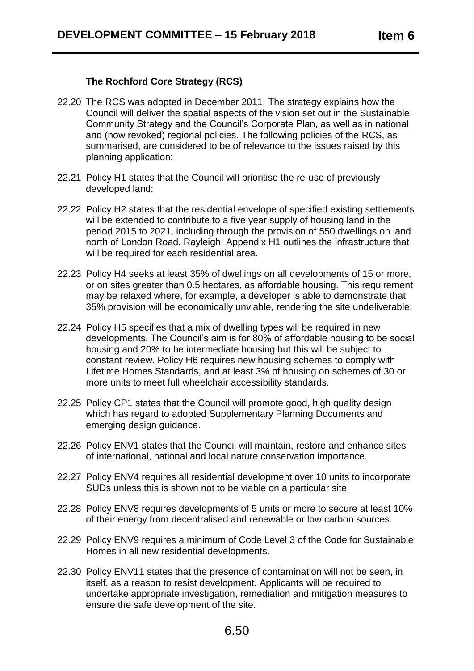## **The Rochford Core Strategy (RCS)**

- 22.20 The RCS was adopted in December 2011. The strategy explains how the Council will deliver the spatial aspects of the vision set out in the Sustainable Community Strategy and the Council's Corporate Plan, as well as in national and (now revoked) regional policies. The following policies of the RCS, as summarised, are considered to be of relevance to the issues raised by this planning application:
- 22.21 Policy H1 states that the Council will prioritise the re-use of previously developed land;
- 22.22 Policy H2 states that the residential envelope of specified existing settlements will be extended to contribute to a five year supply of housing land in the period 2015 to 2021, including through the provision of 550 dwellings on land north of London Road, Rayleigh. Appendix H1 outlines the infrastructure that will be required for each residential area.
- 22.23 Policy H4 seeks at least 35% of dwellings on all developments of 15 or more, or on sites greater than 0.5 hectares, as affordable housing. This requirement may be relaxed where, for example, a developer is able to demonstrate that 35% provision will be economically unviable, rendering the site undeliverable.
- 22.24 Policy H5 specifies that a mix of dwelling types will be required in new developments. The Council's aim is for 80% of affordable housing to be social housing and 20% to be intermediate housing but this will be subject to constant review. Policy H6 requires new housing schemes to comply with Lifetime Homes Standards, and at least 3% of housing on schemes of 30 or more units to meet full wheelchair accessibility standards.
- 22.25 Policy CP1 states that the Council will promote good, high quality design which has regard to adopted Supplementary Planning Documents and emerging design guidance.
- 22.26 Policy ENV1 states that the Council will maintain, restore and enhance sites of international, national and local nature conservation importance.
- 22.27 Policy ENV4 requires all residential development over 10 units to incorporate SUDs unless this is shown not to be viable on a particular site.
- 22.28 Policy ENV8 requires developments of 5 units or more to secure at least 10% of their energy from decentralised and renewable or low carbon sources.
- 22.29 Policy ENV9 requires a minimum of Code Level 3 of the Code for Sustainable Homes in all new residential developments.
- 22.30 Policy ENV11 states that the presence of contamination will not be seen, in itself, as a reason to resist development. Applicants will be required to undertake appropriate investigation, remediation and mitigation measures to ensure the safe development of the site.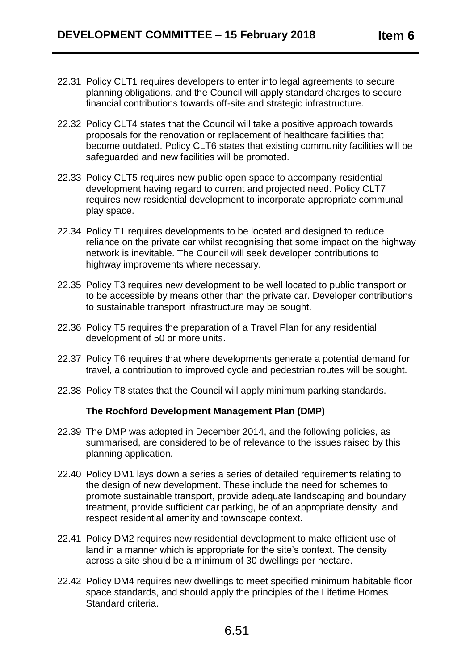- 22.31 Policy CLT1 requires developers to enter into legal agreements to secure planning obligations, and the Council will apply standard charges to secure financial contributions towards off-site and strategic infrastructure.
- 22.32 Policy CLT4 states that the Council will take a positive approach towards proposals for the renovation or replacement of healthcare facilities that become outdated. Policy CLT6 states that existing community facilities will be safeguarded and new facilities will be promoted.
- 22.33 Policy CLT5 requires new public open space to accompany residential development having regard to current and projected need. Policy CLT7 requires new residential development to incorporate appropriate communal play space.
- 22.34 Policy T1 requires developments to be located and designed to reduce reliance on the private car whilst recognising that some impact on the highway network is inevitable. The Council will seek developer contributions to highway improvements where necessary.
- 22.35 Policy T3 requires new development to be well located to public transport or to be accessible by means other than the private car. Developer contributions to sustainable transport infrastructure may be sought.
- 22.36 Policy T5 requires the preparation of a Travel Plan for any residential development of 50 or more units.
- 22.37 Policy T6 requires that where developments generate a potential demand for travel, a contribution to improved cycle and pedestrian routes will be sought.
- 22.38 Policy T8 states that the Council will apply minimum parking standards.

#### **The Rochford Development Management Plan (DMP)**

- 22.39 The DMP was adopted in December 2014, and the following policies, as summarised, are considered to be of relevance to the issues raised by this planning application.
- 22.40 Policy DM1 lays down a series a series of detailed requirements relating to the design of new development. These include the need for schemes to promote sustainable transport, provide adequate landscaping and boundary treatment, provide sufficient car parking, be of an appropriate density, and respect residential amenity and townscape context.
- 22.41 Policy DM2 requires new residential development to make efficient use of land in a manner which is appropriate for the site's context. The density across a site should be a minimum of 30 dwellings per hectare.
- 22.42 Policy DM4 requires new dwellings to meet specified minimum habitable floor space standards, and should apply the principles of the Lifetime Homes Standard criteria.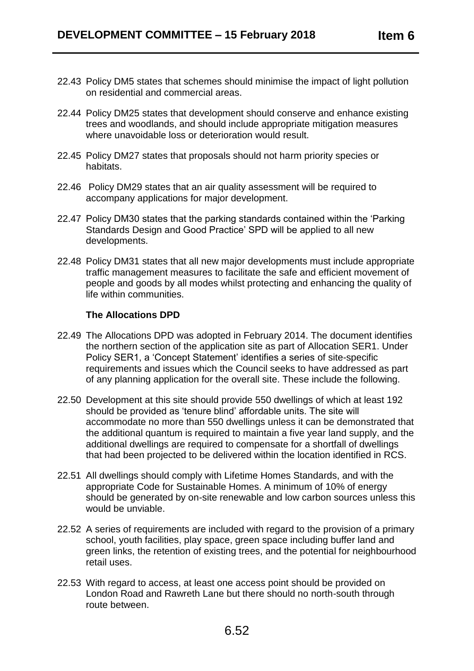- 22.43 Policy DM5 states that schemes should minimise the impact of light pollution on residential and commercial areas.
- 22.44 Policy DM25 states that development should conserve and enhance existing trees and woodlands, and should include appropriate mitigation measures where unavoidable loss or deterioration would result.
- 22.45 Policy DM27 states that proposals should not harm priority species or habitats.
- 22.46 Policy DM29 states that an air quality assessment will be required to accompany applications for major development.
- 22.47 Policy DM30 states that the parking standards contained within the 'Parking Standards Design and Good Practice' SPD will be applied to all new developments.
- 22.48 Policy DM31 states that all new major developments must include appropriate traffic management measures to facilitate the safe and efficient movement of people and goods by all modes whilst protecting and enhancing the quality of life within communities.

#### **The Allocations DPD**

- 22.49 The Allocations DPD was adopted in February 2014. The document identifies the northern section of the application site as part of Allocation SER1. Under Policy SER1, a 'Concept Statement' identifies a series of site-specific requirements and issues which the Council seeks to have addressed as part of any planning application for the overall site. These include the following.
- 22.50 Development at this site should provide 550 dwellings of which at least 192 should be provided as 'tenure blind' affordable units. The site will accommodate no more than 550 dwellings unless it can be demonstrated that the additional quantum is required to maintain a five year land supply, and the additional dwellings are required to compensate for a shortfall of dwellings that had been projected to be delivered within the location identified in RCS.
- 22.51 All dwellings should comply with Lifetime Homes Standards, and with the appropriate Code for Sustainable Homes. A minimum of 10% of energy should be generated by on-site renewable and low carbon sources unless this would be unviable.
- 22.52 A series of requirements are included with regard to the provision of a primary school, youth facilities, play space, green space including buffer land and green links, the retention of existing trees, and the potential for neighbourhood retail uses.
- 22.53 With regard to access, at least one access point should be provided on London Road and Rawreth Lane but there should no north-south through route between.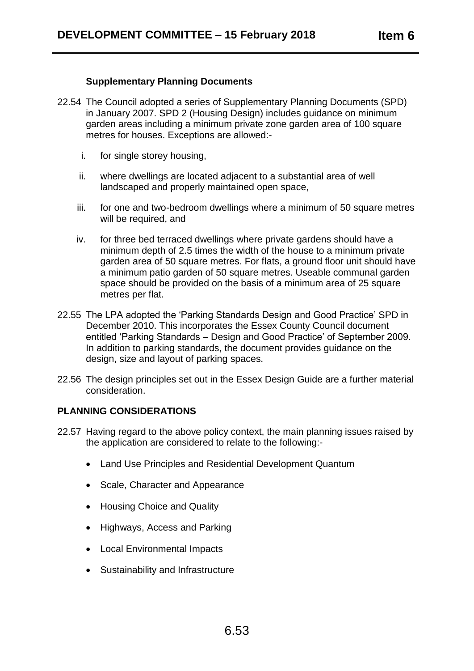### **Supplementary Planning Documents**

- 22.54 The Council adopted a series of Supplementary Planning Documents (SPD) in January 2007. SPD 2 (Housing Design) includes guidance on minimum garden areas including a minimum private zone garden area of 100 square metres for houses. Exceptions are allowed:
	- i. for single storey housing,
	- ii. where dwellings are located adjacent to a substantial area of well landscaped and properly maintained open space,
	- iii. for one and two-bedroom dwellings where a minimum of 50 square metres will be required, and
	- iv. for three bed terraced dwellings where private gardens should have a minimum depth of 2.5 times the width of the house to a minimum private garden area of 50 square metres. For flats, a ground floor unit should have a minimum patio garden of 50 square metres. Useable communal garden space should be provided on the basis of a minimum area of 25 square metres per flat.
- 22.55 The LPA adopted the 'Parking Standards Design and Good Practice' SPD in December 2010. This incorporates the Essex County Council document entitled 'Parking Standards – Design and Good Practice' of September 2009. In addition to parking standards, the document provides guidance on the design, size and layout of parking spaces.
- 22.56 The design principles set out in the Essex Design Guide are a further material consideration.

#### **PLANNING CONSIDERATIONS**

- 22.57 Having regard to the above policy context, the main planning issues raised by the application are considered to relate to the following:-
	- Land Use Principles and Residential Development Quantum
	- Scale, Character and Appearance
	- Housing Choice and Quality
	- Highways, Access and Parking
	- Local Environmental Impacts
	- Sustainability and Infrastructure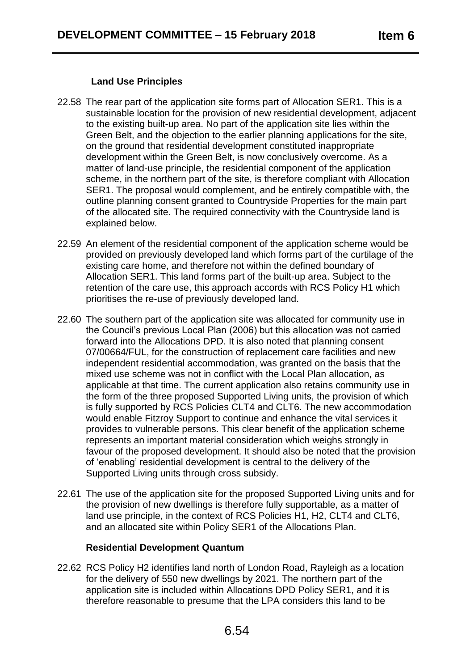## **Land Use Principles**

- 22.58 The rear part of the application site forms part of Allocation SER1. This is a sustainable location for the provision of new residential development, adjacent to the existing built-up area. No part of the application site lies within the Green Belt, and the objection to the earlier planning applications for the site, on the ground that residential development constituted inappropriate development within the Green Belt, is now conclusively overcome. As a matter of land-use principle, the residential component of the application scheme, in the northern part of the site, is therefore compliant with Allocation SER1. The proposal would complement, and be entirely compatible with, the outline planning consent granted to Countryside Properties for the main part of the allocated site. The required connectivity with the Countryside land is explained below.
- 22.59 An element of the residential component of the application scheme would be provided on previously developed land which forms part of the curtilage of the existing care home, and therefore not within the defined boundary of Allocation SER1. This land forms part of the built-up area. Subject to the retention of the care use, this approach accords with RCS Policy H1 which prioritises the re-use of previously developed land.
- 22.60 The southern part of the application site was allocated for community use in the Council's previous Local Plan (2006) but this allocation was not carried forward into the Allocations DPD. It is also noted that planning consent 07/00664/FUL, for the construction of replacement care facilities and new independent residential accommodation, was granted on the basis that the mixed use scheme was not in conflict with the Local Plan allocation, as applicable at that time. The current application also retains community use in the form of the three proposed Supported Living units, the provision of which is fully supported by RCS Policies CLT4 and CLT6. The new accommodation would enable Fitzroy Support to continue and enhance the vital services it provides to vulnerable persons. This clear benefit of the application scheme represents an important material consideration which weighs strongly in favour of the proposed development. It should also be noted that the provision of 'enabling' residential development is central to the delivery of the Supported Living units through cross subsidy.
- 22.61 The use of the application site for the proposed Supported Living units and for the provision of new dwellings is therefore fully supportable, as a matter of land use principle, in the context of RCS Policies H1, H2, CLT4 and CLT6, and an allocated site within Policy SER1 of the Allocations Plan.

#### **Residential Development Quantum**

22.62 RCS Policy H2 identifies land north of London Road, Rayleigh as a location for the delivery of 550 new dwellings by 2021. The northern part of the application site is included within Allocations DPD Policy SER1, and it is therefore reasonable to presume that the LPA considers this land to be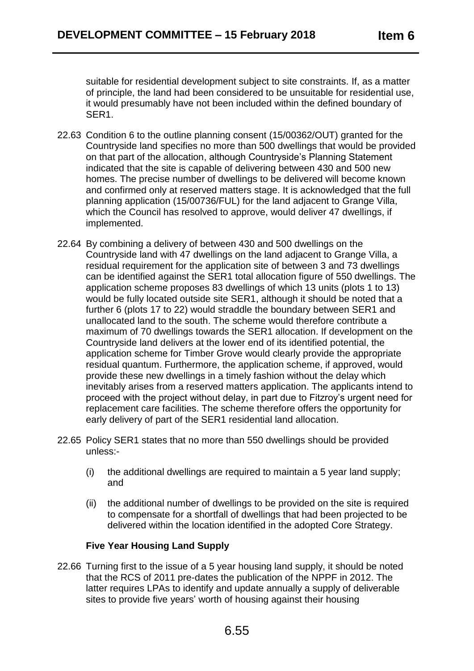suitable for residential development subject to site constraints. If, as a matter of principle, the land had been considered to be unsuitable for residential use, it would presumably have not been included within the defined boundary of SER1.

- 22.63 Condition 6 to the outline planning consent (15/00362/OUT) granted for the Countryside land specifies no more than 500 dwellings that would be provided on that part of the allocation, although Countryside's Planning Statement indicated that the site is capable of delivering between 430 and 500 new homes. The precise number of dwellings to be delivered will become known and confirmed only at reserved matters stage. It is acknowledged that the full planning application (15/00736/FUL) for the land adjacent to Grange Villa, which the Council has resolved to approve, would deliver 47 dwellings, if implemented.
- 22.64 By combining a delivery of between 430 and 500 dwellings on the Countryside land with 47 dwellings on the land adjacent to Grange Villa, a residual requirement for the application site of between 3 and 73 dwellings can be identified against the SER1 total allocation figure of 550 dwellings. The application scheme proposes 83 dwellings of which 13 units (plots 1 to 13) would be fully located outside site SER1, although it should be noted that a further 6 (plots 17 to 22) would straddle the boundary between SER1 and unallocated land to the south. The scheme would therefore contribute a maximum of 70 dwellings towards the SER1 allocation. If development on the Countryside land delivers at the lower end of its identified potential, the application scheme for Timber Grove would clearly provide the appropriate residual quantum. Furthermore, the application scheme, if approved, would provide these new dwellings in a timely fashion without the delay which inevitably arises from a reserved matters application. The applicants intend to proceed with the project without delay, in part due to Fitzroy's urgent need for replacement care facilities. The scheme therefore offers the opportunity for early delivery of part of the SER1 residential land allocation.
- 22.65 Policy SER1 states that no more than 550 dwellings should be provided unless:-
	- (i) the additional dwellings are required to maintain a 5 year land supply; and
	- (ii) the additional number of dwellings to be provided on the site is required to compensate for a shortfall of dwellings that had been projected to be delivered within the location identified in the adopted Core Strategy.

# **Five Year Housing Land Supply**

22.66 Turning first to the issue of a 5 year housing land supply, it should be noted that the RCS of 2011 pre-dates the publication of the NPPF in 2012. The latter requires LPAs to identify and update annually a supply of deliverable sites to provide five years' worth of housing against their housing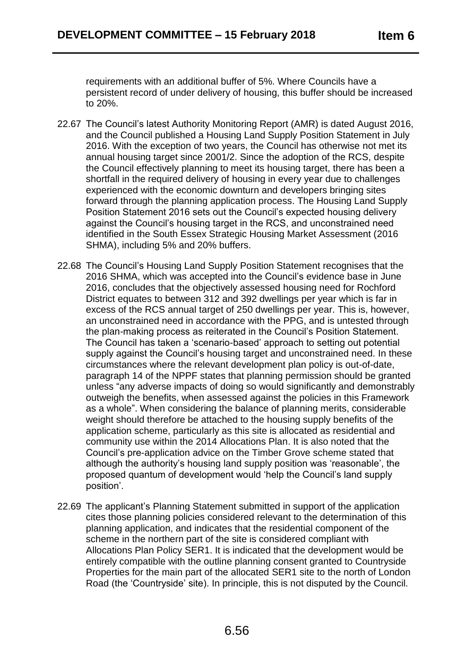requirements with an additional buffer of 5%. Where Councils have a persistent record of under delivery of housing, this buffer should be increased to 20%.

- 22.67 The Council's latest Authority Monitoring Report (AMR) is dated August 2016, and the Council published a Housing Land Supply Position Statement in July 2016. With the exception of two years, the Council has otherwise not met its annual housing target since 2001/2. Since the adoption of the RCS, despite the Council effectively planning to meet its housing target, there has been a shortfall in the required delivery of housing in every year due to challenges experienced with the economic downturn and developers bringing sites forward through the planning application process. The Housing Land Supply Position Statement 2016 sets out the Council's expected housing delivery against the Council's housing target in the RCS, and unconstrained need identified in the South Essex Strategic Housing Market Assessment (2016 SHMA), including 5% and 20% buffers.
- 22.68 The Council's Housing Land Supply Position Statement recognises that the 2016 SHMA, which was accepted into the Council's evidence base in June 2016, concludes that the objectively assessed housing need for Rochford District equates to between 312 and 392 dwellings per year which is far in excess of the RCS annual target of 250 dwellings per year. This is, however, an unconstrained need in accordance with the PPG, and is untested through the plan-making process as reiterated in the Council's Position Statement. The Council has taken a 'scenario-based' approach to setting out potential supply against the Council's housing target and unconstrained need. In these circumstances where the relevant development plan policy is out-of-date, paragraph 14 of the NPPF states that planning permission should be granted unless "any adverse impacts of doing so would significantly and demonstrably outweigh the benefits, when assessed against the policies in this Framework as a whole". When considering the balance of planning merits, considerable weight should therefore be attached to the housing supply benefits of the application scheme, particularly as this site is allocated as residential and community use within the 2014 Allocations Plan. It is also noted that the Council's pre-application advice on the Timber Grove scheme stated that although the authority's housing land supply position was 'reasonable', the proposed quantum of development would 'help the Council's land supply position'.
- 22.69 The applicant's Planning Statement submitted in support of the application cites those planning policies considered relevant to the determination of this planning application, and indicates that the residential component of the scheme in the northern part of the site is considered compliant with Allocations Plan Policy SER1. It is indicated that the development would be entirely compatible with the outline planning consent granted to Countryside Properties for the main part of the allocated SER1 site to the north of London Road (the 'Countryside' site). In principle, this is not disputed by the Council.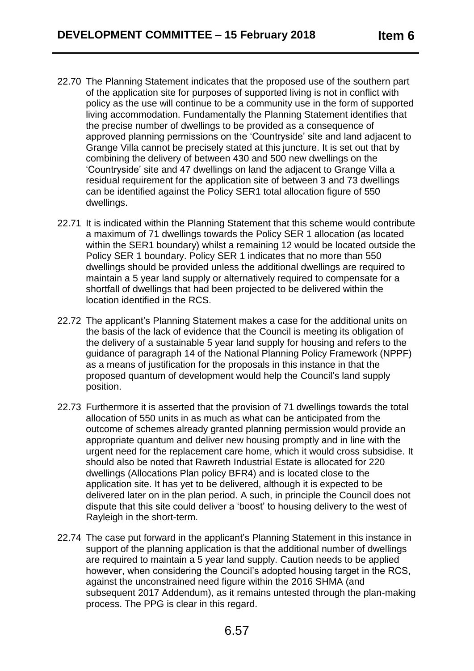- 22.70 The Planning Statement indicates that the proposed use of the southern part of the application site for purposes of supported living is not in conflict with policy as the use will continue to be a community use in the form of supported living accommodation. Fundamentally the Planning Statement identifies that the precise number of dwellings to be provided as a consequence of approved planning permissions on the 'Countryside' site and land adjacent to Grange Villa cannot be precisely stated at this juncture. It is set out that by combining the delivery of between 430 and 500 new dwellings on the 'Countryside' site and 47 dwellings on land the adjacent to Grange Villa a residual requirement for the application site of between 3 and 73 dwellings can be identified against the Policy SER1 total allocation figure of 550 dwellings.
- 22.71 It is indicated within the Planning Statement that this scheme would contribute a maximum of 71 dwellings towards the Policy SER 1 allocation (as located within the SER1 boundary) whilst a remaining 12 would be located outside the Policy SER 1 boundary. Policy SER 1 indicates that no more than 550 dwellings should be provided unless the additional dwellings are required to maintain a 5 year land supply or alternatively required to compensate for a shortfall of dwellings that had been projected to be delivered within the location identified in the RCS.
- 22.72 The applicant's Planning Statement makes a case for the additional units on the basis of the lack of evidence that the Council is meeting its obligation of the delivery of a sustainable 5 year land supply for housing and refers to the guidance of paragraph 14 of the National Planning Policy Framework (NPPF) as a means of justification for the proposals in this instance in that the proposed quantum of development would help the Council's land supply position.
- 22.73 Furthermore it is asserted that the provision of 71 dwellings towards the total allocation of 550 units in as much as what can be anticipated from the outcome of schemes already granted planning permission would provide an appropriate quantum and deliver new housing promptly and in line with the urgent need for the replacement care home, which it would cross subsidise. It should also be noted that Rawreth Industrial Estate is allocated for 220 dwellings (Allocations Plan policy BFR4) and is located close to the application site. It has yet to be delivered, although it is expected to be delivered later on in the plan period. A such, in principle the Council does not dispute that this site could deliver a 'boost' to housing delivery to the west of Rayleigh in the short-term.
- 22.74 The case put forward in the applicant's Planning Statement in this instance in support of the planning application is that the additional number of dwellings are required to maintain a 5 year land supply. Caution needs to be applied however, when considering the Council's adopted housing target in the RCS, against the unconstrained need figure within the 2016 SHMA (and subsequent 2017 Addendum), as it remains untested through the plan-making process. The PPG is clear in this regard.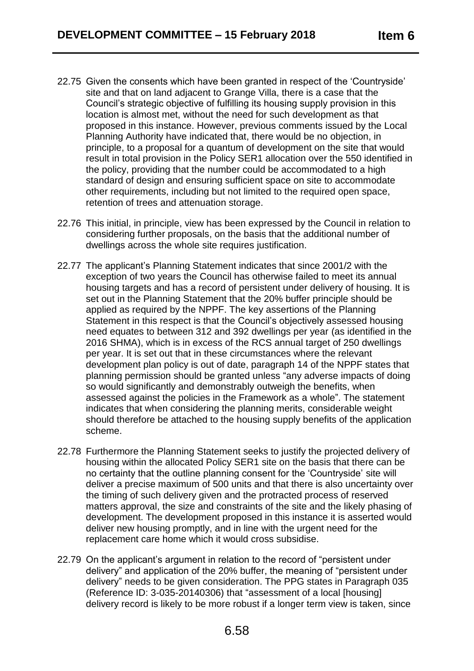- 22.75 Given the consents which have been granted in respect of the 'Countryside' site and that on land adjacent to Grange Villa, there is a case that the Council's strategic objective of fulfilling its housing supply provision in this location is almost met, without the need for such development as that proposed in this instance. However, previous comments issued by the Local Planning Authority have indicated that, there would be no objection, in principle, to a proposal for a quantum of development on the site that would result in total provision in the Policy SER1 allocation over the 550 identified in the policy, providing that the number could be accommodated to a high standard of design and ensuring sufficient space on site to accommodate other requirements, including but not limited to the required open space, retention of trees and attenuation storage.
- 22.76 This initial, in principle, view has been expressed by the Council in relation to considering further proposals, on the basis that the additional number of dwellings across the whole site requires justification.
- 22.77 The applicant's Planning Statement indicates that since 2001/2 with the exception of two years the Council has otherwise failed to meet its annual housing targets and has a record of persistent under delivery of housing. It is set out in the Planning Statement that the 20% buffer principle should be applied as required by the NPPF. The key assertions of the Planning Statement in this respect is that the Council's objectively assessed housing need equates to between 312 and 392 dwellings per year (as identified in the 2016 SHMA), which is in excess of the RCS annual target of 250 dwellings per year. It is set out that in these circumstances where the relevant development plan policy is out of date, paragraph 14 of the NPPF states that planning permission should be granted unless "any adverse impacts of doing so would significantly and demonstrably outweigh the benefits, when assessed against the policies in the Framework as a whole". The statement indicates that when considering the planning merits, considerable weight should therefore be attached to the housing supply benefits of the application scheme.
- 22.78 Furthermore the Planning Statement seeks to justify the projected delivery of housing within the allocated Policy SER1 site on the basis that there can be no certainty that the outline planning consent for the 'Countryside' site will deliver a precise maximum of 500 units and that there is also uncertainty over the timing of such delivery given and the protracted process of reserved matters approval, the size and constraints of the site and the likely phasing of development. The development proposed in this instance it is asserted would deliver new housing promptly, and in line with the urgent need for the replacement care home which it would cross subsidise.
- 22.79 On the applicant's argument in relation to the record of "persistent under delivery" and application of the 20% buffer, the meaning of "persistent under delivery" needs to be given consideration. The PPG states in Paragraph 035 (Reference ID: 3-035-20140306) that "assessment of a local [housing] delivery record is likely to be more robust if a longer term view is taken, since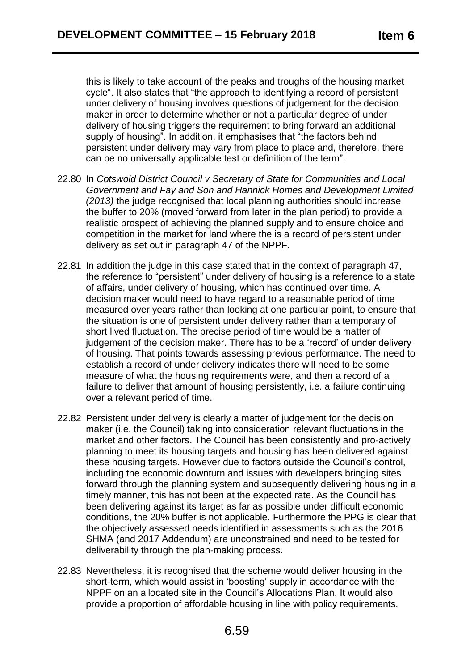this is likely to take account of the peaks and troughs of the housing market cycle". It also states that "the approach to identifying a record of persistent under delivery of housing involves questions of judgement for the decision maker in order to determine whether or not a particular degree of under delivery of housing triggers the requirement to bring forward an additional supply of housing". In addition, it emphasises that "the factors behind persistent under delivery may vary from place to place and, therefore, there can be no universally applicable test or definition of the term".

- 22.80 In *Cotswold District Council v Secretary of State for Communities and Local Government and Fay and Son and Hannick Homes and Development Limited (2013)* the judge recognised that local planning authorities should increase the buffer to 20% (moved forward from later in the plan period) to provide a realistic prospect of achieving the planned supply and to ensure choice and competition in the market for land where the is a record of persistent under delivery as set out in paragraph 47 of the NPPF.
- 22.81 In addition the judge in this case stated that in the context of paragraph 47, the reference to "persistent" under delivery of housing is a reference to a state of affairs, under delivery of housing, which has continued over time. A decision maker would need to have regard to a reasonable period of time measured over years rather than looking at one particular point, to ensure that the situation is one of persistent under delivery rather than a temporary of short lived fluctuation. The precise period of time would be a matter of judgement of the decision maker. There has to be a 'record' of under delivery of housing. That points towards assessing previous performance. The need to establish a record of under delivery indicates there will need to be some measure of what the housing requirements were, and then a record of a failure to deliver that amount of housing persistently, i.e. a failure continuing over a relevant period of time.
- 22.82 Persistent under delivery is clearly a matter of judgement for the decision maker (i.e. the Council) taking into consideration relevant fluctuations in the market and other factors. The Council has been consistently and pro-actively planning to meet its housing targets and housing has been delivered against these housing targets. However due to factors outside the Council's control, including the economic downturn and issues with developers bringing sites forward through the planning system and subsequently delivering housing in a timely manner, this has not been at the expected rate. As the Council has been delivering against its target as far as possible under difficult economic conditions, the 20% buffer is not applicable. Furthermore the PPG is clear that the objectively assessed needs identified in assessments such as the 2016 SHMA (and 2017 Addendum) are unconstrained and need to be tested for deliverability through the plan-making process.
- 22.83 Nevertheless, it is recognised that the scheme would deliver housing in the short-term, which would assist in 'boosting' supply in accordance with the NPPF on an allocated site in the Council's Allocations Plan. It would also provide a proportion of affordable housing in line with policy requirements.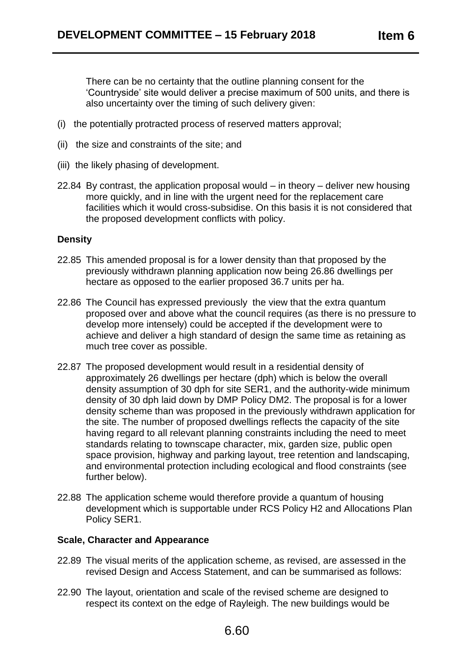There can be no certainty that the outline planning consent for the 'Countryside' site would deliver a precise maximum of 500 units, and there is also uncertainty over the timing of such delivery given:

- (i) the potentially protracted process of reserved matters approval;
- (ii) the size and constraints of the site; and
- (iii) the likely phasing of development.
- 22.84 By contrast, the application proposal would in theory deliver new housing more quickly, and in line with the urgent need for the replacement care facilities which it would cross-subsidise. On this basis it is not considered that the proposed development conflicts with policy.

#### **Density**

- 22.85 This amended proposal is for a lower density than that proposed by the previously withdrawn planning application now being 26.86 dwellings per hectare as opposed to the earlier proposed 36.7 units per ha.
- 22.86 The Council has expressed previously the view that the extra quantum proposed over and above what the council requires (as there is no pressure to develop more intensely) could be accepted if the development were to achieve and deliver a high standard of design the same time as retaining as much tree cover as possible.
- 22.87 The proposed development would result in a residential density of approximately 26 dwellings per hectare (dph) which is below the overall density assumption of 30 dph for site SER1, and the authority-wide minimum density of 30 dph laid down by DMP Policy DM2. The proposal is for a lower density scheme than was proposed in the previously withdrawn application for the site. The number of proposed dwellings reflects the capacity of the site having regard to all relevant planning constraints including the need to meet standards relating to townscape character, mix, garden size, public open space provision, highway and parking layout, tree retention and landscaping, and environmental protection including ecological and flood constraints (see further below).
- 22.88 The application scheme would therefore provide a quantum of housing development which is supportable under RCS Policy H2 and Allocations Plan Policy SER1.

# **Scale, Character and Appearance**

- 22.89 The visual merits of the application scheme, as revised, are assessed in the revised Design and Access Statement, and can be summarised as follows:
- 22.90 The layout, orientation and scale of the revised scheme are designed to respect its context on the edge of Rayleigh. The new buildings would be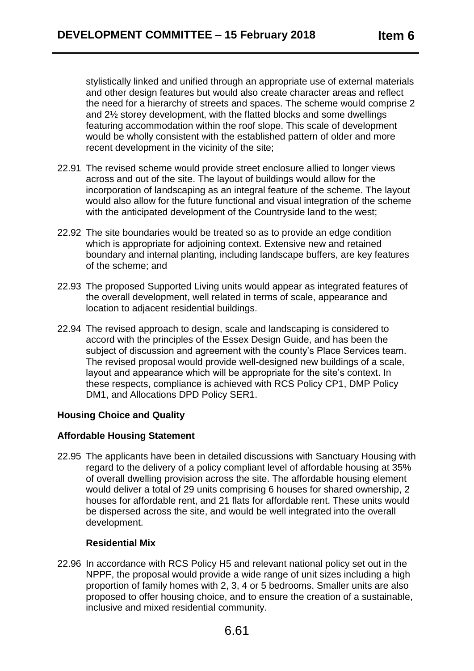stylistically linked and unified through an appropriate use of external materials and other design features but would also create character areas and reflect the need for a hierarchy of streets and spaces. The scheme would comprise 2 and 2½ storey development, with the flatted blocks and some dwellings featuring accommodation within the roof slope. This scale of development would be wholly consistent with the established pattern of older and more recent development in the vicinity of the site;

- 22.91 The revised scheme would provide street enclosure allied to longer views across and out of the site. The layout of buildings would allow for the incorporation of landscaping as an integral feature of the scheme. The layout would also allow for the future functional and visual integration of the scheme with the anticipated development of the Countryside land to the west;
- 22.92 The site boundaries would be treated so as to provide an edge condition which is appropriate for adjoining context. Extensive new and retained boundary and internal planting, including landscape buffers, are key features of the scheme; and
- 22.93 The proposed Supported Living units would appear as integrated features of the overall development, well related in terms of scale, appearance and location to adjacent residential buildings.
- 22.94 The revised approach to design, scale and landscaping is considered to accord with the principles of the Essex Design Guide, and has been the subject of discussion and agreement with the county's Place Services team. The revised proposal would provide well-designed new buildings of a scale, layout and appearance which will be appropriate for the site's context. In these respects, compliance is achieved with RCS Policy CP1, DMP Policy DM1, and Allocations DPD Policy SER1.

# **Housing Choice and Quality**

#### **Affordable Housing Statement**

22.95 The applicants have been in detailed discussions with Sanctuary Housing with regard to the delivery of a policy compliant level of affordable housing at 35% of overall dwelling provision across the site. The affordable housing element would deliver a total of 29 units comprising 6 houses for shared ownership, 2 houses for affordable rent, and 21 flats for affordable rent. These units would be dispersed across the site, and would be well integrated into the overall development.

#### **Residential Mix**

22.96 In accordance with RCS Policy H5 and relevant national policy set out in the NPPF, the proposal would provide a wide range of unit sizes including a high proportion of family homes with 2, 3, 4 or 5 bedrooms. Smaller units are also proposed to offer housing choice, and to ensure the creation of a sustainable, inclusive and mixed residential community.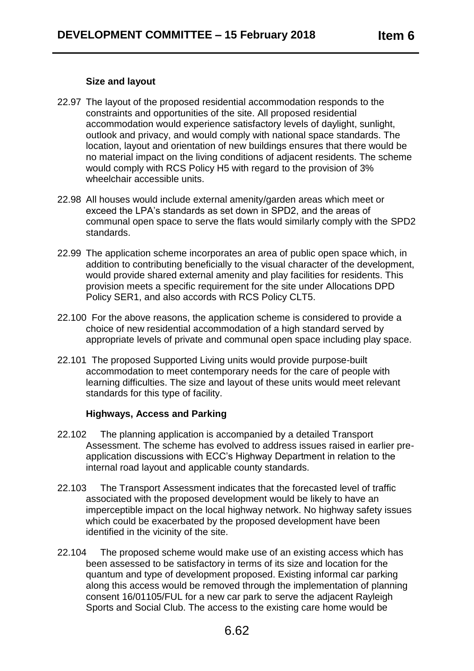#### **Size and layout**

- 22.97 The layout of the proposed residential accommodation responds to the constraints and opportunities of the site. All proposed residential accommodation would experience satisfactory levels of daylight, sunlight, outlook and privacy, and would comply with national space standards. The location, layout and orientation of new buildings ensures that there would be no material impact on the living conditions of adjacent residents. The scheme would comply with RCS Policy H5 with regard to the provision of 3% wheelchair accessible units.
- 22.98 All houses would include external amenity/garden areas which meet or exceed the LPA's standards as set down in SPD2, and the areas of communal open space to serve the flats would similarly comply with the SPD2 standards.
- 22.99 The application scheme incorporates an area of public open space which, in addition to contributing beneficially to the visual character of the development, would provide shared external amenity and play facilities for residents. This provision meets a specific requirement for the site under Allocations DPD Policy SER1, and also accords with RCS Policy CLT5.
- 22.100 For the above reasons, the application scheme is considered to provide a choice of new residential accommodation of a high standard served by appropriate levels of private and communal open space including play space.
- 22.101 The proposed Supported Living units would provide purpose-built accommodation to meet contemporary needs for the care of people with learning difficulties. The size and layout of these units would meet relevant standards for this type of facility.

#### **Highways, Access and Parking**

- 22.102 The planning application is accompanied by a detailed Transport Assessment. The scheme has evolved to address issues raised in earlier preapplication discussions with ECC's Highway Department in relation to the internal road layout and applicable county standards.
- 22.103 The Transport Assessment indicates that the forecasted level of traffic associated with the proposed development would be likely to have an imperceptible impact on the local highway network. No highway safety issues which could be exacerbated by the proposed development have been identified in the vicinity of the site.
- 22.104 The proposed scheme would make use of an existing access which has been assessed to be satisfactory in terms of its size and location for the quantum and type of development proposed. Existing informal car parking along this access would be removed through the implementation of planning consent 16/01105/FUL for a new car park to serve the adjacent Rayleigh Sports and Social Club. The access to the existing care home would be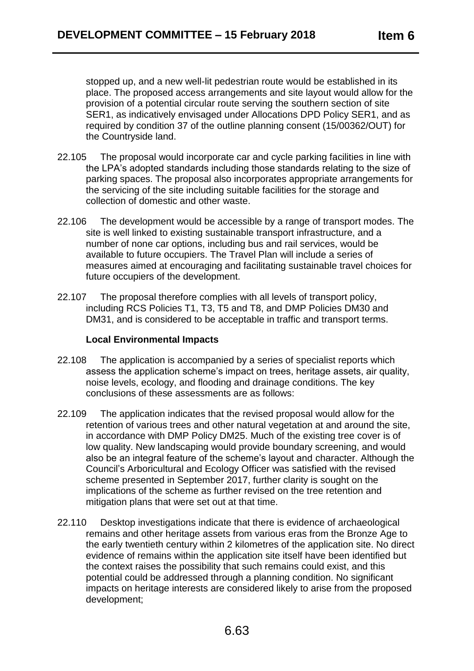stopped up, and a new well-lit pedestrian route would be established in its place. The proposed access arrangements and site layout would allow for the provision of a potential circular route serving the southern section of site SER1, as indicatively envisaged under Allocations DPD Policy SER1, and as required by condition 37 of the outline planning consent (15/00362/OUT) for the Countryside land.

- 22.105 The proposal would incorporate car and cycle parking facilities in line with the LPA's adopted standards including those standards relating to the size of parking spaces. The proposal also incorporates appropriate arrangements for the servicing of the site including suitable facilities for the storage and collection of domestic and other waste.
- 22.106 The development would be accessible by a range of transport modes. The site is well linked to existing sustainable transport infrastructure, and a number of none car options, including bus and rail services, would be available to future occupiers. The Travel Plan will include a series of measures aimed at encouraging and facilitating sustainable travel choices for future occupiers of the development.
- 22.107 The proposal therefore complies with all levels of transport policy, including RCS Policies T1, T3, T5 and T8, and DMP Policies DM30 and DM31, and is considered to be acceptable in traffic and transport terms.

#### **Local Environmental Impacts**

- 22.108 The application is accompanied by a series of specialist reports which assess the application scheme's impact on trees, heritage assets, air quality, noise levels, ecology, and flooding and drainage conditions. The key conclusions of these assessments are as follows:
- 22.109 The application indicates that the revised proposal would allow for the retention of various trees and other natural vegetation at and around the site, in accordance with DMP Policy DM25. Much of the existing tree cover is of low quality. New landscaping would provide boundary screening, and would also be an integral feature of the scheme's layout and character. Although the Council's Arboricultural and Ecology Officer was satisfied with the revised scheme presented in September 2017, further clarity is sought on the implications of the scheme as further revised on the tree retention and mitigation plans that were set out at that time.
- 22.110 Desktop investigations indicate that there is evidence of archaeological remains and other heritage assets from various eras from the Bronze Age to the early twentieth century within 2 kilometres of the application site. No direct evidence of remains within the application site itself have been identified but the context raises the possibility that such remains could exist, and this potential could be addressed through a planning condition. No significant impacts on heritage interests are considered likely to arise from the proposed development;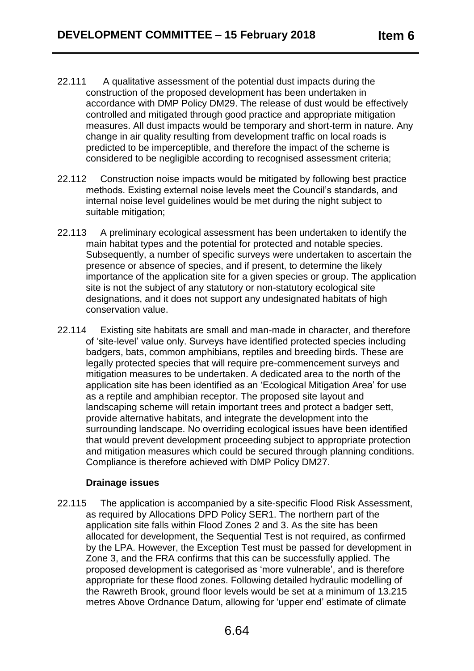- 22.111 A qualitative assessment of the potential dust impacts during the construction of the proposed development has been undertaken in accordance with DMP Policy DM29. The release of dust would be effectively controlled and mitigated through good practice and appropriate mitigation measures. All dust impacts would be temporary and short-term in nature. Any change in air quality resulting from development traffic on local roads is predicted to be imperceptible, and therefore the impact of the scheme is considered to be negligible according to recognised assessment criteria;
- 22.112 Construction noise impacts would be mitigated by following best practice methods. Existing external noise levels meet the Council's standards, and internal noise level guidelines would be met during the night subject to suitable mitigation;
- 22.113 A preliminary ecological assessment has been undertaken to identify the main habitat types and the potential for protected and notable species. Subsequently, a number of specific surveys were undertaken to ascertain the presence or absence of species, and if present, to determine the likely importance of the application site for a given species or group. The application site is not the subject of any statutory or non-statutory ecological site designations, and it does not support any undesignated habitats of high conservation value.
- 22.114 Existing site habitats are small and man-made in character, and therefore of 'site-level' value only. Surveys have identified protected species including badgers, bats, common amphibians, reptiles and breeding birds. These are legally protected species that will require pre-commencement surveys and mitigation measures to be undertaken. A dedicated area to the north of the application site has been identified as an 'Ecological Mitigation Area' for use as a reptile and amphibian receptor. The proposed site layout and landscaping scheme will retain important trees and protect a badger sett, provide alternative habitats, and integrate the development into the surrounding landscape. No overriding ecological issues have been identified that would prevent development proceeding subject to appropriate protection and mitigation measures which could be secured through planning conditions. Compliance is therefore achieved with DMP Policy DM27.

#### **Drainage issues**

22.115 The application is accompanied by a site-specific Flood Risk Assessment, as required by Allocations DPD Policy SER1. The northern part of the application site falls within Flood Zones 2 and 3. As the site has been allocated for development, the Sequential Test is not required, as confirmed by the LPA. However, the Exception Test must be passed for development in Zone 3, and the FRA confirms that this can be successfully applied. The proposed development is categorised as 'more vulnerable', and is therefore appropriate for these flood zones. Following detailed hydraulic modelling of the Rawreth Brook, ground floor levels would be set at a minimum of 13.215 metres Above Ordnance Datum, allowing for 'upper end' estimate of climate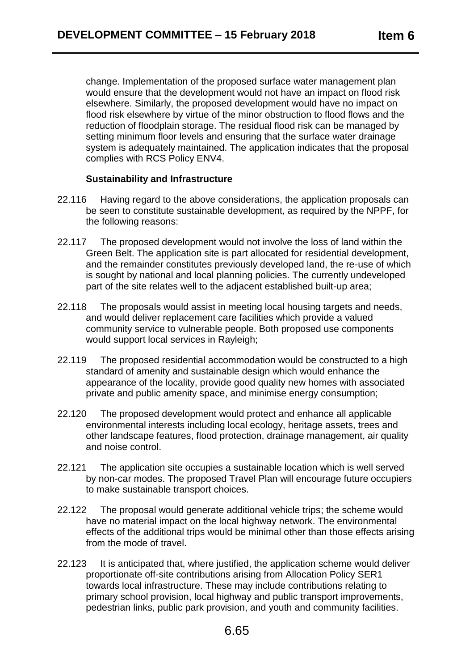change. Implementation of the proposed surface water management plan would ensure that the development would not have an impact on flood risk elsewhere. Similarly, the proposed development would have no impact on flood risk elsewhere by virtue of the minor obstruction to flood flows and the reduction of floodplain storage. The residual flood risk can be managed by setting minimum floor levels and ensuring that the surface water drainage system is adequately maintained. The application indicates that the proposal complies with RCS Policy ENV4.

## **Sustainability and Infrastructure**

- 22.116 Having regard to the above considerations, the application proposals can be seen to constitute sustainable development, as required by the NPPF, for the following reasons:
- 22.117 The proposed development would not involve the loss of land within the Green Belt. The application site is part allocated for residential development, and the remainder constitutes previously developed land, the re-use of which is sought by national and local planning policies. The currently undeveloped part of the site relates well to the adjacent established built-up area;
- 22.118 The proposals would assist in meeting local housing targets and needs, and would deliver replacement care facilities which provide a valued community service to vulnerable people. Both proposed use components would support local services in Rayleigh;
- 22.119 The proposed residential accommodation would be constructed to a high standard of amenity and sustainable design which would enhance the appearance of the locality, provide good quality new homes with associated private and public amenity space, and minimise energy consumption;
- 22.120 The proposed development would protect and enhance all applicable environmental interests including local ecology, heritage assets, trees and other landscape features, flood protection, drainage management, air quality and noise control.
- 22.121 The application site occupies a sustainable location which is well served by non-car modes. The proposed Travel Plan will encourage future occupiers to make sustainable transport choices.
- 22.122 The proposal would generate additional vehicle trips; the scheme would have no material impact on the local highway network. The environmental effects of the additional trips would be minimal other than those effects arising from the mode of travel.
- 22.123 It is anticipated that, where justified, the application scheme would deliver proportionate off-site contributions arising from Allocation Policy SER1 towards local infrastructure. These may include contributions relating to primary school provision, local highway and public transport improvements, pedestrian links, public park provision, and youth and community facilities.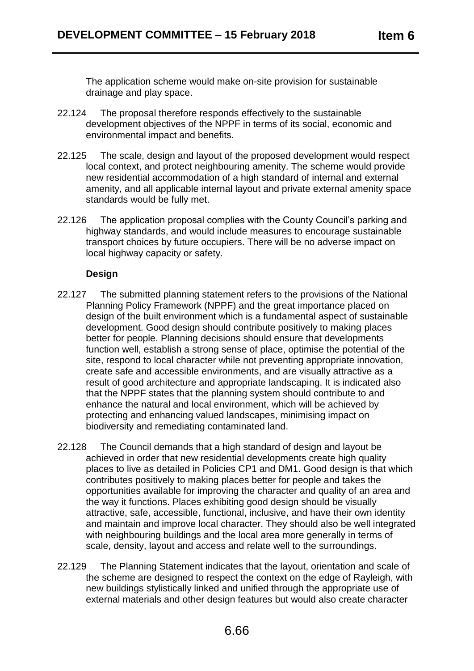The application scheme would make on-site provision for sustainable drainage and play space.

- 22.124 The proposal therefore responds effectively to the sustainable development objectives of the NPPF in terms of its social, economic and environmental impact and benefits.
- 22.125 The scale, design and layout of the proposed development would respect local context, and protect neighbouring amenity. The scheme would provide new residential accommodation of a high standard of internal and external amenity, and all applicable internal layout and private external amenity space standards would be fully met.
- 22.126 The application proposal complies with the County Council's parking and highway standards, and would include measures to encourage sustainable transport choices by future occupiers. There will be no adverse impact on local highway capacity or safety.

## **Design**

- 22.127 The submitted planning statement refers to the provisions of the National Planning Policy Framework (NPPF) and the great importance placed on design of the built environment which is a fundamental aspect of sustainable development. Good design should contribute positively to making places better for people. Planning decisions should ensure that developments function well, establish a strong sense of place, optimise the potential of the site, respond to local character while not preventing appropriate innovation, create safe and accessible environments, and are visually attractive as a result of good architecture and appropriate landscaping. It is indicated also that the NPPF states that the planning system should contribute to and enhance the natural and local environment, which will be achieved by protecting and enhancing valued landscapes, minimising impact on biodiversity and remediating contaminated land.
- 22.128 The Council demands that a high standard of design and layout be achieved in order that new residential developments create high quality places to live as detailed in Policies CP1 and DM1. Good design is that which contributes positively to making places better for people and takes the opportunities available for improving the character and quality of an area and the way it functions. Places exhibiting good design should be visually attractive, safe, accessible, functional, inclusive, and have their own identity and maintain and improve local character. They should also be well integrated with neighbouring buildings and the local area more generally in terms of scale, density, layout and access and relate well to the surroundings.
- 22.129 The Planning Statement indicates that the layout, orientation and scale of the scheme are designed to respect the context on the edge of Rayleigh, with new buildings stylistically linked and unified through the appropriate use of external materials and other design features but would also create character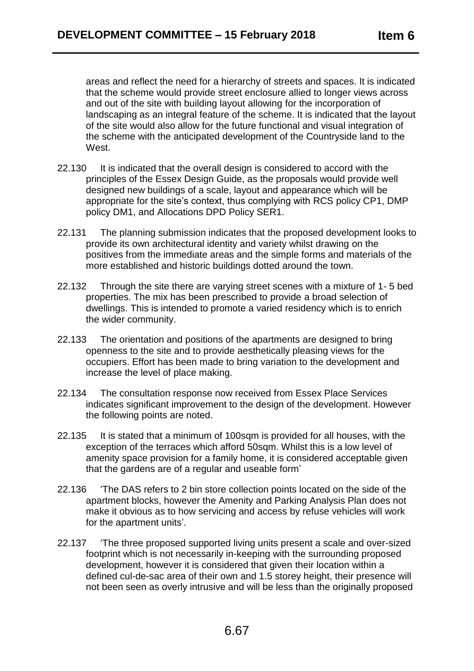areas and reflect the need for a hierarchy of streets and spaces. It is indicated that the scheme would provide street enclosure allied to longer views across and out of the site with building layout allowing for the incorporation of landscaping as an integral feature of the scheme. It is indicated that the layout of the site would also allow for the future functional and visual integration of the scheme with the anticipated development of the Countryside land to the West.

- 22.130 It is indicated that the overall design is considered to accord with the principles of the Essex Design Guide, as the proposals would provide well designed new buildings of a scale, layout and appearance which will be appropriate for the site's context, thus complying with RCS policy CP1, DMP policy DM1, and Allocations DPD Policy SER1.
- 22.131 The planning submission indicates that the proposed development looks to provide its own architectural identity and variety whilst drawing on the positives from the immediate areas and the simple forms and materials of the more established and historic buildings dotted around the town.
- 22.132 Through the site there are varying street scenes with a mixture of 1- 5 bed properties. The mix has been prescribed to provide a broad selection of dwellings. This is intended to promote a varied residency which is to enrich the wider community.
- 22.133 The orientation and positions of the apartments are designed to bring openness to the site and to provide aesthetically pleasing views for the occupiers. Effort has been made to bring variation to the development and increase the level of place making.
- 22.134 The consultation response now received from Essex Place Services indicates significant improvement to the design of the development. However the following points are noted.
- 22.135 It is stated that a minimum of 100sqm is provided for all houses, with the exception of the terraces which afford 50sqm. Whilst this is a low level of amenity space provision for a family home, it is considered acceptable given that the gardens are of a regular and useable form'
- 22.136 'The DAS refers to 2 bin store collection points located on the side of the apartment blocks, however the Amenity and Parking Analysis Plan does not make it obvious as to how servicing and access by refuse vehicles will work for the apartment units'.
- 22.137 'The three proposed supported living units present a scale and over-sized footprint which is not necessarily in-keeping with the surrounding proposed development, however it is considered that given their location within a defined cul-de-sac area of their own and 1.5 storey height, their presence will not been seen as overly intrusive and will be less than the originally proposed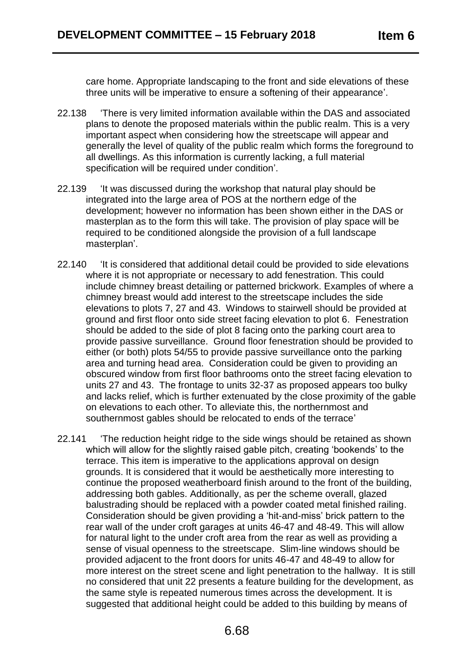care home. Appropriate landscaping to the front and side elevations of these three units will be imperative to ensure a softening of their appearance'.

- 22.138 'There is very limited information available within the DAS and associated plans to denote the proposed materials within the public realm. This is a very important aspect when considering how the streetscape will appear and generally the level of quality of the public realm which forms the foreground to all dwellings. As this information is currently lacking, a full material specification will be required under condition'.
- 22.139 'It was discussed during the workshop that natural play should be integrated into the large area of POS at the northern edge of the development; however no information has been shown either in the DAS or masterplan as to the form this will take. The provision of play space will be required to be conditioned alongside the provision of a full landscape masterplan'.
- 22.140 'It is considered that additional detail could be provided to side elevations where it is not appropriate or necessary to add fenestration. This could include chimney breast detailing or patterned brickwork. Examples of where a chimney breast would add interest to the streetscape includes the side elevations to plots 7, 27 and 43. Windows to stairwell should be provided at ground and first floor onto side street facing elevation to plot 6. Fenestration should be added to the side of plot 8 facing onto the parking court area to provide passive surveillance. Ground floor fenestration should be provided to either (or both) plots 54/55 to provide passive surveillance onto the parking area and turning head area. Consideration could be given to providing an obscured window from first floor bathrooms onto the street facing elevation to units 27 and 43. The frontage to units 32-37 as proposed appears too bulky and lacks relief, which is further extenuated by the close proximity of the gable on elevations to each other. To alleviate this, the northernmost and southernmost gables should be relocated to ends of the terrace'
- 22.141 'The reduction height ridge to the side wings should be retained as shown which will allow for the slightly raised gable pitch, creating 'bookends' to the terrace. This item is imperative to the applications approval on design grounds. It is considered that it would be aesthetically more interesting to continue the proposed weatherboard finish around to the front of the building, addressing both gables. Additionally, as per the scheme overall, glazed balustrading should be replaced with a powder coated metal finished railing. Consideration should be given providing a 'hit-and-miss' brick pattern to the rear wall of the under croft garages at units 46-47 and 48-49. This will allow for natural light to the under croft area from the rear as well as providing a sense of visual openness to the streetscape. Slim-line windows should be provided adjacent to the front doors for units 46-47 and 48-49 to allow for more interest on the street scene and light penetration to the hallway. It is still no considered that unit 22 presents a feature building for the development, as the same style is repeated numerous times across the development. It is suggested that additional height could be added to this building by means of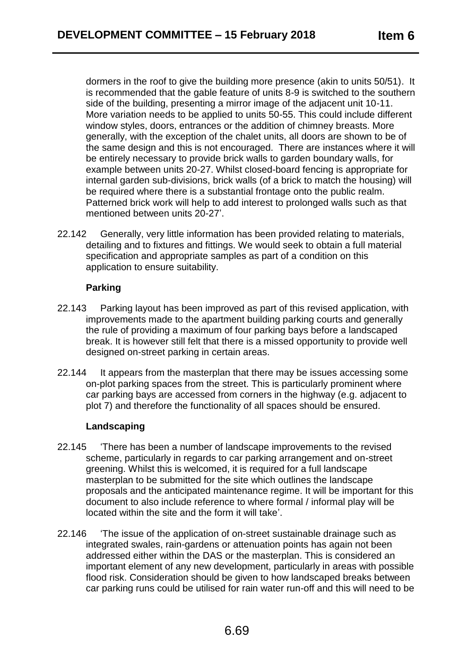dormers in the roof to give the building more presence (akin to units 50/51). It is recommended that the gable feature of units 8-9 is switched to the southern side of the building, presenting a mirror image of the adjacent unit 10-11. More variation needs to be applied to units 50-55. This could include different window styles, doors, entrances or the addition of chimney breasts. More generally, with the exception of the chalet units, all doors are shown to be of the same design and this is not encouraged. There are instances where it will be entirely necessary to provide brick walls to garden boundary walls, for example between units 20-27. Whilst closed-board fencing is appropriate for internal garden sub-divisions, brick walls (of a brick to match the housing) will be required where there is a substantial frontage onto the public realm. Patterned brick work will help to add interest to prolonged walls such as that mentioned between units 20-27'.

22.142 Generally, very little information has been provided relating to materials, detailing and to fixtures and fittings. We would seek to obtain a full material specification and appropriate samples as part of a condition on this application to ensure suitability.

## **Parking**

- 22.143 Parking layout has been improved as part of this revised application, with improvements made to the apartment building parking courts and generally the rule of providing a maximum of four parking bays before a landscaped break. It is however still felt that there is a missed opportunity to provide well designed on-street parking in certain areas.
- 22.144 It appears from the masterplan that there may be issues accessing some on-plot parking spaces from the street. This is particularly prominent where car parking bays are accessed from corners in the highway (e.g. adjacent to plot 7) and therefore the functionality of all spaces should be ensured.

#### **Landscaping**

- 22.145 'There has been a number of landscape improvements to the revised scheme, particularly in regards to car parking arrangement and on-street greening. Whilst this is welcomed, it is required for a full landscape masterplan to be submitted for the site which outlines the landscape proposals and the anticipated maintenance regime. It will be important for this document to also include reference to where formal / informal play will be located within the site and the form it will take'.
- 22.146 'The issue of the application of on-street sustainable drainage such as integrated swales, rain-gardens or attenuation points has again not been addressed either within the DAS or the masterplan. This is considered an important element of any new development, particularly in areas with possible flood risk. Consideration should be given to how landscaped breaks between car parking runs could be utilised for rain water run-off and this will need to be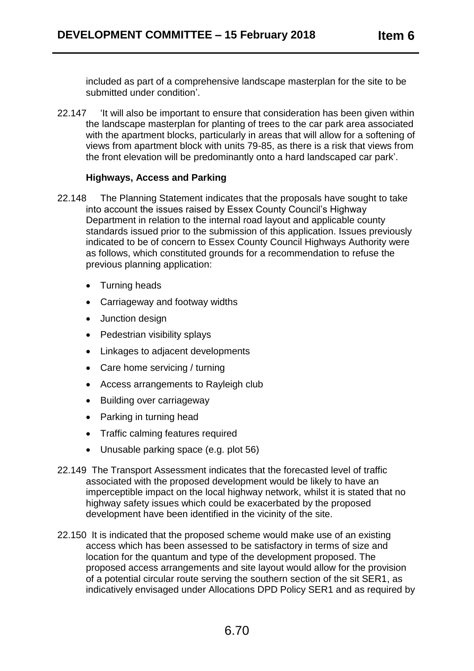included as part of a comprehensive landscape masterplan for the site to be submitted under condition'.

22.147 'It will also be important to ensure that consideration has been given within the landscape masterplan for planting of trees to the car park area associated with the apartment blocks, particularly in areas that will allow for a softening of views from apartment block with units 79-85, as there is a risk that views from the front elevation will be predominantly onto a hard landscaped car park'.

#### **Highways, Access and Parking**

- 22.148 The Planning Statement indicates that the proposals have sought to take into account the issues raised by Essex County Council's Highway Department in relation to the internal road layout and applicable county standards issued prior to the submission of this application. Issues previously indicated to be of concern to Essex County Council Highways Authority were as follows, which constituted grounds for a recommendation to refuse the previous planning application:
	- Turning heads
	- Carriageway and footway widths
	- Junction design
	- Pedestrian visibility splays
	- Linkages to adjacent developments
	- Care home servicing / turning
	- Access arrangements to Rayleigh club
	- Building over carriageway
	- Parking in turning head
	- Traffic calming features required
	- Unusable parking space (e.g. plot 56)
- 22.149 The Transport Assessment indicates that the forecasted level of traffic associated with the proposed development would be likely to have an imperceptible impact on the local highway network, whilst it is stated that no highway safety issues which could be exacerbated by the proposed development have been identified in the vicinity of the site.
- 22.150 It is indicated that the proposed scheme would make use of an existing access which has been assessed to be satisfactory in terms of size and location for the quantum and type of the development proposed. The proposed access arrangements and site layout would allow for the provision of a potential circular route serving the southern section of the sit SER1, as indicatively envisaged under Allocations DPD Policy SER1 and as required by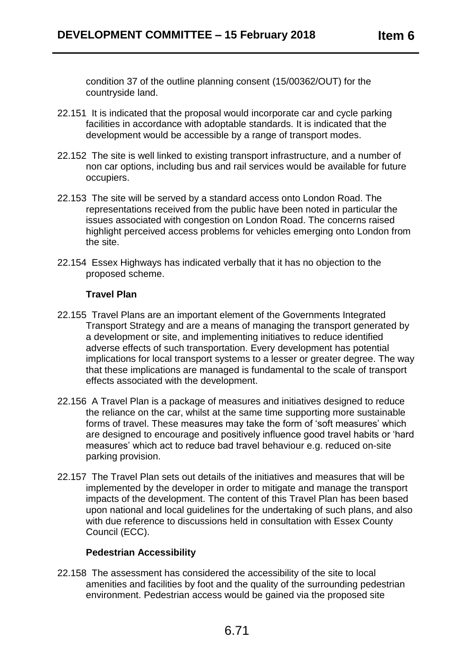condition 37 of the outline planning consent (15/00362/OUT) for the countryside land.

- 22.151 It is indicated that the proposal would incorporate car and cycle parking facilities in accordance with adoptable standards. It is indicated that the development would be accessible by a range of transport modes.
- 22.152 The site is well linked to existing transport infrastructure, and a number of non car options, including bus and rail services would be available for future occupiers.
- 22.153 The site will be served by a standard access onto London Road. The representations received from the public have been noted in particular the issues associated with congestion on London Road. The concerns raised highlight perceived access problems for vehicles emerging onto London from the site.
- 22.154 Essex Highways has indicated verbally that it has no objection to the proposed scheme.

### **Travel Plan**

- 22.155 Travel Plans are an important element of the Governments Integrated Transport Strategy and are a means of managing the transport generated by a development or site, and implementing initiatives to reduce identified adverse effects of such transportation. Every development has potential implications for local transport systems to a lesser or greater degree. The way that these implications are managed is fundamental to the scale of transport effects associated with the development.
- 22.156 A Travel Plan is a package of measures and initiatives designed to reduce the reliance on the car, whilst at the same time supporting more sustainable forms of travel. These measures may take the form of 'soft measures' which are designed to encourage and positively influence good travel habits or 'hard measures' which act to reduce bad travel behaviour e.g. reduced on-site parking provision.
- 22.157 The Travel Plan sets out details of the initiatives and measures that will be implemented by the developer in order to mitigate and manage the transport impacts of the development. The content of this Travel Plan has been based upon national and local guidelines for the undertaking of such plans, and also with due reference to discussions held in consultation with Essex County Council (ECC).

#### **Pedestrian Accessibility**

22.158 The assessment has considered the accessibility of the site to local amenities and facilities by foot and the quality of the surrounding pedestrian environment. Pedestrian access would be gained via the proposed site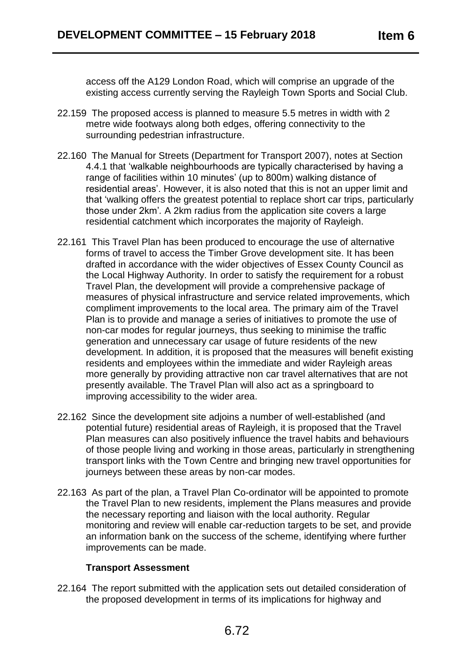access off the A129 London Road, which will comprise an upgrade of the existing access currently serving the Rayleigh Town Sports and Social Club.

- 22.159 The proposed access is planned to measure 5.5 metres in width with 2 metre wide footways along both edges, offering connectivity to the surrounding pedestrian infrastructure.
- 22.160 The Manual for Streets (Department for Transport 2007), notes at Section 4.4.1 that 'walkable neighbourhoods are typically characterised by having a range of facilities within 10 minutes' (up to 800m) walking distance of residential areas'. However, it is also noted that this is not an upper limit and that 'walking offers the greatest potential to replace short car trips, particularly those under 2km'*.* A 2km radius from the application site covers a large residential catchment which incorporates the majority of Rayleigh.
- 22.161 This Travel Plan has been produced to encourage the use of alternative forms of travel to access the Timber Grove development site. It has been drafted in accordance with the wider objectives of Essex County Council as the Local Highway Authority. In order to satisfy the requirement for a robust Travel Plan, the development will provide a comprehensive package of measures of physical infrastructure and service related improvements, which compliment improvements to the local area. The primary aim of the Travel Plan is to provide and manage a series of initiatives to promote the use of non-car modes for regular journeys, thus seeking to minimise the traffic generation and unnecessary car usage of future residents of the new development. In addition, it is proposed that the measures will benefit existing residents and employees within the immediate and wider Rayleigh areas more generally by providing attractive non car travel alternatives that are not presently available. The Travel Plan will also act as a springboard to improving accessibility to the wider area.
- 22.162 Since the development site adjoins a number of well-established (and potential future) residential areas of Rayleigh, it is proposed that the Travel Plan measures can also positively influence the travel habits and behaviours of those people living and working in those areas, particularly in strengthening transport links with the Town Centre and bringing new travel opportunities for journeys between these areas by non-car modes.
- 22.163 As part of the plan, a Travel Plan Co-ordinator will be appointed to promote the Travel Plan to new residents, implement the Plans measures and provide the necessary reporting and liaison with the local authority. Regular monitoring and review will enable car-reduction targets to be set, and provide an information bank on the success of the scheme, identifying where further improvements can be made.

# **Transport Assessment**

22.164 The report submitted with the application sets out detailed consideration of the proposed development in terms of its implications for highway and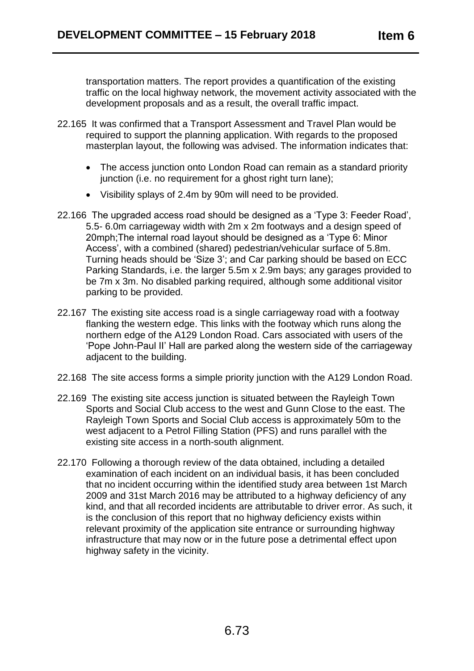transportation matters. The report provides a quantification of the existing traffic on the local highway network, the movement activity associated with the development proposals and as a result, the overall traffic impact.

- 22.165 It was confirmed that a Transport Assessment and Travel Plan would be required to support the planning application. With regards to the proposed masterplan layout, the following was advised. The information indicates that:
	- The access junction onto London Road can remain as a standard priority junction (i.e. no requirement for a ghost right turn lane);
	- Visibility splays of 2.4m by 90m will need to be provided.
- 22.166 The upgraded access road should be designed as a 'Type 3: Feeder Road', 5.5- 6.0m carriageway width with 2m x 2m footways and a design speed of 20mph;The internal road layout should be designed as a 'Type 6: Minor Access', with a combined (shared) pedestrian/vehicular surface of 5.8m. Turning heads should be 'Size 3'; and Car parking should be based on ECC Parking Standards, i.e. the larger 5.5m x 2.9m bays; any garages provided to be 7m x 3m. No disabled parking required, although some additional visitor parking to be provided.
- 22.167 The existing site access road is a single carriageway road with a footway flanking the western edge. This links with the footway which runs along the northern edge of the A129 London Road. Cars associated with users of the 'Pope John-Paul II' Hall are parked along the western side of the carriageway adjacent to the building.
- 22.168 The site access forms a simple priority junction with the A129 London Road.
- 22.169 The existing site access junction is situated between the Rayleigh Town Sports and Social Club access to the west and Gunn Close to the east. The Rayleigh Town Sports and Social Club access is approximately 50m to the west adjacent to a Petrol Filling Station (PFS) and runs parallel with the existing site access in a north-south alignment.
- 22.170 Following a thorough review of the data obtained, including a detailed examination of each incident on an individual basis, it has been concluded that no incident occurring within the identified study area between 1st March 2009 and 31st March 2016 may be attributed to a highway deficiency of any kind, and that all recorded incidents are attributable to driver error. As such, it is the conclusion of this report that no highway deficiency exists within relevant proximity of the application site entrance or surrounding highway infrastructure that may now or in the future pose a detrimental effect upon highway safety in the vicinity.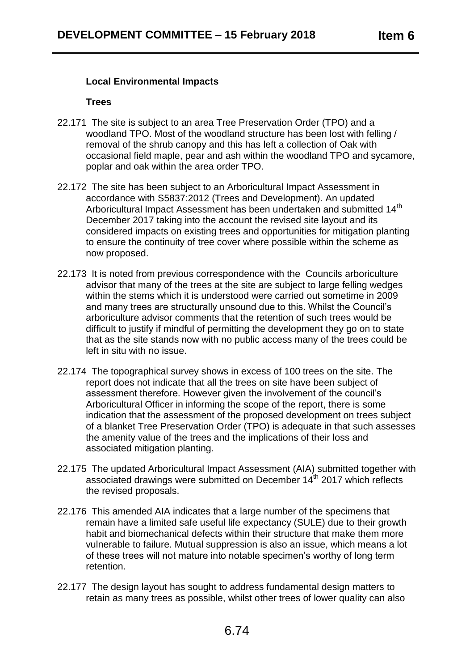## **Local Environmental Impacts**

#### **Trees**

- 22.171 The site is subject to an area Tree Preservation Order (TPO) and a woodland TPO. Most of the woodland structure has been lost with felling / removal of the shrub canopy and this has left a collection of Oak with occasional field maple, pear and ash within the woodland TPO and sycamore, poplar and oak within the area order TPO.
- 22.172 The site has been subject to an Arboricultural Impact Assessment in accordance with S5837:2012 (Trees and Development). An updated Arboricultural Impact Assessment has been undertaken and submitted 14<sup>th</sup> December 2017 taking into the account the revised site layout and its considered impacts on existing trees and opportunities for mitigation planting to ensure the continuity of tree cover where possible within the scheme as now proposed.
- 22.173 It is noted from previous correspondence with the Councils arboriculture advisor that many of the trees at the site are subject to large felling wedges within the stems which it is understood were carried out sometime in 2009 and many trees are structurally unsound due to this. Whilst the Council's arboriculture advisor comments that the retention of such trees would be difficult to justify if mindful of permitting the development they go on to state that as the site stands now with no public access many of the trees could be left in situ with no issue.
- 22.174 The topographical survey shows in excess of 100 trees on the site. The report does not indicate that all the trees on site have been subject of assessment therefore. However given the involvement of the council's Arboricultural Officer in informing the scope of the report, there is some indication that the assessment of the proposed development on trees subject of a blanket Tree Preservation Order (TPO) is adequate in that such assesses the amenity value of the trees and the implications of their loss and associated mitigation planting.
- 22.175 The updated Arboricultural Impact Assessment (AIA) submitted together with associated drawings were submitted on December 14<sup>th</sup> 2017 which reflects the revised proposals.
- 22.176 This amended AIA indicates that a large number of the specimens that remain have a limited safe useful life expectancy (SULE) due to their growth habit and biomechanical defects within their structure that make them more vulnerable to failure. Mutual suppression is also an issue, which means a lot of these trees will not mature into notable specimen's worthy of long term retention.
- 22.177 The design layout has sought to address fundamental design matters to retain as many trees as possible, whilst other trees of lower quality can also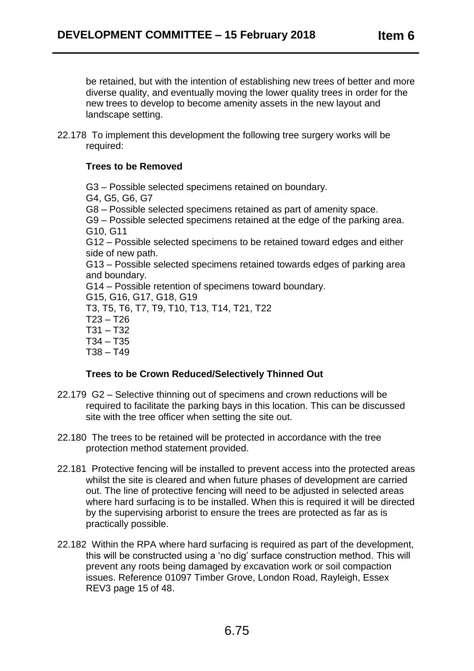be retained, but with the intention of establishing new trees of better and more diverse quality, and eventually moving the lower quality trees in order for the new trees to develop to become amenity assets in the new layout and landscape setting.

22.178 To implement this development the following tree surgery works will be required:

## **Trees to be Removed**

G3 – Possible selected specimens retained on boundary. G4, G5, G6, G7 G8 – Possible selected specimens retained as part of amenity space. G9 – Possible selected specimens retained at the edge of the parking area. G10, G11 G12 – Possible selected specimens to be retained toward edges and either side of new path. G13 – Possible selected specimens retained towards edges of parking area and boundary. G14 – Possible retention of specimens toward boundary. G15, G16, G17, G18, G19 T3, T5, T6, T7, T9, T10, T13, T14, T21, T22 T23 – T26 T31 – T32 T34 – T35 T38 – T49

## **Trees to be Crown Reduced/Selectively Thinned Out**

- 22.179 G2 Selective thinning out of specimens and crown reductions will be required to facilitate the parking bays in this location. This can be discussed site with the tree officer when setting the site out.
- 22.180 The trees to be retained will be protected in accordance with the tree protection method statement provided.
- 22.181 Protective fencing will be installed to prevent access into the protected areas whilst the site is cleared and when future phases of development are carried out. The line of protective fencing will need to be adjusted in selected areas where hard surfacing is to be installed. When this is required it will be directed by the supervising arborist to ensure the trees are protected as far as is practically possible.
- 22.182 Within the RPA where hard surfacing is required as part of the development, this will be constructed using a 'no dig' surface construction method. This will prevent any roots being damaged by excavation work or soil compaction issues. Reference 01097 Timber Grove, London Road, Rayleigh, Essex REV3 page 15 of 48.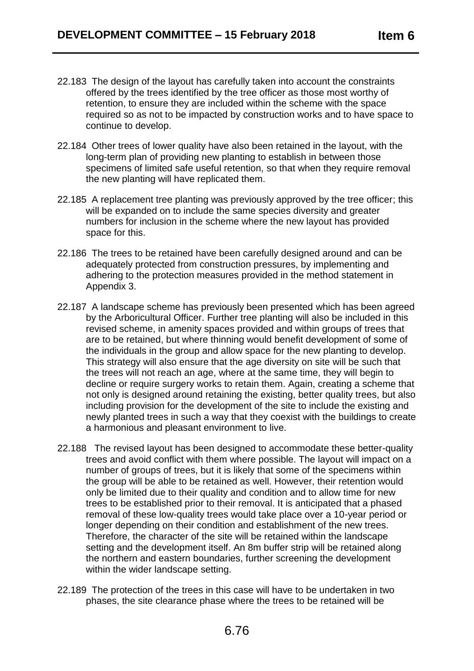- 22.183 The design of the layout has carefully taken into account the constraints offered by the trees identified by the tree officer as those most worthy of retention, to ensure they are included within the scheme with the space required so as not to be impacted by construction works and to have space to continue to develop.
- 22.184 Other trees of lower quality have also been retained in the layout, with the long-term plan of providing new planting to establish in between those specimens of limited safe useful retention, so that when they require removal the new planting will have replicated them.
- 22.185 A replacement tree planting was previously approved by the tree officer; this will be expanded on to include the same species diversity and greater numbers for inclusion in the scheme where the new layout has provided space for this.
- 22.186 The trees to be retained have been carefully designed around and can be adequately protected from construction pressures, by implementing and adhering to the protection measures provided in the method statement in Appendix 3.
- 22.187 A landscape scheme has previously been presented which has been agreed by the Arboricultural Officer. Further tree planting will also be included in this revised scheme, in amenity spaces provided and within groups of trees that are to be retained, but where thinning would benefit development of some of the individuals in the group and allow space for the new planting to develop. This strategy will also ensure that the age diversity on site will be such that the trees will not reach an age, where at the same time, they will begin to decline or require surgery works to retain them. Again, creating a scheme that not only is designed around retaining the existing, better quality trees, but also including provision for the development of the site to include the existing and newly planted trees in such a way that they coexist with the buildings to create a harmonious and pleasant environment to live.
- 22.188 The revised layout has been designed to accommodate these better-quality trees and avoid conflict with them where possible. The layout will impact on a number of groups of trees, but it is likely that some of the specimens within the group will be able to be retained as well. However, their retention would only be limited due to their quality and condition and to allow time for new trees to be established prior to their removal. It is anticipated that a phased removal of these low-quality trees would take place over a 10-year period or longer depending on their condition and establishment of the new trees. Therefore, the character of the site will be retained within the landscape setting and the development itself. An 8m buffer strip will be retained along the northern and eastern boundaries, further screening the development within the wider landscape setting.
- 22.189 The protection of the trees in this case will have to be undertaken in two phases, the site clearance phase where the trees to be retained will be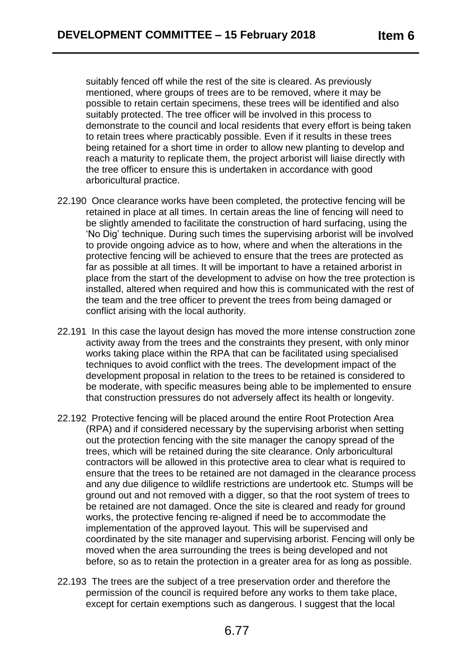suitably fenced off while the rest of the site is cleared. As previously mentioned, where groups of trees are to be removed, where it may be possible to retain certain specimens, these trees will be identified and also suitably protected. The tree officer will be involved in this process to demonstrate to the council and local residents that every effort is being taken to retain trees where practicably possible. Even if it results in these trees being retained for a short time in order to allow new planting to develop and reach a maturity to replicate them, the project arborist will liaise directly with the tree officer to ensure this is undertaken in accordance with good arboricultural practice.

- 22.190 Once clearance works have been completed, the protective fencing will be retained in place at all times. In certain areas the line of fencing will need to be slightly amended to facilitate the construction of hard surfacing, using the 'No Dig' technique. During such times the supervising arborist will be involved to provide ongoing advice as to how, where and when the alterations in the protective fencing will be achieved to ensure that the trees are protected as far as possible at all times. It will be important to have a retained arborist in place from the start of the development to advise on how the tree protection is installed, altered when required and how this is communicated with the rest of the team and the tree officer to prevent the trees from being damaged or conflict arising with the local authority.
- 22.191 In this case the layout design has moved the more intense construction zone activity away from the trees and the constraints they present, with only minor works taking place within the RPA that can be facilitated using specialised techniques to avoid conflict with the trees. The development impact of the development proposal in relation to the trees to be retained is considered to be moderate, with specific measures being able to be implemented to ensure that construction pressures do not adversely affect its health or longevity.
- 22.192 Protective fencing will be placed around the entire Root Protection Area (RPA) and if considered necessary by the supervising arborist when setting out the protection fencing with the site manager the canopy spread of the trees, which will be retained during the site clearance. Only arboricultural contractors will be allowed in this protective area to clear what is required to ensure that the trees to be retained are not damaged in the clearance process and any due diligence to wildlife restrictions are undertook etc. Stumps will be ground out and not removed with a digger, so that the root system of trees to be retained are not damaged. Once the site is cleared and ready for ground works, the protective fencing re-aligned if need be to accommodate the implementation of the approved layout. This will be supervised and coordinated by the site manager and supervising arborist. Fencing will only be moved when the area surrounding the trees is being developed and not before, so as to retain the protection in a greater area for as long as possible.
- 22.193 The trees are the subject of a tree preservation order and therefore the permission of the council is required before any works to them take place, except for certain exemptions such as dangerous. I suggest that the local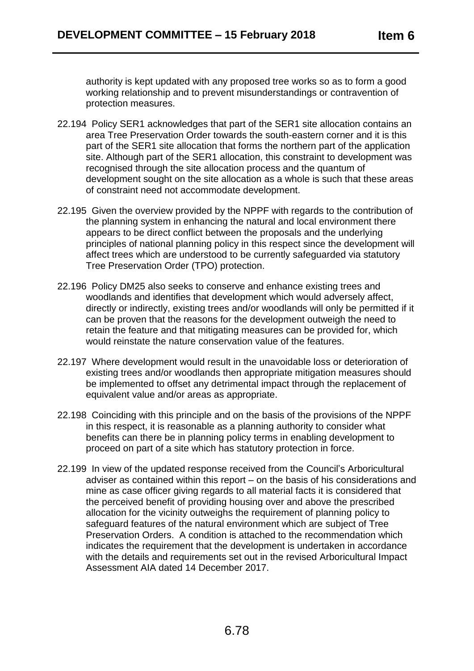authority is kept updated with any proposed tree works so as to form a good working relationship and to prevent misunderstandings or contravention of protection measures.

- 22.194 Policy SER1 acknowledges that part of the SER1 site allocation contains an area Tree Preservation Order towards the south-eastern corner and it is this part of the SER1 site allocation that forms the northern part of the application site. Although part of the SER1 allocation, this constraint to development was recognised through the site allocation process and the quantum of development sought on the site allocation as a whole is such that these areas of constraint need not accommodate development.
- 22.195 Given the overview provided by the NPPF with regards to the contribution of the planning system in enhancing the natural and local environment there appears to be direct conflict between the proposals and the underlying principles of national planning policy in this respect since the development will affect trees which are understood to be currently safeguarded via statutory Tree Preservation Order (TPO) protection.
- 22.196 Policy DM25 also seeks to conserve and enhance existing trees and woodlands and identifies that development which would adversely affect, directly or indirectly, existing trees and/or woodlands will only be permitted if it can be proven that the reasons for the development outweigh the need to retain the feature and that mitigating measures can be provided for, which would reinstate the nature conservation value of the features.
- 22.197 Where development would result in the unavoidable loss or deterioration of existing trees and/or woodlands then appropriate mitigation measures should be implemented to offset any detrimental impact through the replacement of equivalent value and/or areas as appropriate.
- 22.198 Coinciding with this principle and on the basis of the provisions of the NPPF in this respect, it is reasonable as a planning authority to consider what benefits can there be in planning policy terms in enabling development to proceed on part of a site which has statutory protection in force.
- 22.199 In view of the updated response received from the Council's Arboricultural adviser as contained within this report – on the basis of his considerations and mine as case officer giving regards to all material facts it is considered that the perceived benefit of providing housing over and above the prescribed allocation for the vicinity outweighs the requirement of planning policy to safeguard features of the natural environment which are subject of Tree Preservation Orders. A condition is attached to the recommendation which indicates the requirement that the development is undertaken in accordance with the details and requirements set out in the revised Arboricultural Impact Assessment AIA dated 14 December 2017.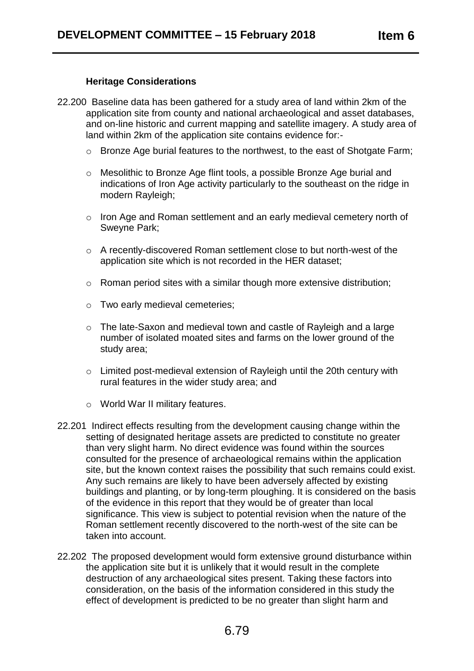## **Heritage Considerations**

- 22.200 Baseline data has been gathered for a study area of land within 2km of the application site from county and national archaeological and asset databases, and on-line historic and current mapping and satellite imagery. A study area of land within 2km of the application site contains evidence for:
	- o Bronze Age burial features to the northwest, to the east of Shotgate Farm;
	- o Mesolithic to Bronze Age flint tools, a possible Bronze Age burial and indications of Iron Age activity particularly to the southeast on the ridge in modern Rayleigh;
	- o Iron Age and Roman settlement and an early medieval cemetery north of Sweyne Park;
	- o A recently-discovered Roman settlement close to but north-west of the application site which is not recorded in the HER dataset;
	- o Roman period sites with a similar though more extensive distribution;
	- o Two early medieval cemeteries;
	- o The late-Saxon and medieval town and castle of Rayleigh and a large number of isolated moated sites and farms on the lower ground of the study area;
	- o Limited post-medieval extension of Rayleigh until the 20th century with rural features in the wider study area; and
	- o World War II military features.
- 22.201 Indirect effects resulting from the development causing change within the setting of designated heritage assets are predicted to constitute no greater than very slight harm. No direct evidence was found within the sources consulted for the presence of archaeological remains within the application site, but the known context raises the possibility that such remains could exist. Any such remains are likely to have been adversely affected by existing buildings and planting, or by long-term ploughing. It is considered on the basis of the evidence in this report that they would be of greater than local significance. This view is subject to potential revision when the nature of the Roman settlement recently discovered to the north-west of the site can be taken into account.
- 22.202 The proposed development would form extensive ground disturbance within the application site but it is unlikely that it would result in the complete destruction of any archaeological sites present. Taking these factors into consideration, on the basis of the information considered in this study the effect of development is predicted to be no greater than slight harm and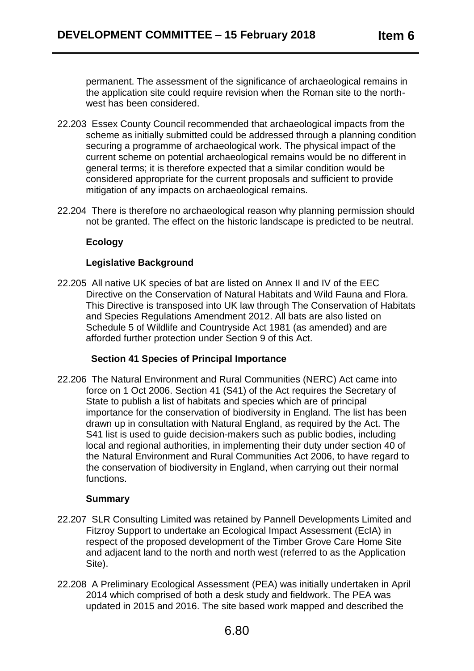permanent. The assessment of the significance of archaeological remains in the application site could require revision when the Roman site to the northwest has been considered.

- 22.203 Essex County Council recommended that archaeological impacts from the scheme as initially submitted could be addressed through a planning condition securing a programme of archaeological work. The physical impact of the current scheme on potential archaeological remains would be no different in general terms; it is therefore expected that a similar condition would be considered appropriate for the current proposals and sufficient to provide mitigation of any impacts on archaeological remains.
- 22.204 There is therefore no archaeological reason why planning permission should not be granted. The effect on the historic landscape is predicted to be neutral.

## **Ecology**

## **Legislative Background**

22.205 All native UK species of bat are listed on Annex II and IV of the EEC Directive on the Conservation of Natural Habitats and Wild Fauna and Flora. This Directive is transposed into UK law through The Conservation of Habitats and Species Regulations Amendment 2012. All bats are also listed on Schedule 5 of Wildlife and Countryside Act 1981 (as amended) and are afforded further protection under Section 9 of this Act.

## **Section 41 Species of Principal Importance**

22.206 The Natural Environment and Rural Communities (NERC) Act came into force on 1 Oct 2006. Section 41 (S41) of the Act requires the Secretary of State to publish a list of habitats and species which are of principal importance for the conservation of biodiversity in England. The list has been drawn up in consultation with Natural England, as required by the Act. The S41 list is used to guide decision-makers such as public bodies, including local and regional authorities, in implementing their duty under section 40 of the Natural Environment and Rural Communities Act 2006, to have regard to the conservation of biodiversity in England, when carrying out their normal functions.

## **Summary**

- 22.207 SLR Consulting Limited was retained by Pannell Developments Limited and Fitzroy Support to undertake an Ecological Impact Assessment (EcIA) in respect of the proposed development of the Timber Grove Care Home Site and adjacent land to the north and north west (referred to as the Application Site).
- 22.208 A Preliminary Ecological Assessment (PEA) was initially undertaken in April 2014 which comprised of both a desk study and fieldwork. The PEA was updated in 2015 and 2016. The site based work mapped and described the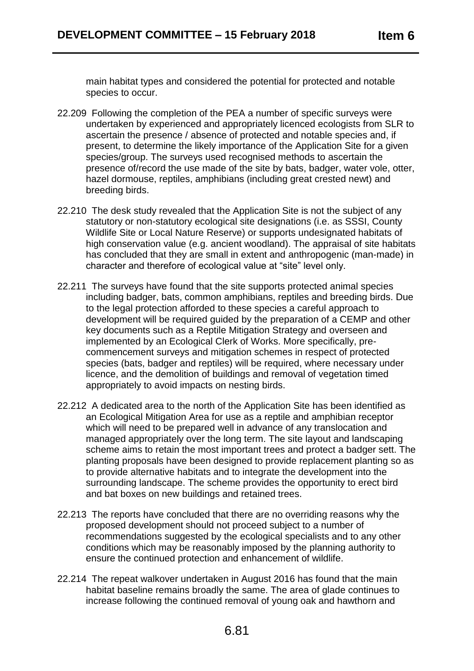main habitat types and considered the potential for protected and notable species to occur.

- 22.209 Following the completion of the PEA a number of specific surveys were undertaken by experienced and appropriately licenced ecologists from SLR to ascertain the presence / absence of protected and notable species and, if present, to determine the likely importance of the Application Site for a given species/group. The surveys used recognised methods to ascertain the presence of/record the use made of the site by bats, badger, water vole, otter, hazel dormouse, reptiles, amphibians (including great crested newt) and breeding birds.
- 22.210 The desk study revealed that the Application Site is not the subject of any statutory or non-statutory ecological site designations (i.e. as SSSI, County Wildlife Site or Local Nature Reserve) or supports undesignated habitats of high conservation value (e.g. ancient woodland). The appraisal of site habitats has concluded that they are small in extent and anthropogenic (man-made) in character and therefore of ecological value at "site" level only.
- 22.211 The surveys have found that the site supports protected animal species including badger, bats, common amphibians, reptiles and breeding birds. Due to the legal protection afforded to these species a careful approach to development will be required guided by the preparation of a CEMP and other key documents such as a Reptile Mitigation Strategy and overseen and implemented by an Ecological Clerk of Works. More specifically, precommencement surveys and mitigation schemes in respect of protected species (bats, badger and reptiles) will be required, where necessary under licence, and the demolition of buildings and removal of vegetation timed appropriately to avoid impacts on nesting birds.
- 22.212 A dedicated area to the north of the Application Site has been identified as an Ecological Mitigation Area for use as a reptile and amphibian receptor which will need to be prepared well in advance of any translocation and managed appropriately over the long term. The site layout and landscaping scheme aims to retain the most important trees and protect a badger sett. The planting proposals have been designed to provide replacement planting so as to provide alternative habitats and to integrate the development into the surrounding landscape. The scheme provides the opportunity to erect bird and bat boxes on new buildings and retained trees.
- 22.213 The reports have concluded that there are no overriding reasons why the proposed development should not proceed subject to a number of recommendations suggested by the ecological specialists and to any other conditions which may be reasonably imposed by the planning authority to ensure the continued protection and enhancement of wildlife.
- 22.214 The repeat walkover undertaken in August 2016 has found that the main habitat baseline remains broadly the same. The area of glade continues to increase following the continued removal of young oak and hawthorn and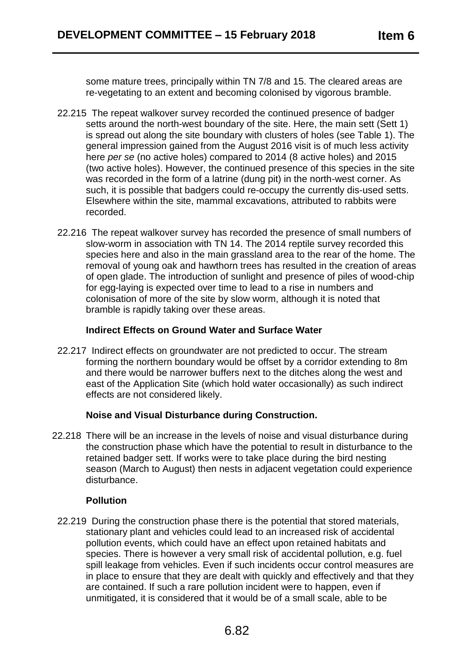some mature trees, principally within TN 7/8 and 15. The cleared areas are re-vegetating to an extent and becoming colonised by vigorous bramble.

- 22.215 The repeat walkover survey recorded the continued presence of badger setts around the north-west boundary of the site. Here, the main sett (Sett 1) is spread out along the site boundary with clusters of holes (see Table 1). The general impression gained from the August 2016 visit is of much less activity here *per se* (no active holes) compared to 2014 (8 active holes) and 2015 (two active holes). However, the continued presence of this species in the site was recorded in the form of a latrine (dung pit) in the north-west corner. As such, it is possible that badgers could re-occupy the currently dis-used setts. Elsewhere within the site, mammal excavations, attributed to rabbits were recorded.
- 22.216 The repeat walkover survey has recorded the presence of small numbers of slow-worm in association with TN 14. The 2014 reptile survey recorded this species here and also in the main grassland area to the rear of the home. The removal of young oak and hawthorn trees has resulted in the creation of areas of open glade. The introduction of sunlight and presence of piles of wood-chip for egg-laying is expected over time to lead to a rise in numbers and colonisation of more of the site by slow worm, although it is noted that bramble is rapidly taking over these areas.

## **Indirect Effects on Ground Water and Surface Water**

22.217 Indirect effects on groundwater are not predicted to occur. The stream forming the northern boundary would be offset by a corridor extending to 8m and there would be narrower buffers next to the ditches along the west and east of the Application Site (which hold water occasionally) as such indirect effects are not considered likely.

## **Noise and Visual Disturbance during Construction.**

22.218 There will be an increase in the levels of noise and visual disturbance during the construction phase which have the potential to result in disturbance to the retained badger sett. If works were to take place during the bird nesting season (March to August) then nests in adjacent vegetation could experience disturbance.

## **Pollution**

22.219 During the construction phase there is the potential that stored materials, stationary plant and vehicles could lead to an increased risk of accidental pollution events, which could have an effect upon retained habitats and species. There is however a very small risk of accidental pollution, e.g. fuel spill leakage from vehicles. Even if such incidents occur control measures are in place to ensure that they are dealt with quickly and effectively and that they are contained. If such a rare pollution incident were to happen, even if unmitigated, it is considered that it would be of a small scale, able to be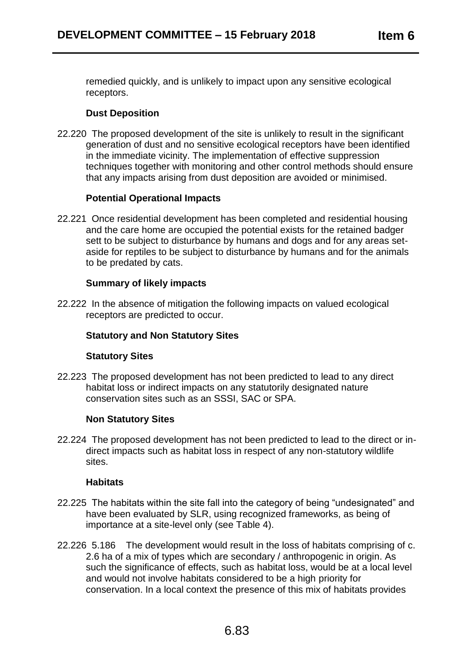remedied quickly, and is unlikely to impact upon any sensitive ecological receptors.

## **Dust Deposition**

22.220 The proposed development of the site is unlikely to result in the significant generation of dust and no sensitive ecological receptors have been identified in the immediate vicinity. The implementation of effective suppression techniques together with monitoring and other control methods should ensure that any impacts arising from dust deposition are avoided or minimised.

## **Potential Operational Impacts**

22.221 Once residential development has been completed and residential housing and the care home are occupied the potential exists for the retained badger sett to be subject to disturbance by humans and dogs and for any areas setaside for reptiles to be subject to disturbance by humans and for the animals to be predated by cats.

## **Summary of likely impacts**

22.222 In the absence of mitigation the following impacts on valued ecological receptors are predicted to occur.

## **Statutory and Non Statutory Sites**

## **Statutory Sites**

22.223 The proposed development has not been predicted to lead to any direct habitat loss or indirect impacts on any statutorily designated nature conservation sites such as an SSSI, SAC or SPA.

## **Non Statutory Sites**

22.224 The proposed development has not been predicted to lead to the direct or indirect impacts such as habitat loss in respect of any non-statutory wildlife sites.

## **Habitats**

- 22.225 The habitats within the site fall into the category of being "undesignated" and have been evaluated by SLR, using recognized frameworks, as being of importance at a site-level only (see Table 4).
- 22.226 5.186 The development would result in the loss of habitats comprising of c. 2.6 ha of a mix of types which are secondary / anthropogenic in origin. As such the significance of effects, such as habitat loss, would be at a local level and would not involve habitats considered to be a high priority for conservation. In a local context the presence of this mix of habitats provides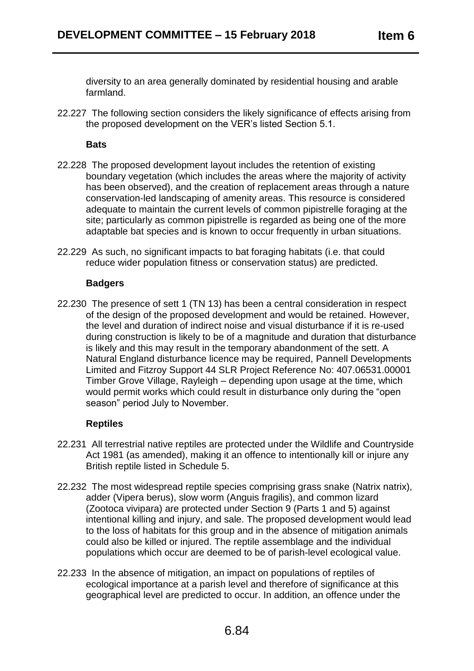diversity to an area generally dominated by residential housing and arable farmland.

22.227 The following section considers the likely significance of effects arising from the proposed development on the VER's listed Section 5.1.

## **Bats**

- 22.228 The proposed development layout includes the retention of existing boundary vegetation (which includes the areas where the majority of activity has been observed), and the creation of replacement areas through a nature conservation-led landscaping of amenity areas. This resource is considered adequate to maintain the current levels of common pipistrelle foraging at the site; particularly as common pipistrelle is regarded as being one of the more adaptable bat species and is known to occur frequently in urban situations.
- 22.229 As such, no significant impacts to bat foraging habitats (i.e. that could reduce wider population fitness or conservation status) are predicted.

## **Badgers**

22.230 The presence of sett 1 (TN 13) has been a central consideration in respect of the design of the proposed development and would be retained. However, the level and duration of indirect noise and visual disturbance if it is re-used during construction is likely to be of a magnitude and duration that disturbance is likely and this may result in the temporary abandonment of the sett. A Natural England disturbance licence may be required, Pannell Developments Limited and Fitzroy Support 44 SLR Project Reference No: 407.06531.00001 Timber Grove Village, Rayleigh – depending upon usage at the time, which would permit works which could result in disturbance only during the "open season" period July to November.

## **Reptiles**

- 22.231 All terrestrial native reptiles are protected under the Wildlife and Countryside Act 1981 (as amended), making it an offence to intentionally kill or injure any British reptile listed in Schedule 5.
- 22.232 The most widespread reptile species comprising grass snake (Natrix natrix), adder (Vipera berus), slow worm (Anguis fragilis), and common lizard (Zootoca vivipara) are protected under Section 9 (Parts 1 and 5) against intentional killing and injury, and sale. The proposed development would lead to the loss of habitats for this group and in the absence of mitigation animals could also be killed or injured. The reptile assemblage and the individual populations which occur are deemed to be of parish-level ecological value.
- 22.233 In the absence of mitigation, an impact on populations of reptiles of ecological importance at a parish level and therefore of significance at this geographical level are predicted to occur. In addition, an offence under the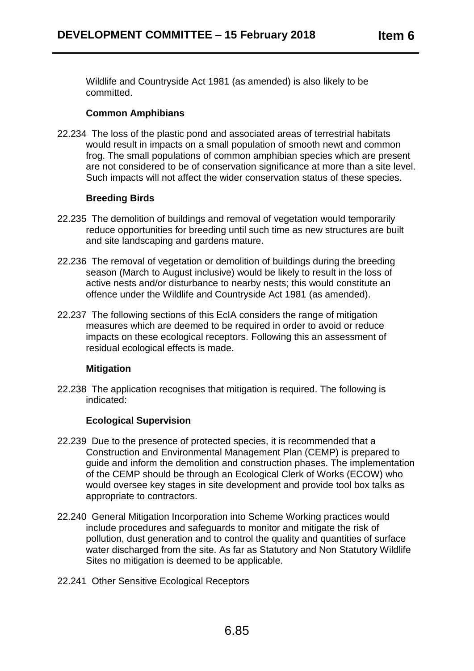Wildlife and Countryside Act 1981 (as amended) is also likely to be committed.

## **Common Amphibians**

22.234 The loss of the plastic pond and associated areas of terrestrial habitats would result in impacts on a small population of smooth newt and common frog. The small populations of common amphibian species which are present are not considered to be of conservation significance at more than a site level. Such impacts will not affect the wider conservation status of these species.

## **Breeding Birds**

- 22.235 The demolition of buildings and removal of vegetation would temporarily reduce opportunities for breeding until such time as new structures are built and site landscaping and gardens mature.
- 22.236 The removal of vegetation or demolition of buildings during the breeding season (March to August inclusive) would be likely to result in the loss of active nests and/or disturbance to nearby nests; this would constitute an offence under the Wildlife and Countryside Act 1981 (as amended).
- 22.237 The following sections of this EcIA considers the range of mitigation measures which are deemed to be required in order to avoid or reduce impacts on these ecological receptors. Following this an assessment of residual ecological effects is made.

## **Mitigation**

22.238 The application recognises that mitigation is required. The following is indicated:

## **Ecological Supervision**

- 22.239 Due to the presence of protected species, it is recommended that a Construction and Environmental Management Plan (CEMP) is prepared to guide and inform the demolition and construction phases. The implementation of the CEMP should be through an Ecological Clerk of Works (ECOW) who would oversee key stages in site development and provide tool box talks as appropriate to contractors.
- 22.240 General Mitigation Incorporation into Scheme Working practices would include procedures and safeguards to monitor and mitigate the risk of pollution, dust generation and to control the quality and quantities of surface water discharged from the site. As far as Statutory and Non Statutory Wildlife Sites no mitigation is deemed to be applicable.
- 22.241 Other Sensitive Ecological Receptors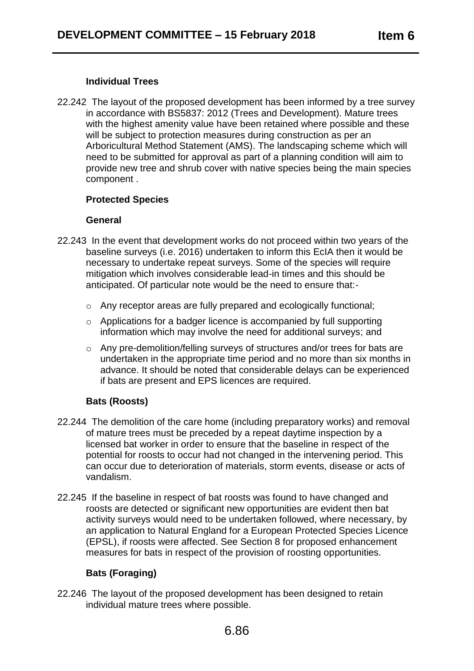## **Individual Trees**

22.242 The layout of the proposed development has been informed by a tree survey in accordance with BS5837: 2012 (Trees and Development). Mature trees with the highest amenity value have been retained where possible and these will be subject to protection measures during construction as per an Arboricultural Method Statement (AMS). The landscaping scheme which will need to be submitted for approval as part of a planning condition will aim to provide new tree and shrub cover with native species being the main species component .

## **Protected Species**

## **General**

- 22.243 In the event that development works do not proceed within two years of the baseline surveys (i.e. 2016) undertaken to inform this EcIA then it would be necessary to undertake repeat surveys. Some of the species will require mitigation which involves considerable lead-in times and this should be anticipated. Of particular note would be the need to ensure that:
	- o Any receptor areas are fully prepared and ecologically functional;
	- o Applications for a badger licence is accompanied by full supporting information which may involve the need for additional surveys; and
	- o Any pre-demolition/felling surveys of structures and/or trees for bats are undertaken in the appropriate time period and no more than six months in advance. It should be noted that considerable delays can be experienced if bats are present and EPS licences are required.

# **Bats (Roosts)**

- 22.244 The demolition of the care home (including preparatory works) and removal of mature trees must be preceded by a repeat daytime inspection by a licensed bat worker in order to ensure that the baseline in respect of the potential for roosts to occur had not changed in the intervening period. This can occur due to deterioration of materials, storm events, disease or acts of vandalism.
- 22.245 If the baseline in respect of bat roosts was found to have changed and roosts are detected or significant new opportunities are evident then bat activity surveys would need to be undertaken followed, where necessary, by an application to Natural England for a European Protected Species Licence (EPSL), if roosts were affected. See Section 8 for proposed enhancement measures for bats in respect of the provision of roosting opportunities.

# **Bats (Foraging)**

22.246 The layout of the proposed development has been designed to retain individual mature trees where possible.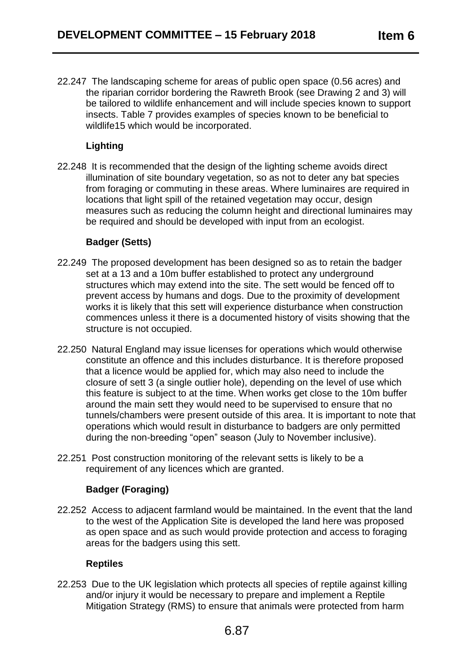22.247 The landscaping scheme for areas of public open space (0.56 acres) and the riparian corridor bordering the Rawreth Brook (see Drawing 2 and 3) will be tailored to wildlife enhancement and will include species known to support insects. Table 7 provides examples of species known to be beneficial to wildlife15 which would be incorporated.

# **Lighting**

22.248 It is recommended that the design of the lighting scheme avoids direct illumination of site boundary vegetation, so as not to deter any bat species from foraging or commuting in these areas. Where luminaires are required in locations that light spill of the retained vegetation may occur, design measures such as reducing the column height and directional luminaires may be required and should be developed with input from an ecologist.

# **Badger (Setts)**

- 22.249 The proposed development has been designed so as to retain the badger set at a 13 and a 10m buffer established to protect any underground structures which may extend into the site. The sett would be fenced off to prevent access by humans and dogs. Due to the proximity of development works it is likely that this sett will experience disturbance when construction commences unless it there is a documented history of visits showing that the structure is not occupied.
- 22.250 Natural England may issue licenses for operations which would otherwise constitute an offence and this includes disturbance. It is therefore proposed that a licence would be applied for, which may also need to include the closure of sett 3 (a single outlier hole), depending on the level of use which this feature is subject to at the time. When works get close to the 10m buffer around the main sett they would need to be supervised to ensure that no tunnels/chambers were present outside of this area. It is important to note that operations which would result in disturbance to badgers are only permitted during the non-breeding "open" season (July to November inclusive).
- 22.251 Post construction monitoring of the relevant setts is likely to be a requirement of any licences which are granted.

# **Badger (Foraging)**

22.252 Access to adjacent farmland would be maintained. In the event that the land to the west of the Application Site is developed the land here was proposed as open space and as such would provide protection and access to foraging areas for the badgers using this sett.

# **Reptiles**

22.253 Due to the UK legislation which protects all species of reptile against killing and/or injury it would be necessary to prepare and implement a Reptile Mitigation Strategy (RMS) to ensure that animals were protected from harm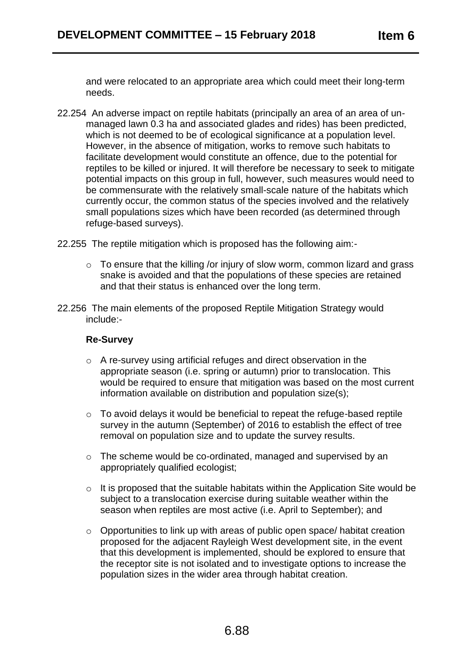and were relocated to an appropriate area which could meet their long-term needs.

- 22.254 An adverse impact on reptile habitats (principally an area of an area of unmanaged lawn 0.3 ha and associated glades and rides) has been predicted, which is not deemed to be of ecological significance at a population level. However, in the absence of mitigation, works to remove such habitats to facilitate development would constitute an offence, due to the potential for reptiles to be killed or injured. It will therefore be necessary to seek to mitigate potential impacts on this group in full, however, such measures would need to be commensurate with the relatively small-scale nature of the habitats which currently occur, the common status of the species involved and the relatively small populations sizes which have been recorded (as determined through refuge-based surveys).
- 22.255 The reptile mitigation which is proposed has the following aim:
	- o To ensure that the killing /or injury of slow worm, common lizard and grass snake is avoided and that the populations of these species are retained and that their status is enhanced over the long term.
- 22.256 The main elements of the proposed Reptile Mitigation Strategy would include:-

## **Re-Survey**

- o A re-survey using artificial refuges and direct observation in the appropriate season (i.e. spring or autumn) prior to translocation. This would be required to ensure that mitigation was based on the most current information available on distribution and population size(s);
- o To avoid delays it would be beneficial to repeat the refuge-based reptile survey in the autumn (September) of 2016 to establish the effect of tree removal on population size and to update the survey results.
- o The scheme would be co-ordinated, managed and supervised by an appropriately qualified ecologist;
- o It is proposed that the suitable habitats within the Application Site would be subject to a translocation exercise during suitable weather within the season when reptiles are most active (i.e. April to September); and
- o Opportunities to link up with areas of public open space/ habitat creation proposed for the adjacent Rayleigh West development site, in the event that this development is implemented, should be explored to ensure that the receptor site is not isolated and to investigate options to increase the population sizes in the wider area through habitat creation.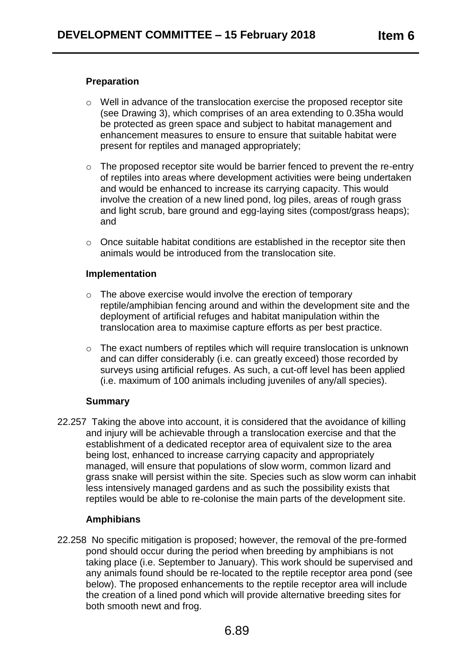## **Preparation**

- o Well in advance of the translocation exercise the proposed receptor site (see Drawing 3), which comprises of an area extending to 0.35ha would be protected as green space and subject to habitat management and enhancement measures to ensure to ensure that suitable habitat were present for reptiles and managed appropriately;
- $\circ$  The proposed receptor site would be barrier fenced to prevent the re-entry of reptiles into areas where development activities were being undertaken and would be enhanced to increase its carrying capacity. This would involve the creation of a new lined pond, log piles, areas of rough grass and light scrub, bare ground and egg-laying sites (compost/grass heaps); and
- o Once suitable habitat conditions are established in the receptor site then animals would be introduced from the translocation site.

#### **Implementation**

- o The above exercise would involve the erection of temporary reptile/amphibian fencing around and within the development site and the deployment of artificial refuges and habitat manipulation within the translocation area to maximise capture efforts as per best practice.
- o The exact numbers of reptiles which will require translocation is unknown and can differ considerably (i.e. can greatly exceed) those recorded by surveys using artificial refuges. As such, a cut-off level has been applied (i.e. maximum of 100 animals including juveniles of any/all species).

## **Summary**

22.257 Taking the above into account, it is considered that the avoidance of killing and injury will be achievable through a translocation exercise and that the establishment of a dedicated receptor area of equivalent size to the area being lost, enhanced to increase carrying capacity and appropriately managed, will ensure that populations of slow worm, common lizard and grass snake will persist within the site. Species such as slow worm can inhabit less intensively managed gardens and as such the possibility exists that reptiles would be able to re-colonise the main parts of the development site.

## **Amphibians**

22.258 No specific mitigation is proposed; however, the removal of the pre-formed pond should occur during the period when breeding by amphibians is not taking place (i.e. September to January). This work should be supervised and any animals found should be re-located to the reptile receptor area pond (see below). The proposed enhancements to the reptile receptor area will include the creation of a lined pond which will provide alternative breeding sites for both smooth newt and frog.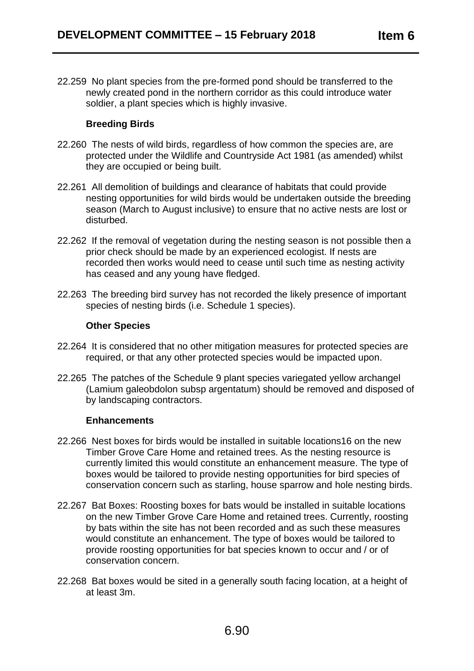22.259 No plant species from the pre-formed pond should be transferred to the newly created pond in the northern corridor as this could introduce water soldier, a plant species which is highly invasive.

## **Breeding Birds**

- 22.260 The nests of wild birds, regardless of how common the species are, are protected under the Wildlife and Countryside Act 1981 (as amended) whilst they are occupied or being built.
- 22.261 All demolition of buildings and clearance of habitats that could provide nesting opportunities for wild birds would be undertaken outside the breeding season (March to August inclusive) to ensure that no active nests are lost or disturbed.
- 22.262 If the removal of vegetation during the nesting season is not possible then a prior check should be made by an experienced ecologist. If nests are recorded then works would need to cease until such time as nesting activity has ceased and any young have fledged.
- 22.263 The breeding bird survey has not recorded the likely presence of important species of nesting birds (i.e. Schedule 1 species).

## **Other Species**

- 22.264 It is considered that no other mitigation measures for protected species are required, or that any other protected species would be impacted upon.
- 22.265 The patches of the Schedule 9 plant species variegated yellow archangel (Lamium galeobdolon subsp argentatum) should be removed and disposed of by landscaping contractors.

#### **Enhancements**

- 22.266 Nest boxes for birds would be installed in suitable locations16 on the new Timber Grove Care Home and retained trees. As the nesting resource is currently limited this would constitute an enhancement measure. The type of boxes would be tailored to provide nesting opportunities for bird species of conservation concern such as starling, house sparrow and hole nesting birds.
- 22.267 Bat Boxes: Roosting boxes for bats would be installed in suitable locations on the new Timber Grove Care Home and retained trees. Currently, roosting by bats within the site has not been recorded and as such these measures would constitute an enhancement. The type of boxes would be tailored to provide roosting opportunities for bat species known to occur and / or of conservation concern.
- 22.268 Bat boxes would be sited in a generally south facing location, at a height of at least 3m.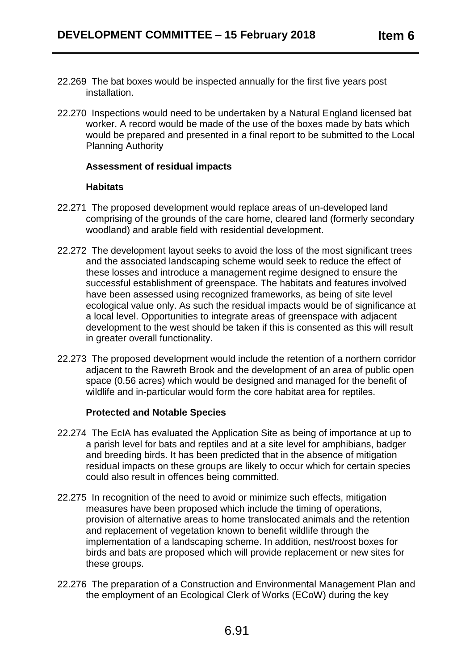- 22.269 The bat boxes would be inspected annually for the first five years post installation.
- 22.270 Inspections would need to be undertaken by a Natural England licensed bat worker. A record would be made of the use of the boxes made by bats which would be prepared and presented in a final report to be submitted to the Local Planning Authority

### **Assessment of residual impacts**

#### **Habitats**

- 22.271 The proposed development would replace areas of un-developed land comprising of the grounds of the care home, cleared land (formerly secondary woodland) and arable field with residential development.
- 22.272 The development layout seeks to avoid the loss of the most significant trees and the associated landscaping scheme would seek to reduce the effect of these losses and introduce a management regime designed to ensure the successful establishment of greenspace. The habitats and features involved have been assessed using recognized frameworks, as being of site level ecological value only. As such the residual impacts would be of significance at a local level. Opportunities to integrate areas of greenspace with adjacent development to the west should be taken if this is consented as this will result in greater overall functionality.
- 22.273 The proposed development would include the retention of a northern corridor adjacent to the Rawreth Brook and the development of an area of public open space (0.56 acres) which would be designed and managed for the benefit of wildlife and in-particular would form the core habitat area for reptiles.

## **Protected and Notable Species**

- 22.274 The EcIA has evaluated the Application Site as being of importance at up to a parish level for bats and reptiles and at a site level for amphibians, badger and breeding birds. It has been predicted that in the absence of mitigation residual impacts on these groups are likely to occur which for certain species could also result in offences being committed.
- 22.275 In recognition of the need to avoid or minimize such effects, mitigation measures have been proposed which include the timing of operations, provision of alternative areas to home translocated animals and the retention and replacement of vegetation known to benefit wildlife through the implementation of a landscaping scheme. In addition, nest/roost boxes for birds and bats are proposed which will provide replacement or new sites for these groups.
- 22.276 The preparation of a Construction and Environmental Management Plan and the employment of an Ecological Clerk of Works (ECoW) during the key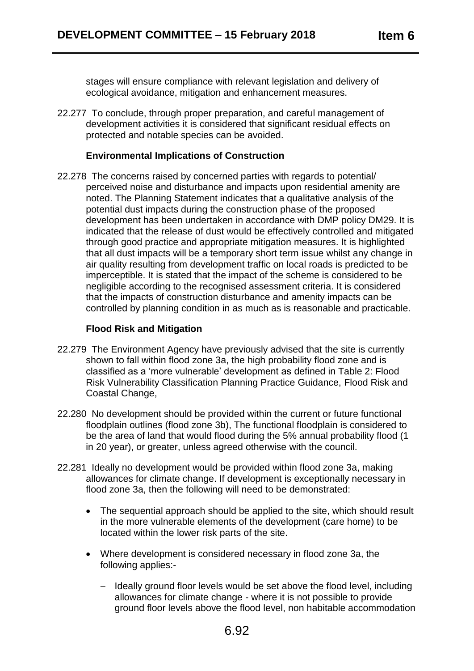stages will ensure compliance with relevant legislation and delivery of ecological avoidance, mitigation and enhancement measures.

22.277 To conclude, through proper preparation, and careful management of development activities it is considered that significant residual effects on protected and notable species can be avoided.

### **Environmental Implications of Construction**

22.278 The concerns raised by concerned parties with regards to potential/ perceived noise and disturbance and impacts upon residential amenity are noted. The Planning Statement indicates that a qualitative analysis of the potential dust impacts during the construction phase of the proposed development has been undertaken in accordance with DMP policy DM29. It is indicated that the release of dust would be effectively controlled and mitigated through good practice and appropriate mitigation measures. It is highlighted that all dust impacts will be a temporary short term issue whilst any change in air quality resulting from development traffic on local roads is predicted to be imperceptible. It is stated that the impact of the scheme is considered to be negligible according to the recognised assessment criteria. It is considered that the impacts of construction disturbance and amenity impacts can be controlled by planning condition in as much as is reasonable and practicable.

## **Flood Risk and Mitigation**

- 22.279 The Environment Agency have previously advised that the site is currently shown to fall within flood zone 3a, the high probability flood zone and is classified as a 'more vulnerable' development as defined in Table 2: Flood Risk Vulnerability Classification Planning Practice Guidance, Flood Risk and Coastal Change,
- 22.280 No development should be provided within the current or future functional floodplain outlines (flood zone 3b), The functional floodplain is considered to be the area of land that would flood during the 5% annual probability flood (1 in 20 year), or greater, unless agreed otherwise with the council.
- 22.281 Ideally no development would be provided within flood zone 3a, making allowances for climate change. If development is exceptionally necessary in flood zone 3a, then the following will need to be demonstrated:
	- The sequential approach should be applied to the site, which should result in the more vulnerable elements of the development (care home) to be located within the lower risk parts of the site.
	- Where development is considered necessary in flood zone 3a, the following applies:-
		- Ideally ground floor levels would be set above the flood level, including allowances for climate change - where it is not possible to provide ground floor levels above the flood level, non habitable accommodation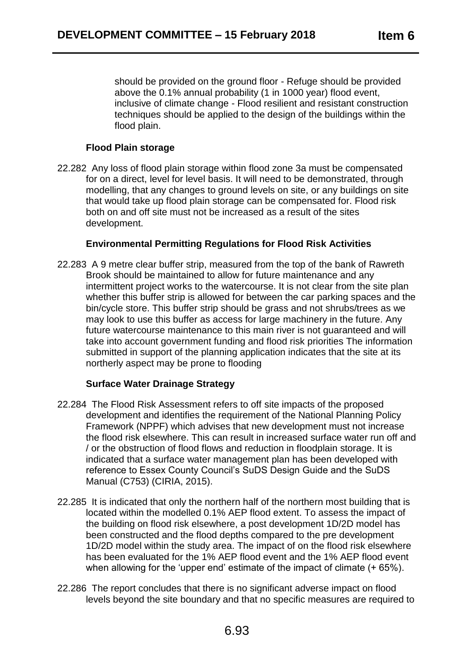should be provided on the ground floor - Refuge should be provided above the 0.1% annual probability (1 in 1000 year) flood event, inclusive of climate change - Flood resilient and resistant construction techniques should be applied to the design of the buildings within the flood plain.

## **Flood Plain storage**

22.282 Any loss of flood plain storage within flood zone 3a must be compensated for on a direct, level for level basis. It will need to be demonstrated, through modelling, that any changes to ground levels on site, or any buildings on site that would take up flood plain storage can be compensated for. Flood risk both on and off site must not be increased as a result of the sites development.

## **Environmental Permitting Regulations for Flood Risk Activities**

22.283 A 9 metre clear buffer strip, measured from the top of the bank of Rawreth Brook should be maintained to allow for future maintenance and any intermittent project works to the watercourse. It is not clear from the site plan whether this buffer strip is allowed for between the car parking spaces and the bin/cycle store. This buffer strip should be grass and not shrubs/trees as we may look to use this buffer as access for large machinery in the future. Any future watercourse maintenance to this main river is not guaranteed and will take into account government funding and flood risk priorities The information submitted in support of the planning application indicates that the site at its northerly aspect may be prone to flooding

## **Surface Water Drainage Strategy**

- 22.284 The Flood Risk Assessment refers to off site impacts of the proposed development and identifies the requirement of the National Planning Policy Framework (NPPF) which advises that new development must not increase the flood risk elsewhere. This can result in increased surface water run off and / or the obstruction of flood flows and reduction in floodplain storage. It is indicated that a surface water management plan has been developed with reference to Essex County Council's SuDS Design Guide and the SuDS Manual (C753) (CIRIA, 2015).
- 22.285 It is indicated that only the northern half of the northern most building that is located within the modelled 0.1% AEP flood extent. To assess the impact of the building on flood risk elsewhere, a post development 1D/2D model has been constructed and the flood depths compared to the pre development 1D/2D model within the study area. The impact of on the flood risk elsewhere has been evaluated for the 1% AEP flood event and the 1% AEP flood event when allowing for the 'upper end' estimate of the impact of climate (+ 65%).
- 22.286 The report concludes that there is no significant adverse impact on flood levels beyond the site boundary and that no specific measures are required to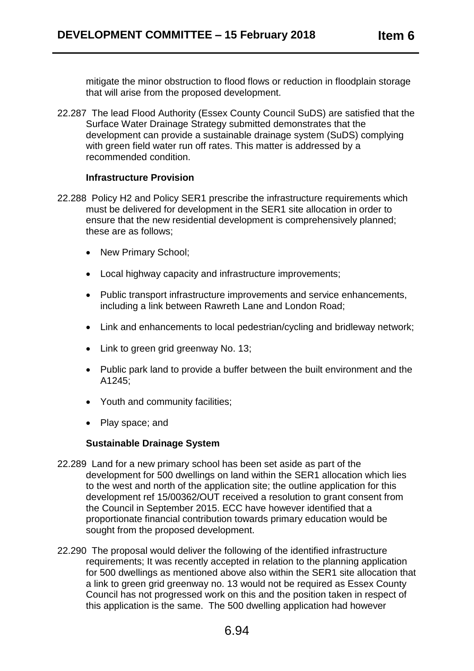mitigate the minor obstruction to flood flows or reduction in floodplain storage that will arise from the proposed development.

22.287 The lead Flood Authority (Essex County Council SuDS) are satisfied that the Surface Water Drainage Strategy submitted demonstrates that the development can provide a sustainable drainage system (SuDS) complying with green field water run off rates. This matter is addressed by a recommended condition.

#### **Infrastructure Provision**

- 22.288 Policy H2 and Policy SER1 prescribe the infrastructure requirements which must be delivered for development in the SER1 site allocation in order to ensure that the new residential development is comprehensively planned; these are as follows;
	- New Primary School:
	- Local highway capacity and infrastructure improvements;
	- Public transport infrastructure improvements and service enhancements, including a link between Rawreth Lane and London Road;
	- Link and enhancements to local pedestrian/cycling and bridleway network;
	- Link to green grid greenway No. 13:
	- Public park land to provide a buffer between the built environment and the A1245;
	- Youth and community facilities;
	- Play space: and

## **Sustainable Drainage System**

- 22.289 Land for a new primary school has been set aside as part of the development for 500 dwellings on land within the SER1 allocation which lies to the west and north of the application site; the outline application for this development ref 15/00362/OUT received a resolution to grant consent from the Council in September 2015. ECC have however identified that a proportionate financial contribution towards primary education would be sought from the proposed development.
- 22.290 The proposal would deliver the following of the identified infrastructure requirements; It was recently accepted in relation to the planning application for 500 dwellings as mentioned above also within the SER1 site allocation that a link to green grid greenway no. 13 would not be required as Essex County Council has not progressed work on this and the position taken in respect of this application is the same. The 500 dwelling application had however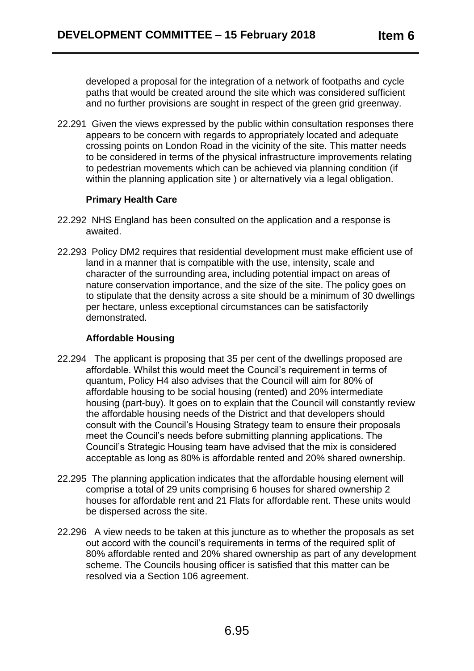developed a proposal for the integration of a network of footpaths and cycle paths that would be created around the site which was considered sufficient and no further provisions are sought in respect of the green grid greenway.

22.291 Given the views expressed by the public within consultation responses there appears to be concern with regards to appropriately located and adequate crossing points on London Road in the vicinity of the site. This matter needs to be considered in terms of the physical infrastructure improvements relating to pedestrian movements which can be achieved via planning condition (if within the planning application site ) or alternatively via a legal obligation.

## **Primary Health Care**

- 22.292 NHS England has been consulted on the application and a response is awaited.
- 22.293 Policy DM2 requires that residential development must make efficient use of land in a manner that is compatible with the use, intensity, scale and character of the surrounding area, including potential impact on areas of nature conservation importance, and the size of the site. The policy goes on to stipulate that the density across a site should be a minimum of 30 dwellings per hectare, unless exceptional circumstances can be satisfactorily demonstrated.

## **Affordable Housing**

- 22.294 The applicant is proposing that 35 per cent of the dwellings proposed are affordable. Whilst this would meet the Council's requirement in terms of quantum, Policy H4 also advises that the Council will aim for 80% of affordable housing to be social housing (rented) and 20% intermediate housing (part-buy). It goes on to explain that the Council will constantly review the affordable housing needs of the District and that developers should consult with the Council's Housing Strategy team to ensure their proposals meet the Council's needs before submitting planning applications. The Council's Strategic Housing team have advised that the mix is considered acceptable as long as 80% is affordable rented and 20% shared ownership.
- 22.295 The planning application indicates that the affordable housing element will comprise a total of 29 units comprising 6 houses for shared ownership 2 houses for affordable rent and 21 Flats for affordable rent. These units would be dispersed across the site.
- 22.296 A view needs to be taken at this juncture as to whether the proposals as set out accord with the council's requirements in terms of the required split of 80% affordable rented and 20% shared ownership as part of any development scheme. The Councils housing officer is satisfied that this matter can be resolved via a Section 106 agreement.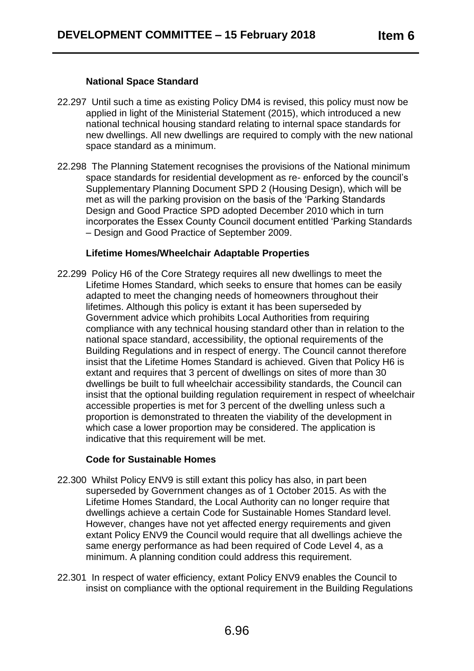## **National Space Standard**

- 22.297 Until such a time as existing Policy DM4 is revised, this policy must now be applied in light of the Ministerial Statement (2015), which introduced a new national technical housing standard relating to internal space standards for new dwellings. All new dwellings are required to comply with the new national space standard as a minimum.
- 22.298 The Planning Statement recognises the provisions of the National minimum space standards for residential development as re- enforced by the council's Supplementary Planning Document SPD 2 (Housing Design), which will be met as will the parking provision on the basis of the 'Parking Standards Design and Good Practice SPD adopted December 2010 which in turn incorporates the Essex County Council document entitled 'Parking Standards – Design and Good Practice of September 2009.

## **Lifetime Homes/Wheelchair Adaptable Properties**

22.299 Policy H6 of the Core Strategy requires all new dwellings to meet the Lifetime Homes Standard, which seeks to ensure that homes can be easily adapted to meet the changing needs of homeowners throughout their lifetimes. Although this policy is extant it has been superseded by Government advice which prohibits Local Authorities from requiring compliance with any technical housing standard other than in relation to the national space standard, accessibility, the optional requirements of the Building Regulations and in respect of energy. The Council cannot therefore insist that the Lifetime Homes Standard is achieved. Given that Policy H6 is extant and requires that 3 percent of dwellings on sites of more than 30 dwellings be built to full wheelchair accessibility standards, the Council can insist that the optional building regulation requirement in respect of wheelchair accessible properties is met for 3 percent of the dwelling unless such a proportion is demonstrated to threaten the viability of the development in which case a lower proportion may be considered. The application is indicative that this requirement will be met.

## **Code for Sustainable Homes**

- 22.300 Whilst Policy ENV9 is still extant this policy has also, in part been superseded by Government changes as of 1 October 2015. As with the Lifetime Homes Standard, the Local Authority can no longer require that dwellings achieve a certain Code for Sustainable Homes Standard level. However, changes have not yet affected energy requirements and given extant Policy ENV9 the Council would require that all dwellings achieve the same energy performance as had been required of Code Level 4, as a minimum. A planning condition could address this requirement.
- 22.301 In respect of water efficiency, extant Policy ENV9 enables the Council to insist on compliance with the optional requirement in the Building Regulations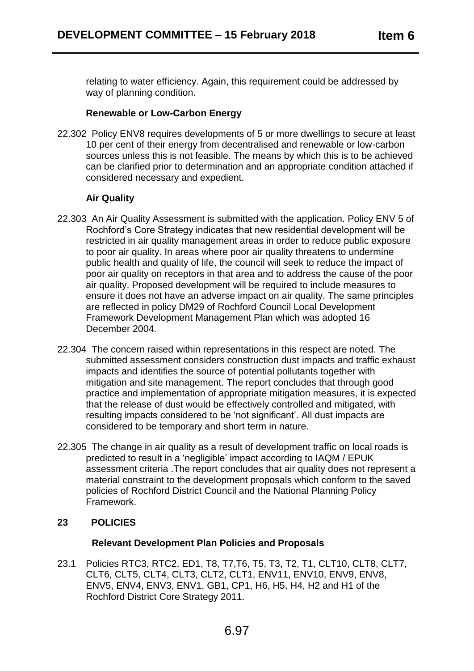relating to water efficiency. Again, this requirement could be addressed by way of planning condition.

## **Renewable or Low-Carbon Energy**

22.302 Policy ENV8 requires developments of 5 or more dwellings to secure at least 10 per cent of their energy from decentralised and renewable or low-carbon sources unless this is not feasible. The means by which this is to be achieved can be clarified prior to determination and an appropriate condition attached if considered necessary and expedient.

## **Air Quality**

- 22.303 An Air Quality Assessment is submitted with the application. Policy ENV 5 of Rochford's Core Strategy indicates that new residential development will be restricted in air quality management areas in order to reduce public exposure to poor air quality. In areas where poor air quality threatens to undermine public health and quality of life, the council will seek to reduce the impact of poor air quality on receptors in that area and to address the cause of the poor air quality. Proposed development will be required to include measures to ensure it does not have an adverse impact on air quality. The same principles are reflected in policy DM29 of Rochford Council Local Development Framework Development Management Plan which was adopted 16 December 2004.
- 22.304 The concern raised within representations in this respect are noted. The submitted assessment considers construction dust impacts and traffic exhaust impacts and identifies the source of potential pollutants together with mitigation and site management. The report concludes that through good practice and implementation of appropriate mitigation measures, it is expected that the release of dust would be effectively controlled and mitigated, with resulting impacts considered to be 'not significant'. All dust impacts are considered to be temporary and short term in nature.
- 22.305 The change in air quality as a result of development traffic on local roads is predicted to result in a 'negligible' impact according to IAQM / EPUK assessment criteria .The report concludes that air quality does not represent a material constraint to the development proposals which conform to the saved policies of Rochford District Council and the National Planning Policy Framework.

# **23 POLICIES**

## **Relevant Development Plan Policies and Proposals**

23.1 Policies RTC3, RTC2, ED1, T8, T7,T6, T5, T3, T2, T1, CLT10, CLT8, CLT7, CLT6, CLT5, CLT4, CLT3, CLT2, CLT1, ENV11, ENV10, ENV9, ENV8, ENV5, ENV4, ENV3, ENV1, GB1, CP1, H6, H5, H4, H2 and H1 of the Rochford District Core Strategy 2011.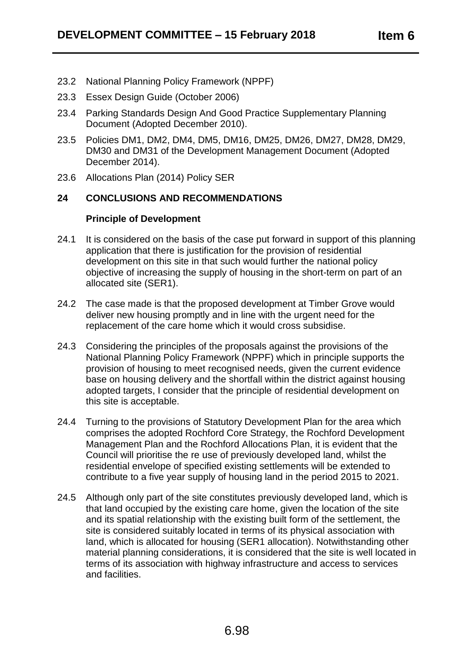- 23.2 National Planning Policy Framework (NPPF)
- 23.3 Essex Design Guide (October 2006)
- 23.4 Parking Standards Design And Good Practice Supplementary Planning Document (Adopted December 2010).
- 23.5 Policies DM1, DM2, DM4, DM5, DM16, DM25, DM26, DM27, DM28, DM29, DM30 and DM31 of the Development Management Document (Adopted December 2014).
- 23.6 Allocations Plan (2014) Policy SER

## **24 CONCLUSIONS AND RECOMMENDATIONS**

## **Principle of Development**

- 24.1 It is considered on the basis of the case put forward in support of this planning application that there is justification for the provision of residential development on this site in that such would further the national policy objective of increasing the supply of housing in the short-term on part of an allocated site (SER1).
- 24.2 The case made is that the proposed development at Timber Grove would deliver new housing promptly and in line with the urgent need for the replacement of the care home which it would cross subsidise.
- 24.3 Considering the principles of the proposals against the provisions of the National Planning Policy Framework (NPPF) which in principle supports the provision of housing to meet recognised needs, given the current evidence base on housing delivery and the shortfall within the district against housing adopted targets, I consider that the principle of residential development on this site is acceptable.
- 24.4 Turning to the provisions of Statutory Development Plan for the area which comprises the adopted Rochford Core Strategy, the Rochford Development Management Plan and the Rochford Allocations Plan, it is evident that the Council will prioritise the re use of previously developed land, whilst the residential envelope of specified existing settlements will be extended to contribute to a five year supply of housing land in the period 2015 to 2021.
- 24.5 Although only part of the site constitutes previously developed land, which is that land occupied by the existing care home, given the location of the site and its spatial relationship with the existing built form of the settlement, the site is considered suitably located in terms of its physical association with land, which is allocated for housing (SER1 allocation). Notwithstanding other material planning considerations, it is considered that the site is well located in terms of its association with highway infrastructure and access to services and facilities.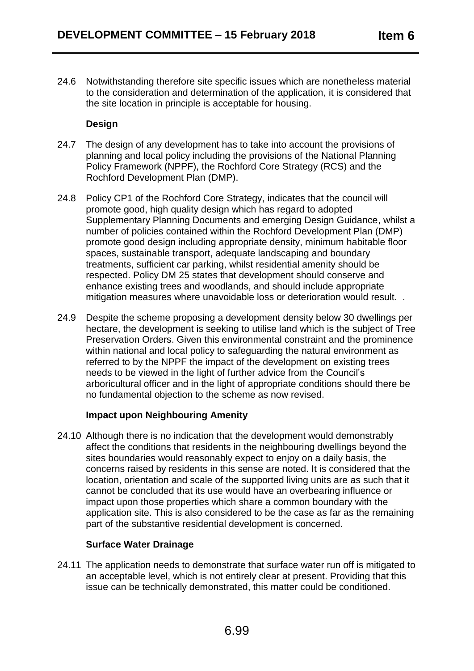24.6 Notwithstanding therefore site specific issues which are nonetheless material to the consideration and determination of the application, it is considered that the site location in principle is acceptable for housing.

# **Design**

- 24.7 The design of any development has to take into account the provisions of planning and local policy including the provisions of the National Planning Policy Framework (NPPF), the Rochford Core Strategy (RCS) and the Rochford Development Plan (DMP).
- 24.8 Policy CP1 of the Rochford Core Strategy, indicates that the council will promote good, high quality design which has regard to adopted Supplementary Planning Documents and emerging Design Guidance, whilst a number of policies contained within the Rochford Development Plan (DMP) promote good design including appropriate density, minimum habitable floor spaces, sustainable transport, adequate landscaping and boundary treatments, sufficient car parking, whilst residential amenity should be respected. Policy DM 25 states that development should conserve and enhance existing trees and woodlands, and should include appropriate mitigation measures where unavoidable loss or deterioration would result. .
- 24.9 Despite the scheme proposing a development density below 30 dwellings per hectare, the development is seeking to utilise land which is the subject of Tree Preservation Orders. Given this environmental constraint and the prominence within national and local policy to safeguarding the natural environment as referred to by the NPPF the impact of the development on existing trees needs to be viewed in the light of further advice from the Council's arboricultural officer and in the light of appropriate conditions should there be no fundamental objection to the scheme as now revised.

# **Impact upon Neighbouring Amenity**

24.10 Although there is no indication that the development would demonstrably affect the conditions that residents in the neighbouring dwellings beyond the sites boundaries would reasonably expect to enjoy on a daily basis, the concerns raised by residents in this sense are noted. It is considered that the location, orientation and scale of the supported living units are as such that it cannot be concluded that its use would have an overbearing influence or impact upon those properties which share a common boundary with the application site. This is also considered to be the case as far as the remaining part of the substantive residential development is concerned.

## **Surface Water Drainage**

24.11 The application needs to demonstrate that surface water run off is mitigated to an acceptable level, which is not entirely clear at present. Providing that this issue can be technically demonstrated, this matter could be conditioned.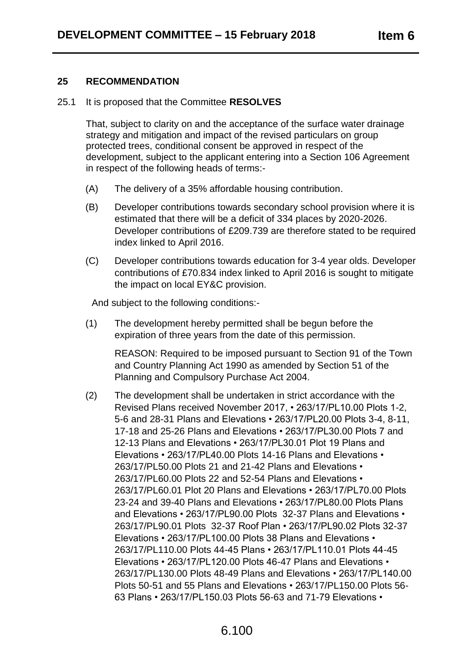## **25 RECOMMENDATION**

25.1 It is proposed that the Committee **RESOLVES**

That, subject to clarity on and the acceptance of the surface water drainage strategy and mitigation and impact of the revised particulars on group protected trees, conditional consent be approved in respect of the development, subject to the applicant entering into a Section 106 Agreement in respect of the following heads of terms:-

- (A) The delivery of a 35% affordable housing contribution.
- (B) Developer contributions towards secondary school provision where it is estimated that there will be a deficit of 334 places by 2020-2026. Developer contributions of £209.739 are therefore stated to be required index linked to April 2016.
- (C) Developer contributions towards education for 3-4 year olds. Developer contributions of £70.834 index linked to April 2016 is sought to mitigate the impact on local EY&C provision.

And subject to the following conditions:-

(1) The development hereby permitted shall be begun before the expiration of three years from the date of this permission.

> REASON: Required to be imposed pursuant to Section 91 of the Town and Country Planning Act 1990 as amended by Section 51 of the Planning and Compulsory Purchase Act 2004.

(2) The development shall be undertaken in strict accordance with the Revised Plans received November 2017, • 263/17/PL10.00 Plots 1-2, 5-6 and 28-31 Plans and Elevations • 263/17/PL20.00 Plots 3-4, 8-11, 17-18 and 25-26 Plans and Elevations • 263/17/PL30.00 Plots 7 and 12-13 Plans and Elevations • 263/17/PL30.01 Plot 19 Plans and Elevations • 263/17/PL40.00 Plots 14-16 Plans and Elevations • 263/17/PL50.00 Plots 21 and 21-42 Plans and Elevations • 263/17/PL60.00 Plots 22 and 52-54 Plans and Elevations • 263/17/PL60.01 Plot 20 Plans and Elevations • 263/17/PL70.00 Plots 23-24 and 39-40 Plans and Elevations • 263/17/PL80.00 Plots Plans and Elevations • 263/17/PL90.00 Plots 32-37 Plans and Elevations • 263/17/PL90.01 Plots 32-37 Roof Plan • 263/17/PL90.02 Plots 32-37 Elevations • 263/17/PL100.00 Plots 38 Plans and Elevations • 263/17/PL110.00 Plots 44-45 Plans • 263/17/PL110.01 Plots 44-45 Elevations • 263/17/PL120.00 Plots 46-47 Plans and Elevations • 263/17/PL130.00 Plots 48-49 Plans and Elevations • 263/17/PL140.00 Plots 50-51 and 55 Plans and Elevations • 263/17/PL150.00 Plots 56- 63 Plans • 263/17/PL150.03 Plots 56-63 and 71-79 Elevations •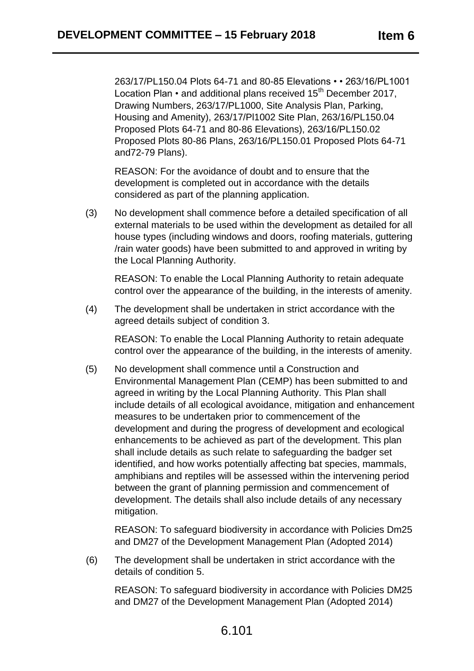263/17/PL150.04 Plots 64-71 and 80-85 Elevations • • 263/16/PL1001 Location Plan • and additional plans received 15<sup>th</sup> December 2017. Drawing Numbers, 263/17/PL1000, Site Analysis Plan, Parking, Housing and Amenity), 263/17/Pl1002 Site Plan, 263/16/PL150.04 Proposed Plots 64-71 and 80-86 Elevations), 263/16/PL150.02 Proposed Plots 80-86 Plans, 263/16/PL150.01 Proposed Plots 64-71 and72-79 Plans).

REASON: For the avoidance of doubt and to ensure that the development is completed out in accordance with the details considered as part of the planning application.

(3) No development shall commence before a detailed specification of all external materials to be used within the development as detailed for all house types (including windows and doors, roofing materials, guttering /rain water goods) have been submitted to and approved in writing by the Local Planning Authority.

REASON: To enable the Local Planning Authority to retain adequate control over the appearance of the building, in the interests of amenity.

(4) The development shall be undertaken in strict accordance with the agreed details subject of condition 3.

REASON: To enable the Local Planning Authority to retain adequate control over the appearance of the building, in the interests of amenity.

(5) No development shall commence until a Construction and Environmental Management Plan (CEMP) has been submitted to and agreed in writing by the Local Planning Authority. This Plan shall include details of all ecological avoidance, mitigation and enhancement measures to be undertaken prior to commencement of the development and during the progress of development and ecological enhancements to be achieved as part of the development. This plan shall include details as such relate to safeguarding the badger set identified, and how works potentially affecting bat species, mammals, amphibians and reptiles will be assessed within the intervening period between the grant of planning permission and commencement of development. The details shall also include details of any necessary mitigation.

REASON: To safeguard biodiversity in accordance with Policies Dm25 and DM27 of the Development Management Plan (Adopted 2014)

(6) The development shall be undertaken in strict accordance with the details of condition 5.

REASON: To safeguard biodiversity in accordance with Policies DM25 and DM27 of the Development Management Plan (Adopted 2014)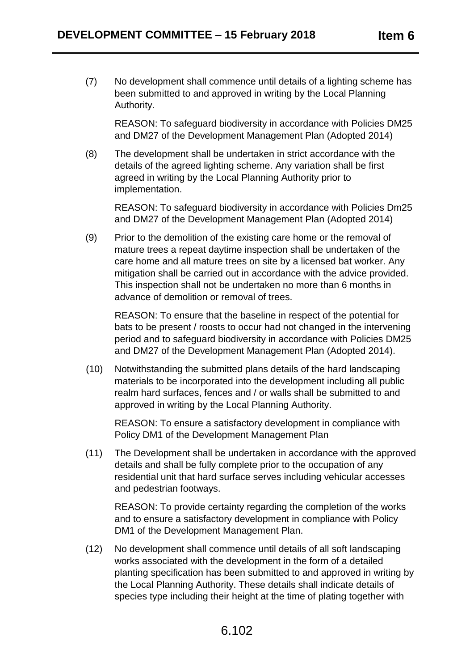(7) No development shall commence until details of a lighting scheme has been submitted to and approved in writing by the Local Planning Authority.

REASON: To safeguard biodiversity in accordance with Policies DM25 and DM27 of the Development Management Plan (Adopted 2014)

(8) The development shall be undertaken in strict accordance with the details of the agreed lighting scheme. Any variation shall be first agreed in writing by the Local Planning Authority prior to implementation.

REASON: To safeguard biodiversity in accordance with Policies Dm25 and DM27 of the Development Management Plan (Adopted 2014)

(9) Prior to the demolition of the existing care home or the removal of mature trees a repeat daytime inspection shall be undertaken of the care home and all mature trees on site by a licensed bat worker. Any mitigation shall be carried out in accordance with the advice provided. This inspection shall not be undertaken no more than 6 months in advance of demolition or removal of trees.

REASON: To ensure that the baseline in respect of the potential for bats to be present / roosts to occur had not changed in the intervening period and to safeguard biodiversity in accordance with Policies DM25 and DM27 of the Development Management Plan (Adopted 2014).

(10) Notwithstanding the submitted plans details of the hard landscaping materials to be incorporated into the development including all public realm hard surfaces, fences and / or walls shall be submitted to and approved in writing by the Local Planning Authority.

REASON: To ensure a satisfactory development in compliance with Policy DM1 of the Development Management Plan

(11) The Development shall be undertaken in accordance with the approved details and shall be fully complete prior to the occupation of any residential unit that hard surface serves including vehicular accesses and pedestrian footways.

REASON: To provide certainty regarding the completion of the works and to ensure a satisfactory development in compliance with Policy DM1 of the Development Management Plan.

(12) No development shall commence until details of all soft landscaping works associated with the development in the form of a detailed planting specification has been submitted to and approved in writing by the Local Planning Authority. These details shall indicate details of species type including their height at the time of plating together with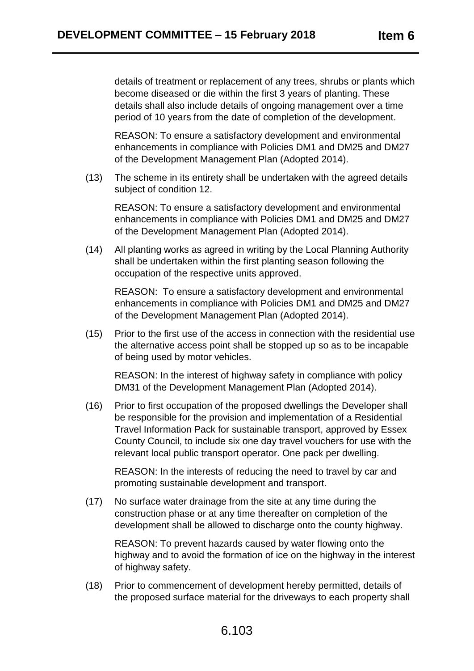details of treatment or replacement of any trees, shrubs or plants which become diseased or die within the first 3 years of planting. These details shall also include details of ongoing management over a time period of 10 years from the date of completion of the development.

REASON: To ensure a satisfactory development and environmental enhancements in compliance with Policies DM1 and DM25 and DM27 of the Development Management Plan (Adopted 2014).

(13) The scheme in its entirety shall be undertaken with the agreed details subject of condition 12.

REASON: To ensure a satisfactory development and environmental enhancements in compliance with Policies DM1 and DM25 and DM27 of the Development Management Plan (Adopted 2014).

(14) All planting works as agreed in writing by the Local Planning Authority shall be undertaken within the first planting season following the occupation of the respective units approved.

REASON: To ensure a satisfactory development and environmental enhancements in compliance with Policies DM1 and DM25 and DM27 of the Development Management Plan (Adopted 2014).

(15) Prior to the first use of the access in connection with the residential use the alternative access point shall be stopped up so as to be incapable of being used by motor vehicles.

REASON: In the interest of highway safety in compliance with policy DM31 of the Development Management Plan (Adopted 2014).

(16) Prior to first occupation of the proposed dwellings the Developer shall be responsible for the provision and implementation of a Residential Travel Information Pack for sustainable transport, approved by Essex County Council, to include six one day travel vouchers for use with the relevant local public transport operator. One pack per dwelling.

REASON: In the interests of reducing the need to travel by car and promoting sustainable development and transport.

(17) No surface water drainage from the site at any time during the construction phase or at any time thereafter on completion of the development shall be allowed to discharge onto the county highway.

REASON: To prevent hazards caused by water flowing onto the highway and to avoid the formation of ice on the highway in the interest of highway safety.

(18) Prior to commencement of development hereby permitted, details of the proposed surface material for the driveways to each property shall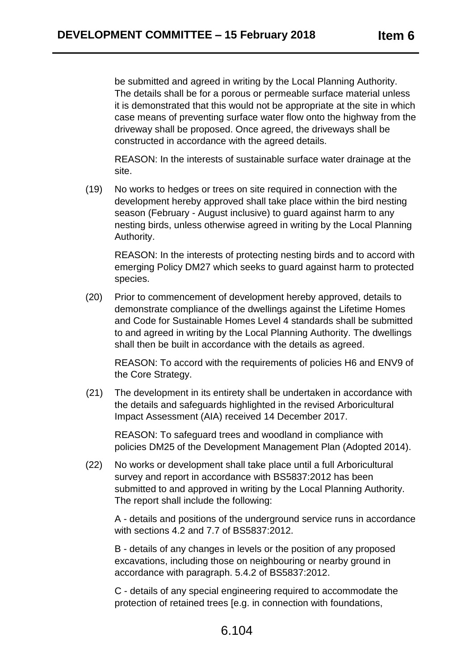be submitted and agreed in writing by the Local Planning Authority. The details shall be for a porous or permeable surface material unless it is demonstrated that this would not be appropriate at the site in which case means of preventing surface water flow onto the highway from the driveway shall be proposed. Once agreed, the driveways shall be constructed in accordance with the agreed details.

REASON: In the interests of sustainable surface water drainage at the site.

(19) No works to hedges or trees on site required in connection with the development hereby approved shall take place within the bird nesting season (February - August inclusive) to guard against harm to any nesting birds, unless otherwise agreed in writing by the Local Planning Authority.

REASON: In the interests of protecting nesting birds and to accord with emerging Policy DM27 which seeks to guard against harm to protected species.

(20) Prior to commencement of development hereby approved, details to demonstrate compliance of the dwellings against the Lifetime Homes and Code for Sustainable Homes Level 4 standards shall be submitted to and agreed in writing by the Local Planning Authority. The dwellings shall then be built in accordance with the details as agreed.

REASON: To accord with the requirements of policies H6 and ENV9 of the Core Strategy.

(21) The development in its entirety shall be undertaken in accordance with the details and safeguards highlighted in the revised Arboricultural Impact Assessment (AIA) received 14 December 2017.

REASON: To safeguard trees and woodland in compliance with policies DM25 of the Development Management Plan (Adopted 2014).

(22) No works or development shall take place until a full Arboricultural survey and report in accordance with BS5837:2012 has been submitted to and approved in writing by the Local Planning Authority. The report shall include the following:

A - details and positions of the underground service runs in accordance with sections 4.2 and 7.7 of BS5837:2012.

B - details of any changes in levels or the position of any proposed excavations, including those on neighbouring or nearby ground in accordance with paragraph. 5.4.2 of BS5837:2012.

C - details of any special engineering required to accommodate the protection of retained trees [e.g. in connection with foundations,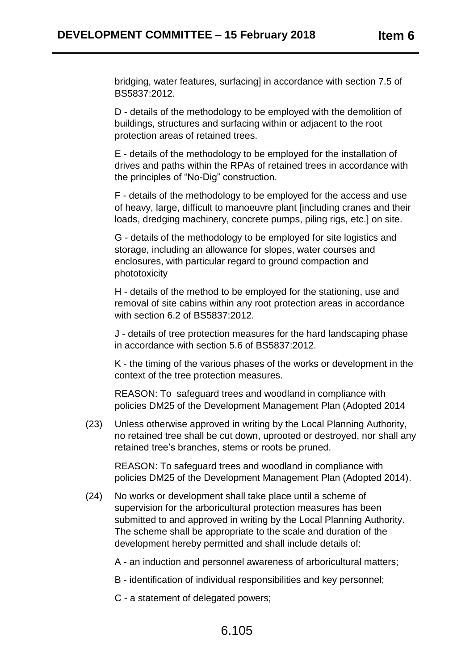bridging, water features, surfacing] in accordance with section 7.5 of BS5837:2012.

D - details of the methodology to be employed with the demolition of buildings, structures and surfacing within or adjacent to the root protection areas of retained trees.

E - details of the methodology to be employed for the installation of drives and paths within the RPAs of retained trees in accordance with the principles of "No-Dig" construction.

F - details of the methodology to be employed for the access and use of heavy, large, difficult to manoeuvre plant [including cranes and their loads, dredging machinery, concrete pumps, piling rigs, etc.] on site.

G - details of the methodology to be employed for site logistics and storage, including an allowance for slopes, water courses and enclosures, with particular regard to ground compaction and phototoxicity

H - details of the method to be employed for the stationing, use and removal of site cabins within any root protection areas in accordance with section 6.2 of BS5837:2012.

J - details of tree protection measures for the hard landscaping phase in accordance with section 5.6 of BS5837:2012.

K - the timing of the various phases of the works or development in the context of the tree protection measures.

REASON: To safeguard trees and woodland in compliance with policies DM25 of the Development Management Plan (Adopted 2014

(23) Unless otherwise approved in writing by the Local Planning Authority, no retained tree shall be cut down, uprooted or destroyed, nor shall any retained tree's branches, stems or roots be pruned.

REASON: To safeguard trees and woodland in compliance with policies DM25 of the Development Management Plan (Adopted 2014).

- (24) No works or development shall take place until a scheme of supervision for the arboricultural protection measures has been submitted to and approved in writing by the Local Planning Authority. The scheme shall be appropriate to the scale and duration of the development hereby permitted and shall include details of:
	- A an induction and personnel awareness of arboricultural matters;
	- B identification of individual responsibilities and key personnel;
	- C a statement of delegated powers;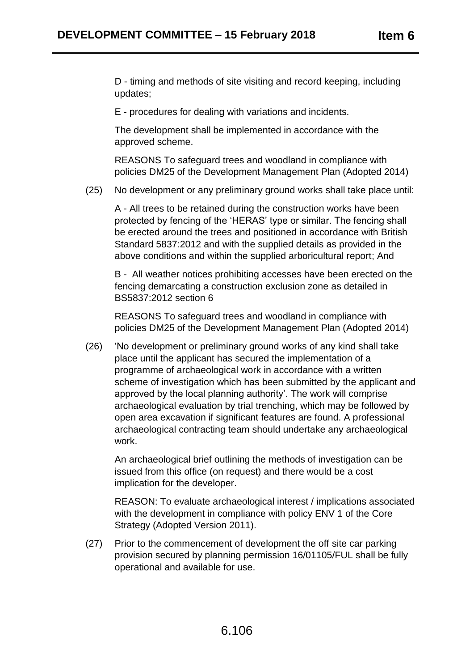D - timing and methods of site visiting and record keeping, including updates;

E - procedures for dealing with variations and incidents.

The development shall be implemented in accordance with the approved scheme.

REASONS To safeguard trees and woodland in compliance with policies DM25 of the Development Management Plan (Adopted 2014)

(25) No development or any preliminary ground works shall take place until:

A - All trees to be retained during the construction works have been protected by fencing of the 'HERAS' type or similar. The fencing shall be erected around the trees and positioned in accordance with British Standard 5837:2012 and with the supplied details as provided in the above conditions and within the supplied arboricultural report; And

B - All weather notices prohibiting accesses have been erected on the fencing demarcating a construction exclusion zone as detailed in BS5837:2012 section 6

REASONS To safeguard trees and woodland in compliance with policies DM25 of the Development Management Plan (Adopted 2014)

(26) 'No development or preliminary ground works of any kind shall take place until the applicant has secured the implementation of a programme of archaeological work in accordance with a written scheme of investigation which has been submitted by the applicant and approved by the local planning authority'. The work will comprise archaeological evaluation by trial trenching, which may be followed by open area excavation if significant features are found. A professional archaeological contracting team should undertake any archaeological work.

An archaeological brief outlining the methods of investigation can be issued from this office (on request) and there would be a cost implication for the developer.

REASON: To evaluate archaeological interest / implications associated with the development in compliance with policy ENV 1 of the Core Strategy (Adopted Version 2011).

(27) Prior to the commencement of development the off site car parking provision secured by planning permission 16/01105/FUL shall be fully operational and available for use.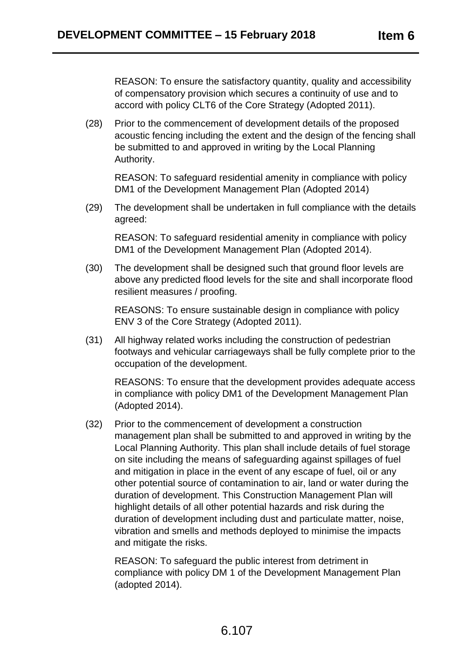REASON: To ensure the satisfactory quantity, quality and accessibility of compensatory provision which secures a continuity of use and to accord with policy CLT6 of the Core Strategy (Adopted 2011).

(28) Prior to the commencement of development details of the proposed acoustic fencing including the extent and the design of the fencing shall be submitted to and approved in writing by the Local Planning Authority.

REASON: To safeguard residential amenity in compliance with policy DM1 of the Development Management Plan (Adopted 2014)

(29) The development shall be undertaken in full compliance with the details agreed:

REASON: To safeguard residential amenity in compliance with policy DM1 of the Development Management Plan (Adopted 2014).

(30) The development shall be designed such that ground floor levels are above any predicted flood levels for the site and shall incorporate flood resilient measures / proofing.

REASONS: To ensure sustainable design in compliance with policy ENV 3 of the Core Strategy (Adopted 2011).

(31) All highway related works including the construction of pedestrian footways and vehicular carriageways shall be fully complete prior to the occupation of the development.

REASONS: To ensure that the development provides adequate access in compliance with policy DM1 of the Development Management Plan (Adopted 2014).

(32) Prior to the commencement of development a construction management plan shall be submitted to and approved in writing by the Local Planning Authority. This plan shall include details of fuel storage on site including the means of safeguarding against spillages of fuel and mitigation in place in the event of any escape of fuel, oil or any other potential source of contamination to air, land or water during the duration of development. This Construction Management Plan will highlight details of all other potential hazards and risk during the duration of development including dust and particulate matter, noise, vibration and smells and methods deployed to minimise the impacts and mitigate the risks.

REASON: To safeguard the public interest from detriment in compliance with policy DM 1 of the Development Management Plan (adopted 2014).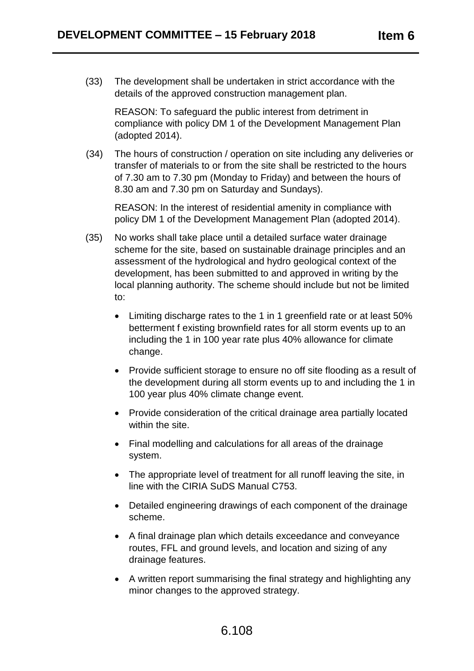(33) The development shall be undertaken in strict accordance with the details of the approved construction management plan.

REASON: To safeguard the public interest from detriment in compliance with policy DM 1 of the Development Management Plan (adopted 2014).

(34) The hours of construction / operation on site including any deliveries or transfer of materials to or from the site shall be restricted to the hours of 7.30 am to 7.30 pm (Monday to Friday) and between the hours of 8.30 am and 7.30 pm on Saturday and Sundays).

REASON: In the interest of residential amenity in compliance with policy DM 1 of the Development Management Plan (adopted 2014).

- (35) No works shall take place until a detailed surface water drainage scheme for the site, based on sustainable drainage principles and an assessment of the hydrological and hydro geological context of the development, has been submitted to and approved in writing by the local planning authority. The scheme should include but not be limited to:
	- Limiting discharge rates to the 1 in 1 greenfield rate or at least 50% betterment f existing brownfield rates for all storm events up to an including the 1 in 100 year rate plus 40% allowance for climate change.
	- Provide sufficient storage to ensure no off site flooding as a result of the development during all storm events up to and including the 1 in 100 year plus 40% climate change event.
	- Provide consideration of the critical drainage area partially located within the site.
	- Final modelling and calculations for all areas of the drainage system.
	- The appropriate level of treatment for all runoff leaving the site, in line with the CIRIA SuDS Manual C753.
	- Detailed engineering drawings of each component of the drainage scheme.
	- A final drainage plan which details exceedance and conveyance routes, FFL and ground levels, and location and sizing of any drainage features.
	- A written report summarising the final strategy and highlighting any minor changes to the approved strategy.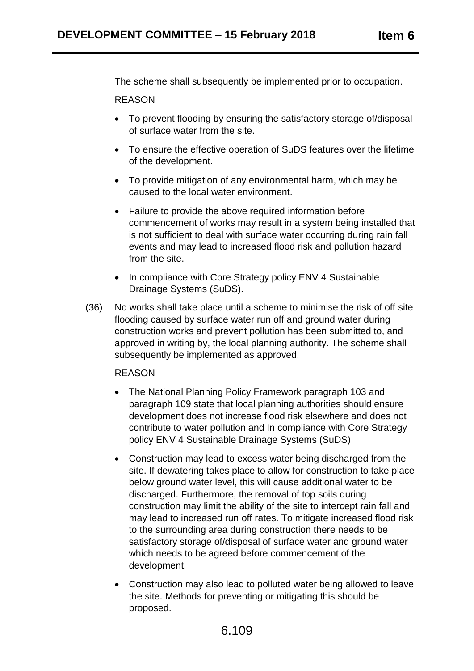The scheme shall subsequently be implemented prior to occupation.

#### REASON

- To prevent flooding by ensuring the satisfactory storage of/disposal of surface water from the site.
- To ensure the effective operation of SuDS features over the lifetime of the development.
- To provide mitigation of any environmental harm, which may be caused to the local water environment.
- Failure to provide the above required information before commencement of works may result in a system being installed that is not sufficient to deal with surface water occurring during rain fall events and may lead to increased flood risk and pollution hazard from the site.
- In compliance with Core Strategy policy ENV 4 Sustainable Drainage Systems (SuDS).
- (36) No works shall take place until a scheme to minimise the risk of off site flooding caused by surface water run off and ground water during construction works and prevent pollution has been submitted to, and approved in writing by, the local planning authority. The scheme shall subsequently be implemented as approved.

#### REASON

- The National Planning Policy Framework paragraph 103 and paragraph 109 state that local planning authorities should ensure development does not increase flood risk elsewhere and does not contribute to water pollution and In compliance with Core Strategy policy ENV 4 Sustainable Drainage Systems (SuDS)
- Construction may lead to excess water being discharged from the site. If dewatering takes place to allow for construction to take place below ground water level, this will cause additional water to be discharged. Furthermore, the removal of top soils during construction may limit the ability of the site to intercept rain fall and may lead to increased run off rates. To mitigate increased flood risk to the surrounding area during construction there needs to be satisfactory storage of/disposal of surface water and ground water which needs to be agreed before commencement of the development.
- Construction may also lead to polluted water being allowed to leave the site. Methods for preventing or mitigating this should be proposed.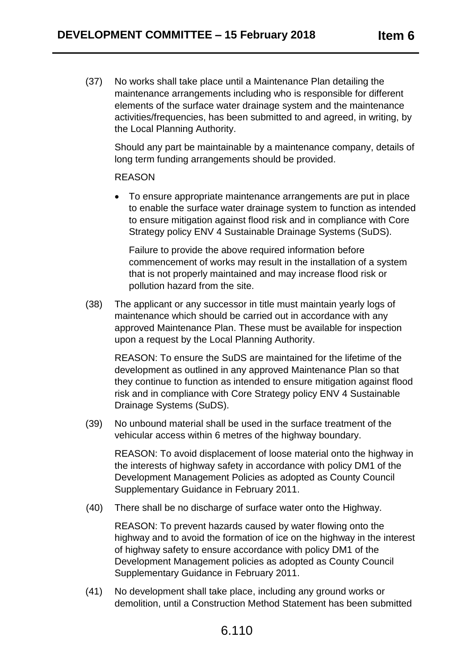(37) No works shall take place until a Maintenance Plan detailing the maintenance arrangements including who is responsible for different elements of the surface water drainage system and the maintenance activities/frequencies, has been submitted to and agreed, in writing, by the Local Planning Authority.

Should any part be maintainable by a maintenance company, details of long term funding arrangements should be provided.

#### REASON

 To ensure appropriate maintenance arrangements are put in place to enable the surface water drainage system to function as intended to ensure mitigation against flood risk and in compliance with Core Strategy policy ENV 4 Sustainable Drainage Systems (SuDS).

Failure to provide the above required information before commencement of works may result in the installation of a system that is not properly maintained and may increase flood risk or pollution hazard from the site.

(38) The applicant or any successor in title must maintain yearly logs of maintenance which should be carried out in accordance with any approved Maintenance Plan. These must be available for inspection upon a request by the Local Planning Authority.

REASON: To ensure the SuDS are maintained for the lifetime of the development as outlined in any approved Maintenance Plan so that they continue to function as intended to ensure mitigation against flood risk and in compliance with Core Strategy policy ENV 4 Sustainable Drainage Systems (SuDS).

(39) No unbound material shall be used in the surface treatment of the vehicular access within 6 metres of the highway boundary.

REASON: To avoid displacement of loose material onto the highway in the interests of highway safety in accordance with policy DM1 of the Development Management Policies as adopted as County Council Supplementary Guidance in February 2011.

(40) There shall be no discharge of surface water onto the Highway.

REASON: To prevent hazards caused by water flowing onto the highway and to avoid the formation of ice on the highway in the interest of highway safety to ensure accordance with policy DM1 of the Development Management policies as adopted as County Council Supplementary Guidance in February 2011.

(41) No development shall take place, including any ground works or demolition, until a Construction Method Statement has been submitted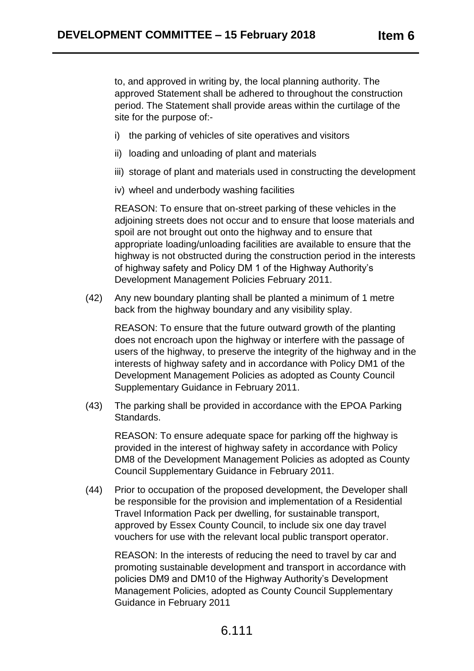to, and approved in writing by, the local planning authority. The approved Statement shall be adhered to throughout the construction period. The Statement shall provide areas within the curtilage of the site for the purpose of:-

- i) the parking of vehicles of site operatives and visitors
- ii) loading and unloading of plant and materials
- iii) storage of plant and materials used in constructing the development
- iv) wheel and underbody washing facilities

REASON: To ensure that on-street parking of these vehicles in the adjoining streets does not occur and to ensure that loose materials and spoil are not brought out onto the highway and to ensure that appropriate loading/unloading facilities are available to ensure that the highway is not obstructed during the construction period in the interests of highway safety and Policy DM 1 of the Highway Authority's Development Management Policies February 2011.

(42) Any new boundary planting shall be planted a minimum of 1 metre back from the highway boundary and any visibility splay.

REASON: To ensure that the future outward growth of the planting does not encroach upon the highway or interfere with the passage of users of the highway, to preserve the integrity of the highway and in the interests of highway safety and in accordance with Policy DM1 of the Development Management Policies as adopted as County Council Supplementary Guidance in February 2011.

(43) The parking shall be provided in accordance with the EPOA Parking Standards.

REASON: To ensure adequate space for parking off the highway is provided in the interest of highway safety in accordance with Policy DM8 of the Development Management Policies as adopted as County Council Supplementary Guidance in February 2011.

(44) Prior to occupation of the proposed development, the Developer shall be responsible for the provision and implementation of a Residential Travel Information Pack per dwelling, for sustainable transport, approved by Essex County Council, to include six one day travel vouchers for use with the relevant local public transport operator.

REASON: In the interests of reducing the need to travel by car and promoting sustainable development and transport in accordance with policies DM9 and DM10 of the Highway Authority's Development Management Policies, adopted as County Council Supplementary Guidance in February 2011

# 6.111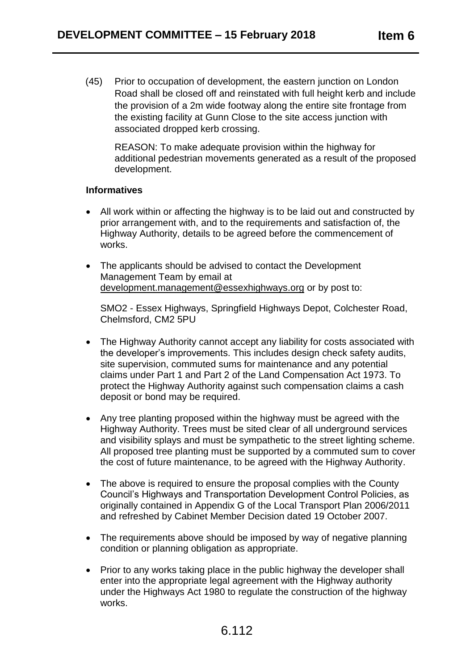(45) Prior to occupation of development, the eastern junction on London Road shall be closed off and reinstated with full height kerb and include the provision of a 2m wide footway along the entire site frontage from the existing facility at Gunn Close to the site access junction with associated dropped kerb crossing.

REASON: To make adequate provision within the highway for additional pedestrian movements generated as a result of the proposed development.

#### **Informatives**

- All work within or affecting the highway is to be laid out and constructed by prior arrangement with, and to the requirements and satisfaction of, the Highway Authority, details to be agreed before the commencement of works.
- The applicants should be advised to contact the Development Management Team by email at [development.management@essexhighways.org](mailto:development.management@essexhighways.org) or by post to:

SMO2 - Essex Highways, Springfield Highways Depot, Colchester Road, Chelmsford, CM2 5PU

- The Highway Authority cannot accept any liability for costs associated with the developer's improvements. This includes design check safety audits, site supervision, commuted sums for maintenance and any potential claims under Part 1 and Part 2 of the Land Compensation Act 1973. To protect the Highway Authority against such compensation claims a cash deposit or bond may be required.
- Any tree planting proposed within the highway must be agreed with the Highway Authority. Trees must be sited clear of all underground services and visibility splays and must be sympathetic to the street lighting scheme. All proposed tree planting must be supported by a commuted sum to cover the cost of future maintenance, to be agreed with the Highway Authority.
- The above is required to ensure the proposal complies with the County Council's Highways and Transportation Development Control Policies, as originally contained in Appendix G of the Local Transport Plan 2006/2011 and refreshed by Cabinet Member Decision dated 19 October 2007.
- The requirements above should be imposed by way of negative planning condition or planning obligation as appropriate.
- Prior to any works taking place in the public highway the developer shall enter into the appropriate legal agreement with the Highway authority under the Highways Act 1980 to regulate the construction of the highway works.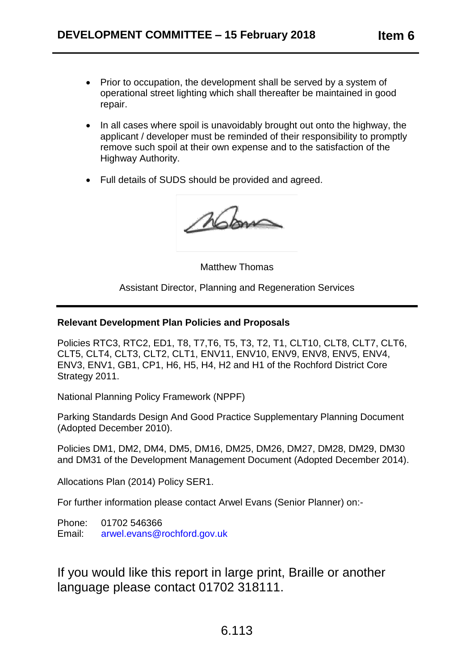- Prior to occupation, the development shall be served by a system of operational street lighting which shall thereafter be maintained in good repair.
- In all cases where spoil is unavoidably brought out onto the highway, the applicant / developer must be reminded of their responsibility to promptly remove such spoil at their own expense and to the satisfaction of the Highway Authority.
- Full details of SUDS should be provided and agreed.

Mom

Matthew Thomas

Assistant Director, Planning and Regeneration Services

## **Relevant Development Plan Policies and Proposals**

Policies RTC3, RTC2, ED1, T8, T7,T6, T5, T3, T2, T1, CLT10, CLT8, CLT7, CLT6, CLT5, CLT4, CLT3, CLT2, CLT1, ENV11, ENV10, ENV9, ENV8, ENV5, ENV4, ENV3, ENV1, GB1, CP1, H6, H5, H4, H2 and H1 of the Rochford District Core Strategy 2011.

National Planning Policy Framework (NPPF)

Parking Standards Design And Good Practice Supplementary Planning Document (Adopted December 2010).

Policies DM1, DM2, DM4, DM5, DM16, DM25, DM26, DM27, DM28, DM29, DM30 and DM31 of the Development Management Document (Adopted December 2014).

Allocations Plan (2014) Policy SER1.

For further information please contact Arwel Evans (Senior Planner) on:-

Phone: 01702 546366 Email: [arwel.evans@rochford.gov.uk](mailto:arwel.evans@rochford.gov.uk)

If you would like this report in large print, Braille or another language please contact 01702 318111.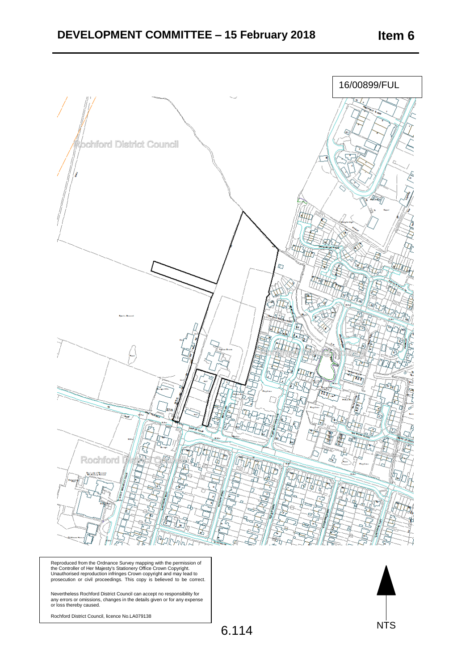

Reproduced from the Ordnance Survey mapping with the permission of<br>the Controller of Her Majesty's Stationery Office Crown Copyright.<br>Unauthorised reproduction infringes Crown copyright and may lead to<br>prosecution or civil

Nevertheless Rochford District Council can accept no responsibility for<br>any errors or omissions, changes in the details given or for any expense<br>or loss thereby caused.

Rochford District Council, licence No.LA079138

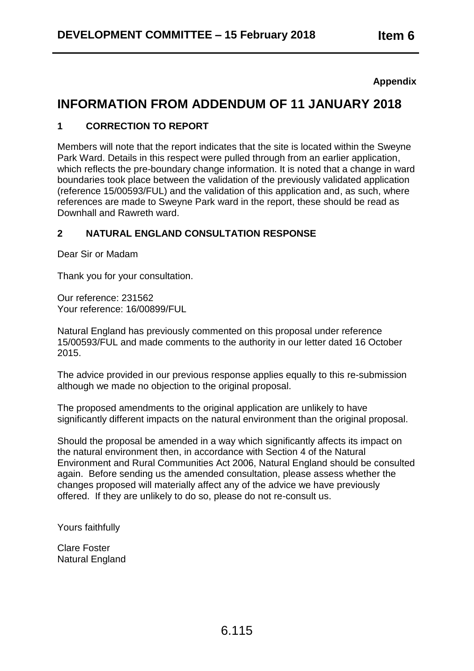## **Appendix**

# **INFORMATION FROM ADDENDUM OF 11 JANUARY 2018**

## **1 CORRECTION TO REPORT**

Members will note that the report indicates that the site is located within the Sweyne Park Ward. Details in this respect were pulled through from an earlier application, which reflects the pre-boundary change information. It is noted that a change in ward boundaries took place between the validation of the previously validated application (reference 15/00593/FUL) and the validation of this application and, as such, where references are made to Sweyne Park ward in the report, these should be read as Downhall and Rawreth ward.

# **2 NATURAL ENGLAND CONSULTATION RESPONSE**

Dear Sir or Madam

Thank you for your consultation.

Our reference: 231562 Your reference: 16/00899/FUL

Natural England has previously commented on this proposal under reference 15/00593/FUL and made comments to the authority in our letter dated 16 October 2015.

The advice provided in our previous response applies equally to this re-submission although we made no objection to the original proposal.

The proposed amendments to the original application are unlikely to have significantly different impacts on the natural environment than the original proposal.

Should the proposal be amended in a way which significantly affects its impact on the natural environment then, in accordance with Section 4 of the Natural Environment and Rural Communities Act 2006, Natural England should be consulted again. Before sending us the amended consultation, please assess whether the changes proposed will materially affect any of the advice we have previously offered. If they are unlikely to do so, please do not re-consult us.

Yours faithfully

Clare Foster Natural England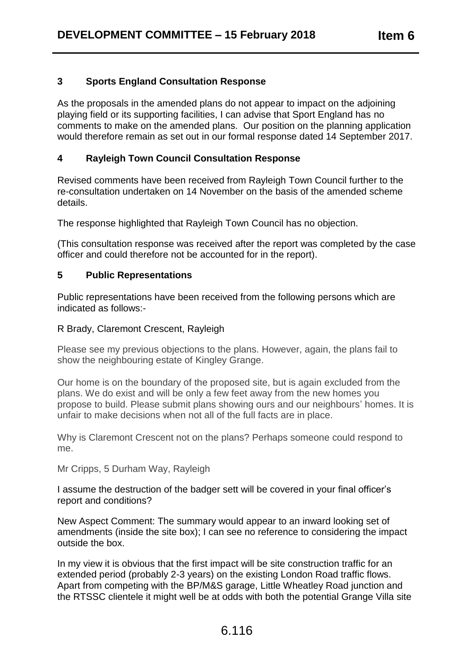# **3 Sports England Consultation Response**

As the proposals in the amended plans do not appear to impact on the adjoining playing field or its supporting facilities, I can advise that Sport England has no comments to make on the amended plans. Our position on the planning application would therefore remain as set out in our formal response dated 14 September 2017.

# **4 Rayleigh Town Council Consultation Response**

Revised comments have been received from Rayleigh Town Council further to the re-consultation undertaken on 14 November on the basis of the amended scheme details.

The response highlighted that Rayleigh Town Council has no objection.

(This consultation response was received after the report was completed by the case officer and could therefore not be accounted for in the report).

#### **5 Public Representations**

Public representations have been received from the following persons which are indicated as follows:-

#### R Brady, Claremont Crescent, Rayleigh

Please see my previous objections to the plans. However, again, the plans fail to show the neighbouring estate of Kingley Grange.

Our home is on the boundary of the proposed site, but is again excluded from the plans. We do exist and will be only a few feet away from the new homes you propose to build. Please submit plans showing ours and our neighbours' homes. It is unfair to make decisions when not all of the full facts are in place.

Why is Claremont Crescent not on the plans? Perhaps someone could respond to me.

Mr Cripps, 5 Durham Way, Rayleigh

I assume the destruction of the badger sett will be covered in your final officer's report and conditions?

New Aspect Comment: The summary would appear to an inward looking set of amendments (inside the site box); I can see no reference to considering the impact outside the box.

In my view it is obvious that the first impact will be site construction traffic for an extended period (probably 2-3 years) on the existing London Road traffic flows. Apart from competing with the BP/M&S garage, Little Wheatley Road junction and the RTSSC clientele it might well be at odds with both the potential Grange Villa site

# 6.116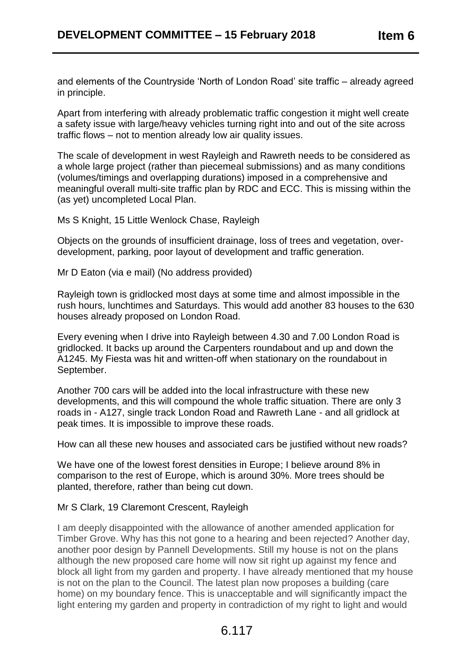and elements of the Countryside 'North of London Road' site traffic – already agreed in principle.

Apart from interfering with already problematic traffic congestion it might well create a safety issue with large/heavy vehicles turning right into and out of the site across traffic flows – not to mention already low air quality issues.

The scale of development in west Rayleigh and Rawreth needs to be considered as a whole large project (rather than piecemeal submissions) and as many conditions (volumes/timings and overlapping durations) imposed in a comprehensive and meaningful overall multi-site traffic plan by RDC and ECC. This is missing within the (as yet) uncompleted Local Plan.

Ms S Knight, 15 Little Wenlock Chase, Rayleigh

Objects on the grounds of insufficient drainage, loss of trees and vegetation, overdevelopment, parking, poor layout of development and traffic generation.

Mr D Eaton (via e mail) (No address provided)

Rayleigh town is gridlocked most days at some time and almost impossible in the rush hours, lunchtimes and Saturdays. This would add another 83 houses to the 630 houses already proposed on London Road.

Every evening when I drive into Rayleigh between 4.30 and 7.00 London Road is gridlocked. It backs up around the Carpenters roundabout and up and down the A1245. My Fiesta was hit and written-off when stationary on the roundabout in September.

Another 700 cars will be added into the local infrastructure with these new developments, and this will compound the whole traffic situation. There are only 3 roads in - A127, single track London Road and Rawreth Lane - and all gridlock at peak times. It is impossible to improve these roads.

How can all these new houses and associated cars be justified without new roads?

We have one of the lowest forest densities in Europe; I believe around 8% in comparison to the rest of Europe, which is around 30%. More trees should be planted, therefore, rather than being cut down.

#### Mr S Clark, 19 Claremont Crescent, Rayleigh

I am deeply disappointed with the allowance of another amended application for Timber Grove. Why has this not gone to a hearing and been rejected? Another day, another poor design by Pannell Developments. Still my house is not on the plans although the new proposed care home will now sit right up against my fence and block all light from my garden and property. I have already mentioned that my house is not on the plan to the Council. The latest plan now proposes a building (care home) on my boundary fence. This is unacceptable and will significantly impact the light entering my garden and property in contradiction of my right to light and would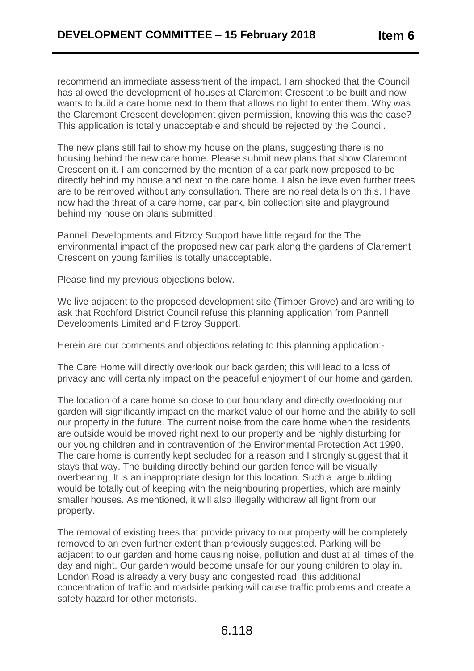recommend an immediate assessment of the impact. I am shocked that the Council has allowed the development of houses at Claremont Crescent to be built and now wants to build a care home next to them that allows no light to enter them. Why was the Claremont Crescent development given permission, knowing this was the case? This application is totally unacceptable and should be rejected by the Council.

The new plans still fail to show my house on the plans, suggesting there is no housing behind the new care home. Please submit new plans that show Claremont Crescent on it. I am concerned by the mention of a car park now proposed to be directly behind my house and next to the care home. I also believe even further trees are to be removed without any consultation. There are no real details on this. I have now had the threat of a care home, car park, bin collection site and playground behind my house on plans submitted.

Pannell Developments and Fitzroy Support have little regard for the The environmental impact of the proposed new car park along the gardens of Clarement Crescent on young families is totally unacceptable.

Please find my previous objections below.

We live adjacent to the proposed development site (Timber Grove) and are writing to ask that Rochford District Council refuse this planning application from Pannell Developments Limited and Fitzroy Support.

Herein are our comments and objections relating to this planning application:-

The Care Home will directly overlook our back garden; this will lead to a loss of privacy and will certainly impact on the peaceful enjoyment of our home and garden.

The location of a care home so close to our boundary and directly overlooking our garden will significantly impact on the market value of our home and the ability to sell our property in the future. The current noise from the care home when the residents are outside would be moved right next to our property and be highly disturbing for our young children and in contravention of the Environmental Protection Act 1990. The care home is currently kept secluded for a reason and I strongly suggest that it stays that way. The building directly behind our garden fence will be visually overbearing. It is an inappropriate design for this location. Such a large building would be totally out of keeping with the neighbouring properties, which are mainly smaller houses. As mentioned, it will also illegally withdraw all light from our property.

The removal of existing trees that provide privacy to our property will be completely removed to an even further extent than previously suggested. Parking will be adjacent to our garden and home causing noise, pollution and dust at all times of the day and night. Our garden would become unsafe for our young children to play in. London Road is already a very busy and congested road; this additional concentration of traffic and roadside parking will cause traffic problems and create a safety hazard for other motorists.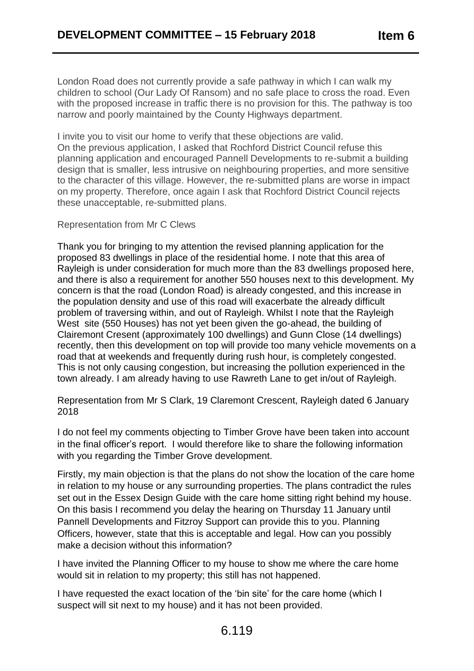London Road does not currently provide a safe pathway in which I can walk my children to school (Our Lady Of Ransom) and no safe place to cross the road. Even with the proposed increase in traffic there is no provision for this. The pathway is too narrow and poorly maintained by the County Highways department.

I invite you to visit our home to verify that these objections are valid. On the previous application, I asked that Rochford District Council refuse this planning application and encouraged Pannell Developments to re-submit a building design that is smaller, less intrusive on neighbouring properties, and more sensitive to the character of this village. However, the re-submitted plans are worse in impact on my property. Therefore, once again I ask that Rochford District Council rejects these unacceptable, re-submitted plans.

#### Representation from Mr C Clews

Thank you for bringing to my attention the revised planning application for the proposed 83 dwellings in place of the residential home. I note that this area of Rayleigh is under consideration for much more than the 83 dwellings proposed here, and there is also a requirement for another 550 houses next to this development. My concern is that the road (London Road) is already congested, and this increase in the population density and use of this road will exacerbate the already difficult problem of traversing within, and out of Rayleigh. Whilst I note that the Rayleigh West site (550 Houses) has not yet been given the go-ahead, the building of Clairemont Cresent (approximately 100 dwellings) and Gunn Close (14 dwellings) recently, then this development on top will provide too many vehicle movements on a road that at weekends and frequently during rush hour, is completely congested. This is not only causing congestion, but increasing the pollution experienced in the town already. I am already having to use Rawreth Lane to get in/out of Rayleigh.

Representation from Mr S Clark, 19 Claremont Crescent, Rayleigh dated 6 January 2018

I do not feel my comments objecting to Timber Grove have been taken into account in the final officer's report. I would therefore like to share the following information with you regarding the Timber Grove development.

Firstly, my main objection is that the plans do not show the location of the care home in relation to my house or any surrounding properties. The plans contradict the rules set out in the Essex Design Guide with the care home sitting right behind my house. On this basis I recommend you delay the hearing on Thursday 11 January until Pannell Developments and Fitzroy Support can provide this to you. Planning Officers, however, state that this is acceptable and legal. How can you possibly make a decision without this information?

I have invited the Planning Officer to my house to show me where the care home would sit in relation to my property; this still has not happened.

I have requested the exact location of the 'bin site' for the care home (which I suspect will sit next to my house) and it has not been provided.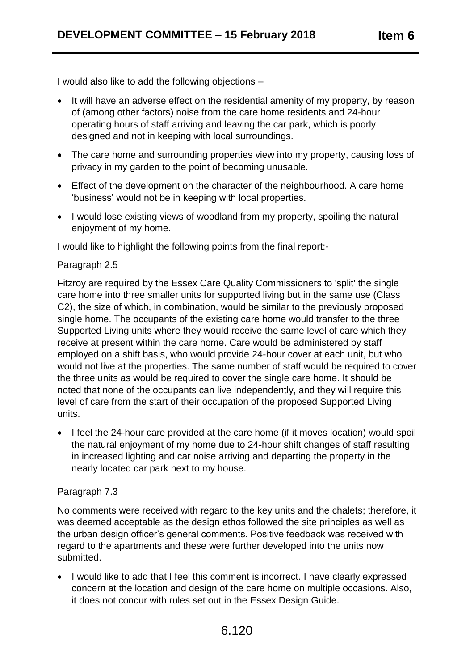I would also like to add the following objections –

- It will have an adverse effect on the residential amenity of my property, by reason of (among other factors) noise from the care home residents and 24-hour operating hours of staff arriving and leaving the car park, which is poorly designed and not in keeping with local surroundings.
- The care home and surrounding properties view into my property, causing loss of privacy in my garden to the point of becoming unusable.
- Effect of the development on the character of the neighbourhood. A care home 'business' would not be in keeping with local properties.
- I would lose existing views of woodland from my property, spoiling the natural enjoyment of my home.

I would like to highlight the following points from the final report:-

## Paragraph 2.5

Fitzroy are required by the Essex Care Quality Commissioners to 'split' the single care home into three smaller units for supported living but in the same use (Class C2), the size of which, in combination, would be similar to the previously proposed single home. The occupants of the existing care home would transfer to the three Supported Living units where they would receive the same level of care which they receive at present within the care home. Care would be administered by staff employed on a shift basis, who would provide 24-hour cover at each unit, but who would not live at the properties. The same number of staff would be required to cover the three units as would be required to cover the single care home. It should be noted that none of the occupants can live independently, and they will require this level of care from the start of their occupation of the proposed Supported Living units.

• I feel the 24-hour care provided at the care home (if it moves location) would spoil the natural enjoyment of my home due to 24-hour shift changes of staff resulting in increased lighting and car noise arriving and departing the property in the nearly located car park next to my house.

#### Paragraph 7.3

No comments were received with regard to the key units and the chalets; therefore, it was deemed acceptable as the design ethos followed the site principles as well as the urban design officer's general comments. Positive feedback was received with regard to the apartments and these were further developed into the units now submitted.

• I would like to add that I feel this comment is incorrect. I have clearly expressed concern at the location and design of the care home on multiple occasions. Also, it does not concur with rules set out in the Essex Design Guide.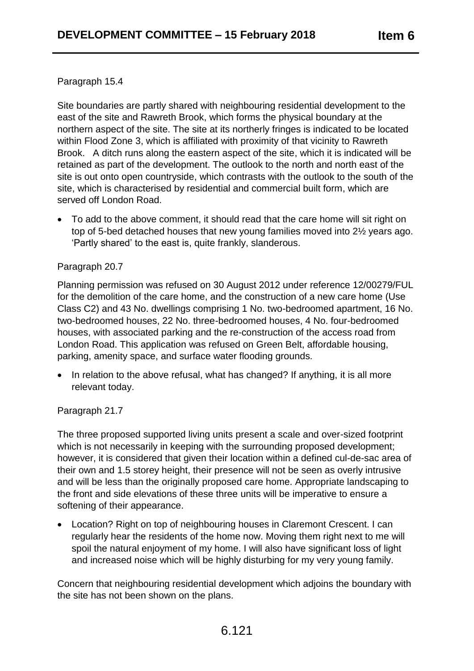## Paragraph 15.4

Site boundaries are partly shared with neighbouring residential development to the east of the site and Rawreth Brook, which forms the physical boundary at the northern aspect of the site. The site at its northerly fringes is indicated to be located within Flood Zone 3, which is affiliated with proximity of that vicinity to Rawreth Brook. A ditch runs along the eastern aspect of the site, which it is indicated will be retained as part of the development. The outlook to the north and north east of the site is out onto open countryside, which contrasts with the outlook to the south of the site, which is characterised by residential and commercial built form, which are served off London Road.

 To add to the above comment, it should read that the care home will sit right on top of 5-bed detached houses that new young families moved into 2½ years ago. 'Partly shared' to the east is, quite frankly, slanderous.

## Paragraph 20.7

Planning permission was refused on 30 August 2012 under reference 12/00279/FUL for the demolition of the care home, and the construction of a new care home (Use Class C2) and 43 No. dwellings comprising 1 No. two-bedroomed apartment, 16 No. two-bedroomed houses, 22 No. three-bedroomed houses, 4 No. four-bedroomed houses, with associated parking and the re-construction of the access road from London Road. This application was refused on Green Belt, affordable housing, parking, amenity space, and surface water flooding grounds.

• In relation to the above refusal, what has changed? If anything, it is all more relevant today.

# Paragraph 21.7

The three proposed supported living units present a scale and over-sized footprint which is not necessarily in keeping with the surrounding proposed development; however, it is considered that given their location within a defined cul-de-sac area of their own and 1.5 storey height, their presence will not be seen as overly intrusive and will be less than the originally proposed care home. Appropriate landscaping to the front and side elevations of these three units will be imperative to ensure a softening of their appearance.

 Location? Right on top of neighbouring houses in Claremont Crescent. I can regularly hear the residents of the home now. Moving them right next to me will spoil the natural enjoyment of my home. I will also have significant loss of light and increased noise which will be highly disturbing for my very young family.

Concern that neighbouring residential development which adjoins the boundary with the site has not been shown on the plans.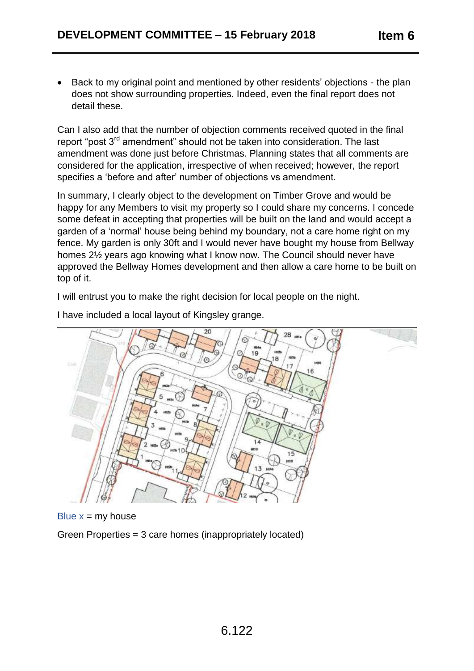• Back to my original point and mentioned by other residents' objections - the plan does not show surrounding properties. Indeed, even the final report does not detail these.

Can I also add that the number of objection comments received quoted in the final report "post 3<sup>rd</sup> amendment" should not be taken into consideration. The last amendment was done just before Christmas. Planning states that all comments are considered for the application, irrespective of when received; however, the report specifies a 'before and after' number of objections vs amendment.

In summary, I clearly object to the development on Timber Grove and would be happy for any Members to visit my property so I could share my concerns. I concede some defeat in accepting that properties will be built on the land and would accept a garden of a 'normal' house being behind my boundary, not a care home right on my fence. My garden is only 30ft and I would never have bought my house from Bellway homes 2½ years ago knowing what I know now. The Council should never have approved the Bellway Homes development and then allow a care home to be built on top of it.

I will entrust you to make the right decision for local people on the night.



I have included a local layout of Kingsley grange.

Blue  $x = my$  house

Green Properties = 3 care homes (inappropriately located)